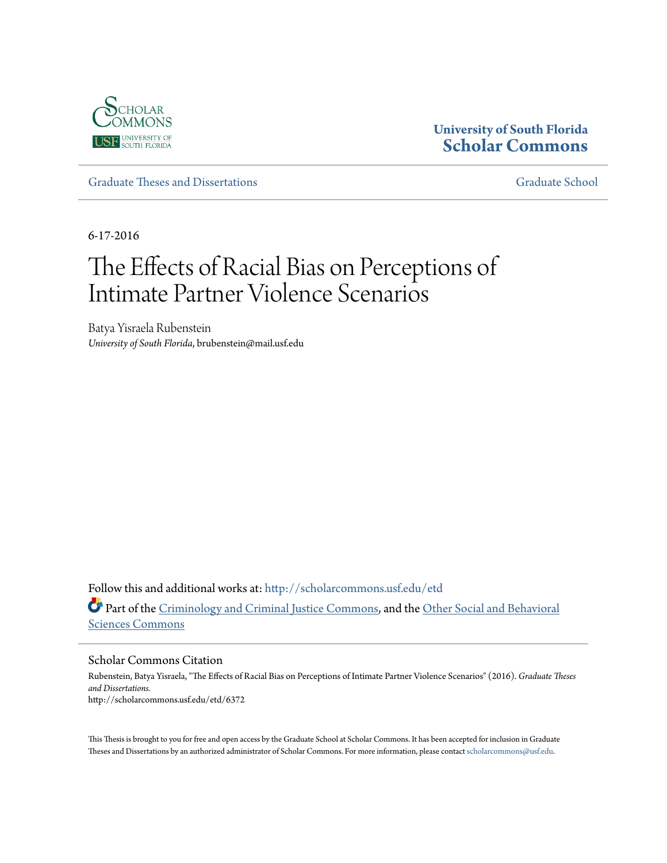

# **University of South Florida [Scholar Commons](http://scholarcommons.usf.edu?utm_source=scholarcommons.usf.edu%2Fetd%2F6372&utm_medium=PDF&utm_campaign=PDFCoverPages)**

[Graduate Theses and Dissertations](http://scholarcommons.usf.edu/etd?utm_source=scholarcommons.usf.edu%2Fetd%2F6372&utm_medium=PDF&utm_campaign=PDFCoverPages) [Graduate School](http://scholarcommons.usf.edu/grad?utm_source=scholarcommons.usf.edu%2Fetd%2F6372&utm_medium=PDF&utm_campaign=PDFCoverPages)

6-17-2016

# The Effects of Racial Bias on Perceptions of Intimate Partner Violence Scenarios

Batya Yisraela Rubenstein *University of South Florida*, brubenstein@mail.usf.edu

Follow this and additional works at: [http://scholarcommons.usf.edu/etd](http://scholarcommons.usf.edu/etd?utm_source=scholarcommons.usf.edu%2Fetd%2F6372&utm_medium=PDF&utm_campaign=PDFCoverPages) Part of the [Criminology and Criminal Justice Commons](http://network.bepress.com/hgg/discipline/367?utm_source=scholarcommons.usf.edu%2Fetd%2F6372&utm_medium=PDF&utm_campaign=PDFCoverPages), and the [Other Social and Behavioral](http://network.bepress.com/hgg/discipline/437?utm_source=scholarcommons.usf.edu%2Fetd%2F6372&utm_medium=PDF&utm_campaign=PDFCoverPages) [Sciences Commons](http://network.bepress.com/hgg/discipline/437?utm_source=scholarcommons.usf.edu%2Fetd%2F6372&utm_medium=PDF&utm_campaign=PDFCoverPages)

Scholar Commons Citation

Rubenstein, Batya Yisraela, "The Effects of Racial Bias on Perceptions of Intimate Partner Violence Scenarios" (2016). *Graduate Theses and Dissertations.* http://scholarcommons.usf.edu/etd/6372

This Thesis is brought to you for free and open access by the Graduate School at Scholar Commons. It has been accepted for inclusion in Graduate Theses and Dissertations by an authorized administrator of Scholar Commons. For more information, please contact [scholarcommons@usf.edu.](mailto:scholarcommons@usf.edu)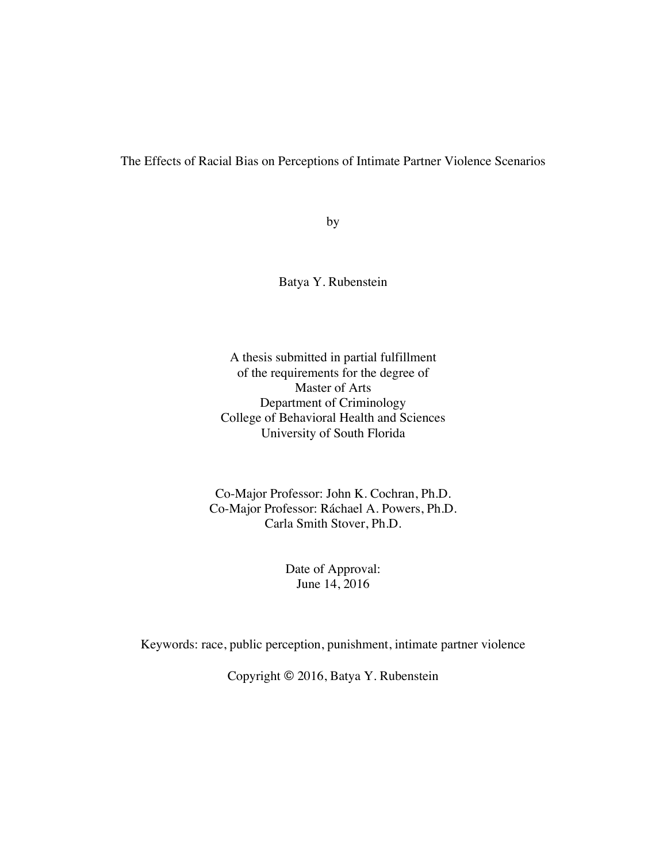The Effects of Racial Bias on Perceptions of Intimate Partner Violence Scenarios

by

Batya Y. Rubenstein

A thesis submitted in partial fulfillment of the requirements for the degree of Master of Arts Department of Criminology College of Behavioral Health and Sciences University of South Florida

Co-Major Professor: John K. Cochran, Ph.D. Co-Major Professor: Ráchael A. Powers, Ph.D. Carla Smith Stover, Ph.D.

> Date of Approval: June 14, 2016

Keywords: race, public perception, punishment, intimate partner violence

Copyright © 2016, Batya Y. Rubenstein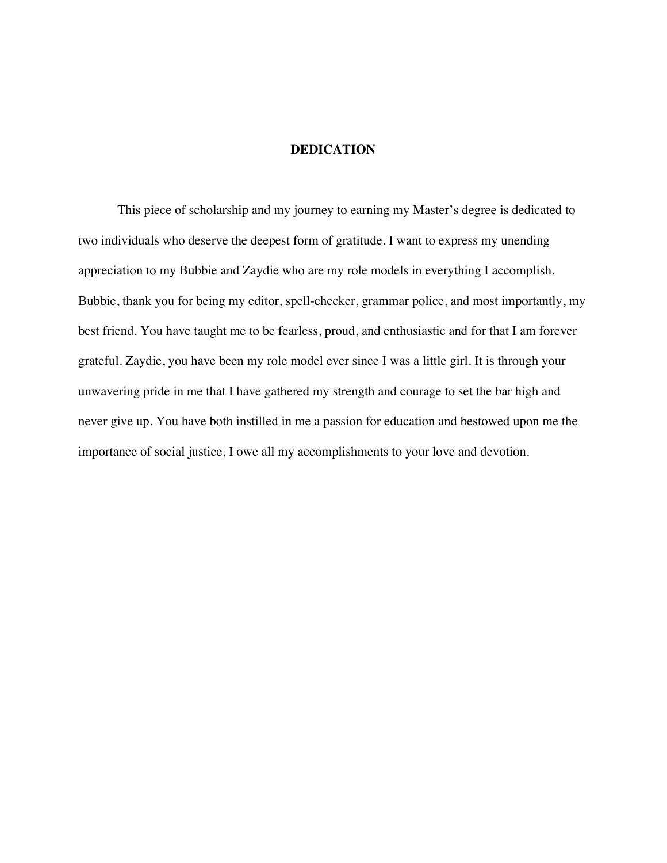#### **DEDICATION**

This piece of scholarship and my journey to earning my Master's degree is dedicated to two individuals who deserve the deepest form of gratitude. I want to express my unending appreciation to my Bubbie and Zaydie who are my role models in everything I accomplish. Bubbie, thank you for being my editor, spell-checker, grammar police, and most importantly, my best friend. You have taught me to be fearless, proud, and enthusiastic and for that I am forever grateful. Zaydie, you have been my role model ever since I was a little girl. It is through your unwavering pride in me that I have gathered my strength and courage to set the bar high and never give up. You have both instilled in me a passion for education and bestowed upon me the importance of social justice, I owe all my accomplishments to your love and devotion.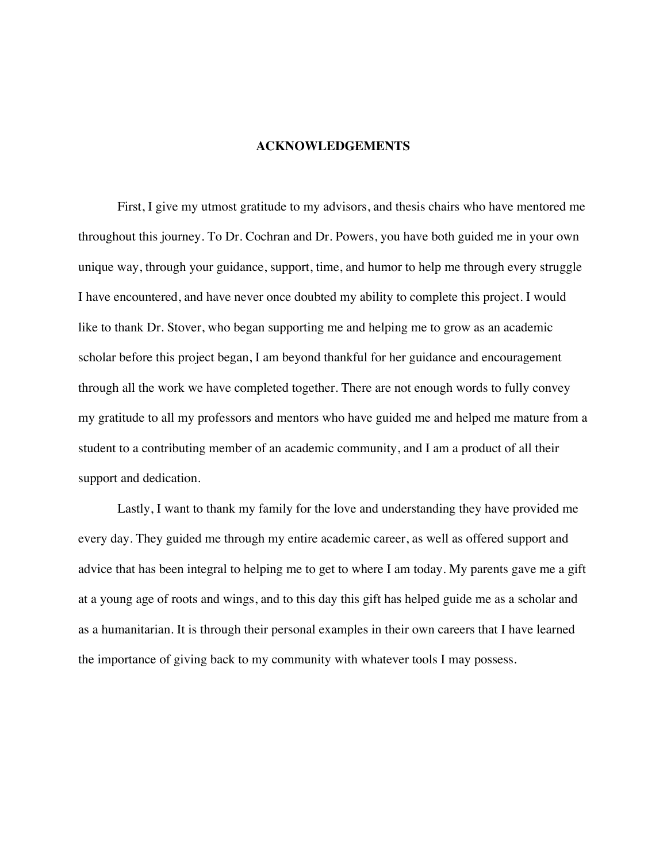#### **ACKNOWLEDGEMENTS**

First, I give my utmost gratitude to my advisors, and thesis chairs who have mentored me throughout this journey. To Dr. Cochran and Dr. Powers, you have both guided me in your own unique way, through your guidance, support, time, and humor to help me through every struggle I have encountered, and have never once doubted my ability to complete this project. I would like to thank Dr. Stover, who began supporting me and helping me to grow as an academic scholar before this project began, I am beyond thankful for her guidance and encouragement through all the work we have completed together. There are not enough words to fully convey my gratitude to all my professors and mentors who have guided me and helped me mature from a student to a contributing member of an academic community, and I am a product of all their support and dedication.

Lastly, I want to thank my family for the love and understanding they have provided me every day. They guided me through my entire academic career, as well as offered support and advice that has been integral to helping me to get to where I am today. My parents gave me a gift at a young age of roots and wings, and to this day this gift has helped guide me as a scholar and as a humanitarian. It is through their personal examples in their own careers that I have learned the importance of giving back to my community with whatever tools I may possess.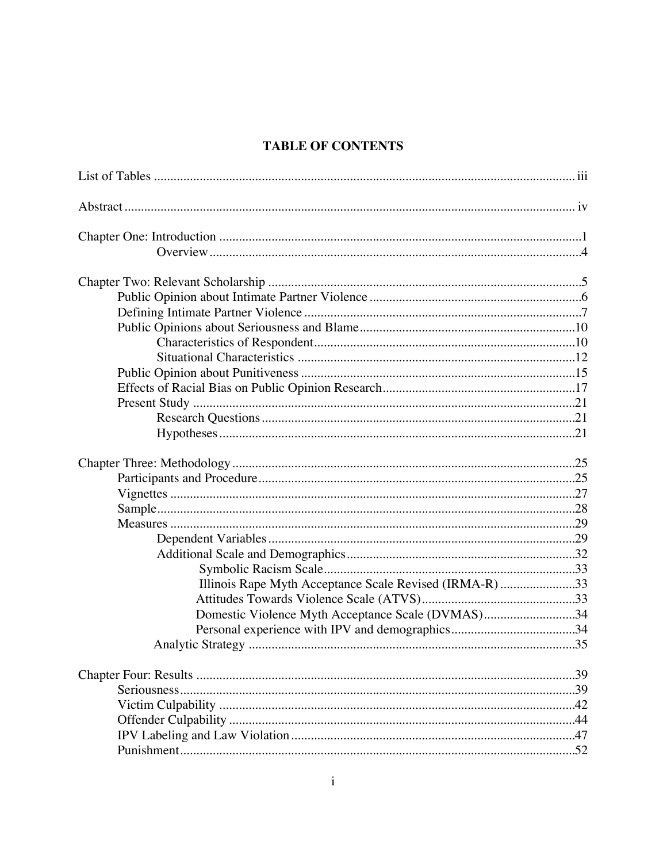# **TABLE OF CONTENTS**

| Illinois Rape Myth Acceptance Scale Revised (IRMA-R) 33 |  |
|---------------------------------------------------------|--|
|                                                         |  |
| Domestic Violence Myth Acceptance Scale (DVMAS)34       |  |
|                                                         |  |
|                                                         |  |
|                                                         |  |
|                                                         |  |
|                                                         |  |
|                                                         |  |
|                                                         |  |
|                                                         |  |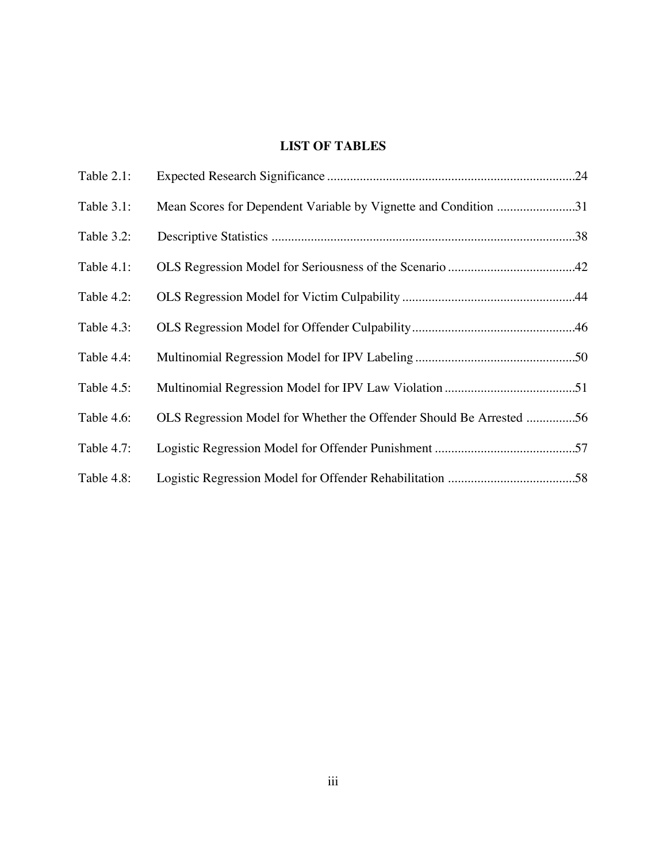# **LIST OF TABLES**

| Table 2.1: |                                                                     |  |
|------------|---------------------------------------------------------------------|--|
| Table 3.1: | Mean Scores for Dependent Variable by Vignette and Condition 31     |  |
| Table 3.2: |                                                                     |  |
| Table 4.1: |                                                                     |  |
| Table 4.2: |                                                                     |  |
| Table 4.3: |                                                                     |  |
| Table 4.4: |                                                                     |  |
| Table 4.5: |                                                                     |  |
| Table 4.6: | OLS Regression Model for Whether the Offender Should Be Arrested 56 |  |
| Table 4.7: |                                                                     |  |
| Table 4.8: |                                                                     |  |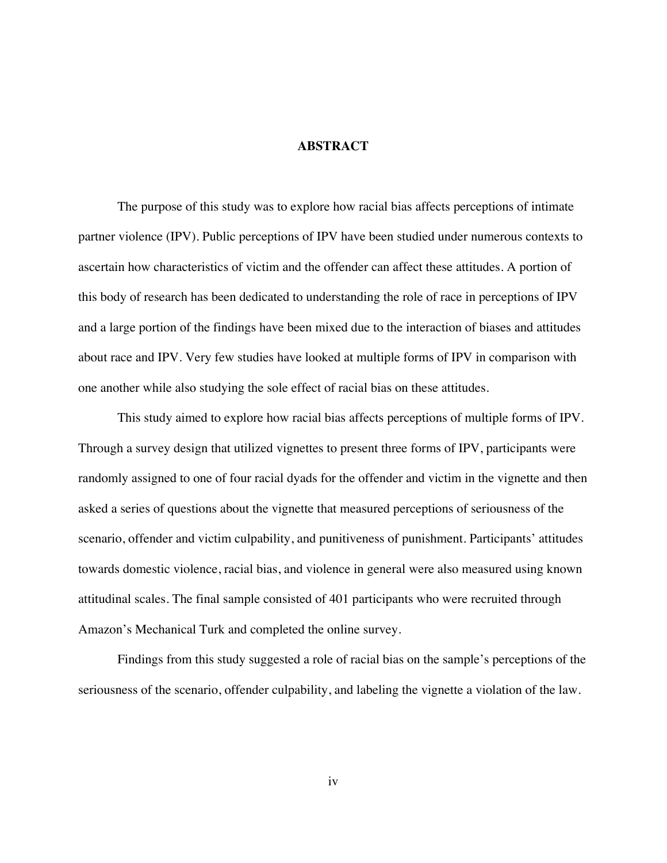#### **ABSTRACT**

The purpose of this study was to explore how racial bias affects perceptions of intimate partner violence (IPV). Public perceptions of IPV have been studied under numerous contexts to ascertain how characteristics of victim and the offender can affect these attitudes. A portion of this body of research has been dedicated to understanding the role of race in perceptions of IPV and a large portion of the findings have been mixed due to the interaction of biases and attitudes about race and IPV. Very few studies have looked at multiple forms of IPV in comparison with one another while also studying the sole effect of racial bias on these attitudes.

This study aimed to explore how racial bias affects perceptions of multiple forms of IPV. Through a survey design that utilized vignettes to present three forms of IPV, participants were randomly assigned to one of four racial dyads for the offender and victim in the vignette and then asked a series of questions about the vignette that measured perceptions of seriousness of the scenario, offender and victim culpability, and punitiveness of punishment. Participants' attitudes towards domestic violence, racial bias, and violence in general were also measured using known attitudinal scales. The final sample consisted of 401 participants who were recruited through Amazon's Mechanical Turk and completed the online survey.

Findings from this study suggested a role of racial bias on the sample's perceptions of the seriousness of the scenario, offender culpability, and labeling the vignette a violation of the law.

iv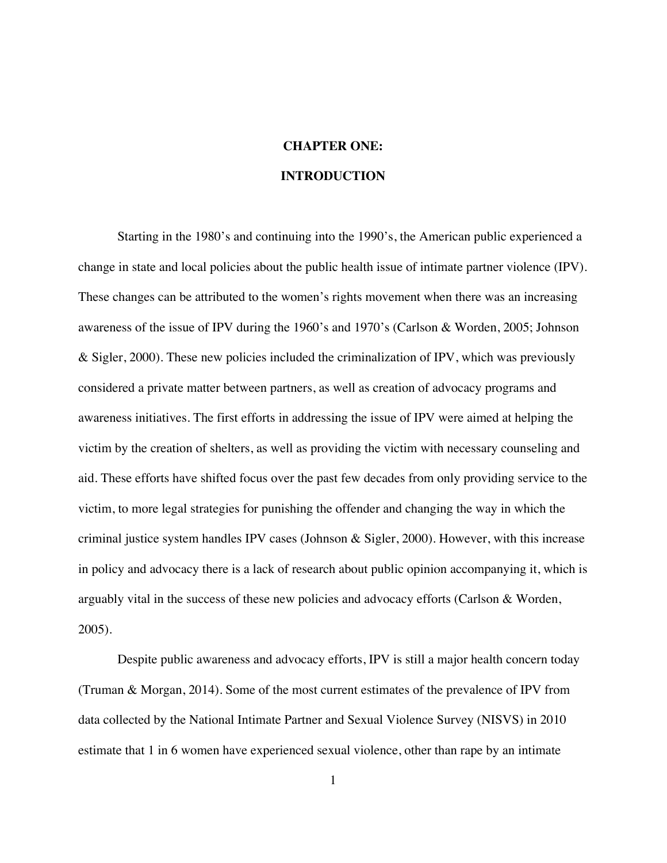# **CHAPTER ONE: INTRODUCTION**

Starting in the 1980's and continuing into the 1990's, the American public experienced a change in state and local policies about the public health issue of intimate partner violence (IPV). These changes can be attributed to the women's rights movement when there was an increasing awareness of the issue of IPV during the 1960's and 1970's (Carlson & Worden, 2005; Johnson & Sigler, 2000). These new policies included the criminalization of IPV, which was previously considered a private matter between partners, as well as creation of advocacy programs and awareness initiatives. The first efforts in addressing the issue of IPV were aimed at helping the victim by the creation of shelters, as well as providing the victim with necessary counseling and aid. These efforts have shifted focus over the past few decades from only providing service to the victim, to more legal strategies for punishing the offender and changing the way in which the criminal justice system handles IPV cases (Johnson & Sigler, 2000). However, with this increase in policy and advocacy there is a lack of research about public opinion accompanying it, which is arguably vital in the success of these new policies and advocacy efforts (Carlson & Worden, 2005).

Despite public awareness and advocacy efforts, IPV is still a major health concern today (Truman & Morgan, 2014). Some of the most current estimates of the prevalence of IPV from data collected by the National Intimate Partner and Sexual Violence Survey (NISVS) in 2010 estimate that 1 in 6 women have experienced sexual violence, other than rape by an intimate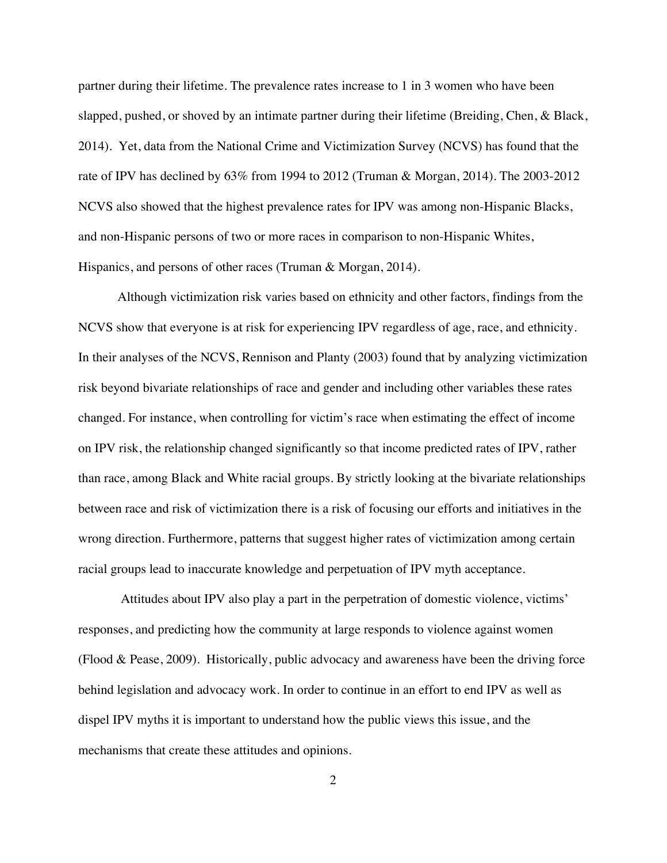partner during their lifetime. The prevalence rates increase to 1 in 3 women who have been slapped, pushed, or shoved by an intimate partner during their lifetime (Breiding, Chen, & Black, 2014). Yet, data from the National Crime and Victimization Survey (NCVS) has found that the rate of IPV has declined by 63% from 1994 to 2012 (Truman & Morgan, 2014). The 2003-2012 NCVS also showed that the highest prevalence rates for IPV was among non-Hispanic Blacks, and non-Hispanic persons of two or more races in comparison to non-Hispanic Whites, Hispanics, and persons of other races (Truman & Morgan, 2014).

Although victimization risk varies based on ethnicity and other factors, findings from the NCVS show that everyone is at risk for experiencing IPV regardless of age, race, and ethnicity. In their analyses of the NCVS, Rennison and Planty (2003) found that by analyzing victimization risk beyond bivariate relationships of race and gender and including other variables these rates changed. For instance, when controlling for victim's race when estimating the effect of income on IPV risk, the relationship changed significantly so that income predicted rates of IPV, rather than race, among Black and White racial groups. By strictly looking at the bivariate relationships between race and risk of victimization there is a risk of focusing our efforts and initiatives in the wrong direction. Furthermore, patterns that suggest higher rates of victimization among certain racial groups lead to inaccurate knowledge and perpetuation of IPV myth acceptance.

Attitudes about IPV also play a part in the perpetration of domestic violence, victims' responses, and predicting how the community at large responds to violence against women (Flood & Pease, 2009). Historically, public advocacy and awareness have been the driving force behind legislation and advocacy work. In order to continue in an effort to end IPV as well as dispel IPV myths it is important to understand how the public views this issue, and the mechanisms that create these attitudes and opinions.

2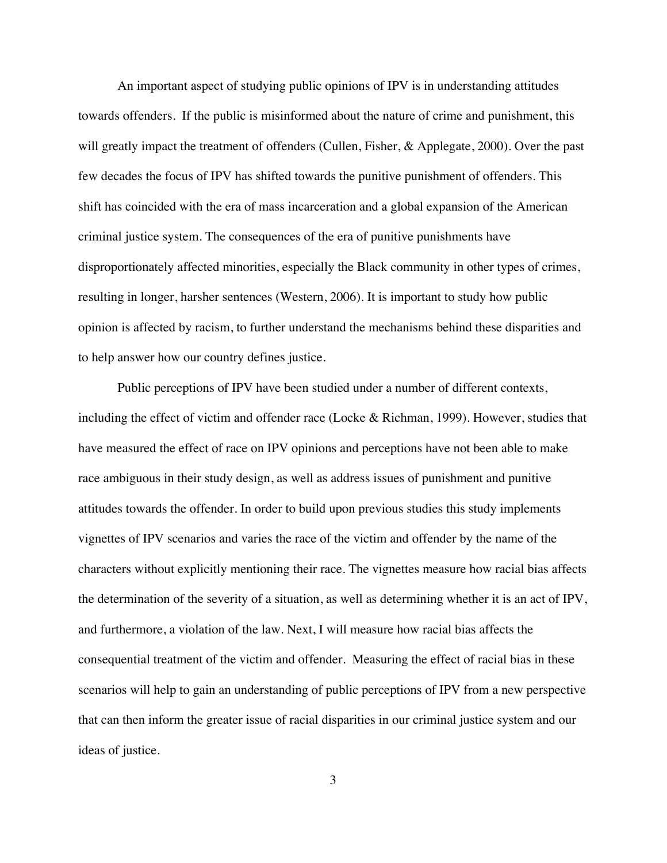An important aspect of studying public opinions of IPV is in understanding attitudes towards offenders. If the public is misinformed about the nature of crime and punishment, this will greatly impact the treatment of offenders (Cullen, Fisher, & Applegate, 2000). Over the past few decades the focus of IPV has shifted towards the punitive punishment of offenders. This shift has coincided with the era of mass incarceration and a global expansion of the American criminal justice system. The consequences of the era of punitive punishments have disproportionately affected minorities, especially the Black community in other types of crimes, resulting in longer, harsher sentences (Western, 2006). It is important to study how public opinion is affected by racism, to further understand the mechanisms behind these disparities and to help answer how our country defines justice.

Public perceptions of IPV have been studied under a number of different contexts, including the effect of victim and offender race (Locke & Richman, 1999). However, studies that have measured the effect of race on IPV opinions and perceptions have not been able to make race ambiguous in their study design, as well as address issues of punishment and punitive attitudes towards the offender. In order to build upon previous studies this study implements vignettes of IPV scenarios and varies the race of the victim and offender by the name of the characters without explicitly mentioning their race. The vignettes measure how racial bias affects the determination of the severity of a situation, as well as determining whether it is an act of IPV, and furthermore, a violation of the law. Next, I will measure how racial bias affects the consequential treatment of the victim and offender. Measuring the effect of racial bias in these scenarios will help to gain an understanding of public perceptions of IPV from a new perspective that can then inform the greater issue of racial disparities in our criminal justice system and our ideas of justice.

3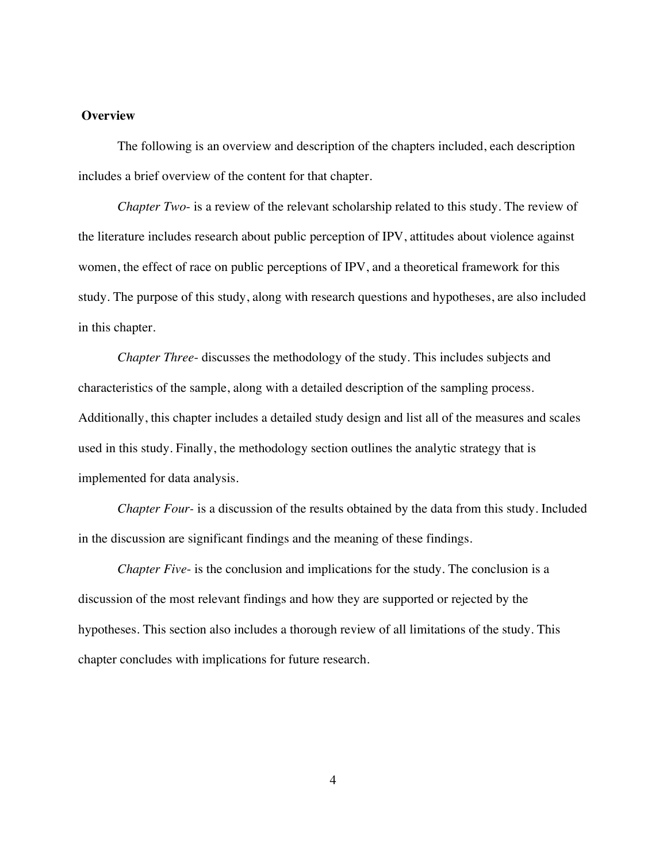#### **Overview**

The following is an overview and description of the chapters included, each description includes a brief overview of the content for that chapter.

*Chapter Two*- is a review of the relevant scholarship related to this study. The review of the literature includes research about public perception of IPV, attitudes about violence against women, the effect of race on public perceptions of IPV, and a theoretical framework for this study. The purpose of this study, along with research questions and hypotheses, are also included in this chapter.

*Chapter Three*- discusses the methodology of the study. This includes subjects and characteristics of the sample, along with a detailed description of the sampling process. Additionally, this chapter includes a detailed study design and list all of the measures and scales used in this study. Finally, the methodology section outlines the analytic strategy that is implemented for data analysis.

*Chapter Four-* is a discussion of the results obtained by the data from this study. Included in the discussion are significant findings and the meaning of these findings.

*Chapter Five*- is the conclusion and implications for the study. The conclusion is a discussion of the most relevant findings and how they are supported or rejected by the hypotheses. This section also includes a thorough review of all limitations of the study. This chapter concludes with implications for future research.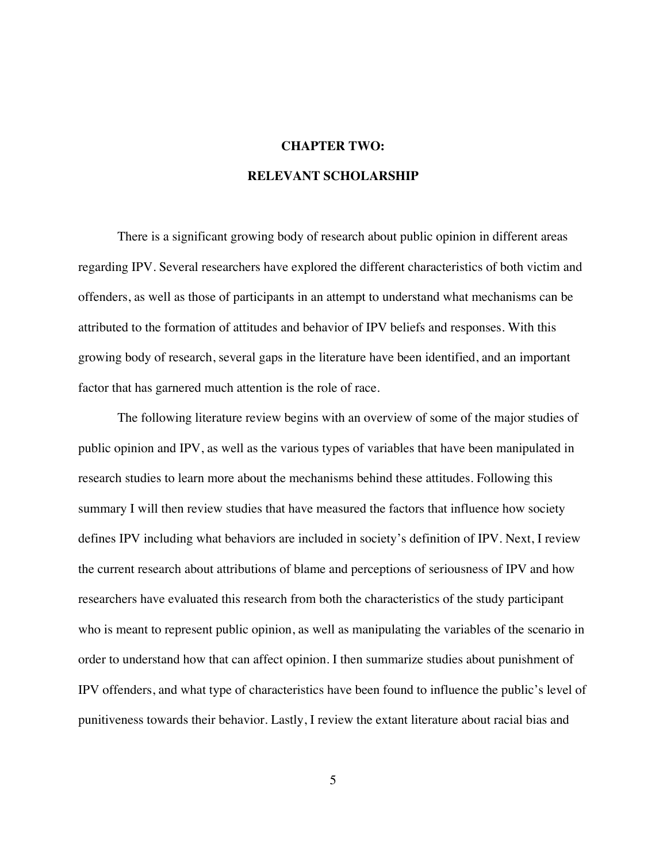### **CHAPTER TWO:**

#### **RELEVANT SCHOLARSHIP**

There is a significant growing body of research about public opinion in different areas regarding IPV. Several researchers have explored the different characteristics of both victim and offenders, as well as those of participants in an attempt to understand what mechanisms can be attributed to the formation of attitudes and behavior of IPV beliefs and responses. With this growing body of research, several gaps in the literature have been identified, and an important factor that has garnered much attention is the role of race.

The following literature review begins with an overview of some of the major studies of public opinion and IPV, as well as the various types of variables that have been manipulated in research studies to learn more about the mechanisms behind these attitudes. Following this summary I will then review studies that have measured the factors that influence how society defines IPV including what behaviors are included in society's definition of IPV. Next, I review the current research about attributions of blame and perceptions of seriousness of IPV and how researchers have evaluated this research from both the characteristics of the study participant who is meant to represent public opinion, as well as manipulating the variables of the scenario in order to understand how that can affect opinion. I then summarize studies about punishment of IPV offenders, and what type of characteristics have been found to influence the public's level of punitiveness towards their behavior. Lastly, I review the extant literature about racial bias and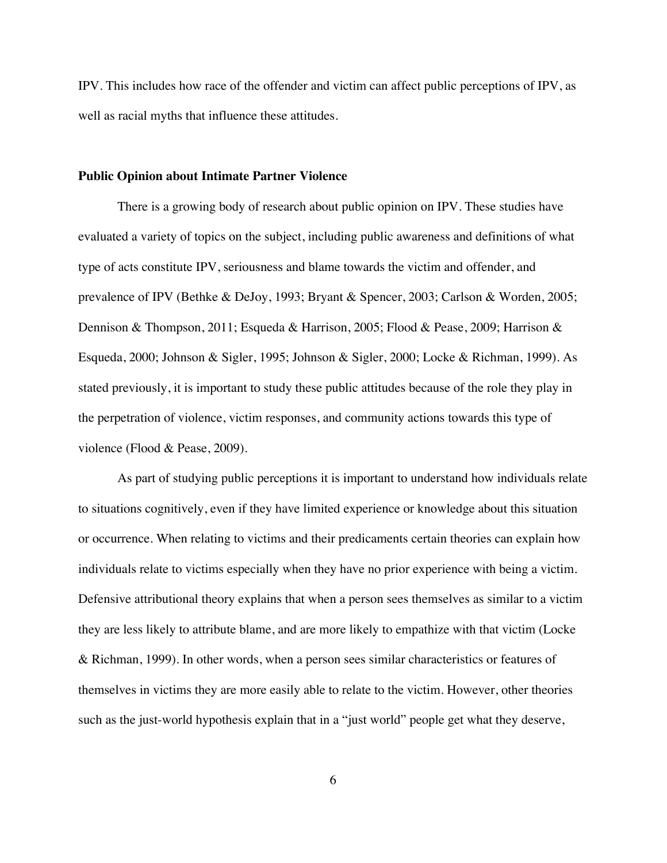IPV. This includes how race of the offender and victim can affect public perceptions of IPV, as well as racial myths that influence these attitudes.

#### **Public Opinion about Intimate Partner Violence**

There is a growing body of research about public opinion on IPV. These studies have evaluated a variety of topics on the subject, including public awareness and definitions of what type of acts constitute IPV, seriousness and blame towards the victim and offender, and prevalence of IPV (Bethke & DeJoy, 1993; Bryant & Spencer, 2003; Carlson & Worden, 2005; Dennison & Thompson, 2011; Esqueda & Harrison, 2005; Flood & Pease, 2009; Harrison & Esqueda, 2000; Johnson & Sigler, 1995; Johnson & Sigler, 2000; Locke & Richman, 1999). As stated previously, it is important to study these public attitudes because of the role they play in the perpetration of violence, victim responses, and community actions towards this type of violence (Flood & Pease, 2009).

As part of studying public perceptions it is important to understand how individuals relate to situations cognitively, even if they have limited experience or knowledge about this situation or occurrence. When relating to victims and their predicaments certain theories can explain how individuals relate to victims especially when they have no prior experience with being a victim. Defensive attributional theory explains that when a person sees themselves as similar to a victim they are less likely to attribute blame, and are more likely to empathize with that victim (Locke & Richman, 1999). In other words, when a person sees similar characteristics or features of themselves in victims they are more easily able to relate to the victim. However, other theories such as the just-world hypothesis explain that in a "just world" people get what they deserve,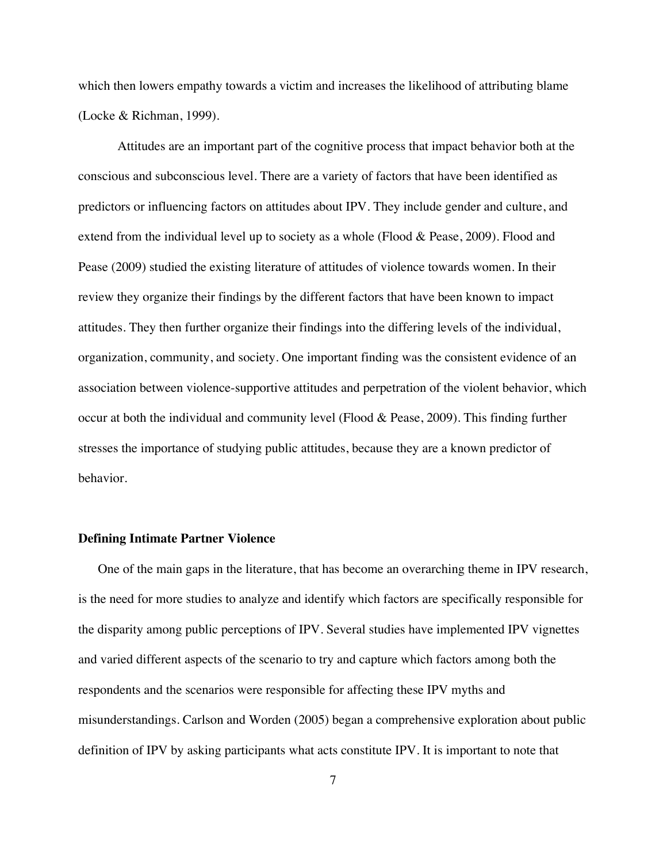which then lowers empathy towards a victim and increases the likelihood of attributing blame (Locke & Richman, 1999).

Attitudes are an important part of the cognitive process that impact behavior both at the conscious and subconscious level. There are a variety of factors that have been identified as predictors or influencing factors on attitudes about IPV. They include gender and culture, and extend from the individual level up to society as a whole (Flood & Pease, 2009). Flood and Pease (2009) studied the existing literature of attitudes of violence towards women. In their review they organize their findings by the different factors that have been known to impact attitudes. They then further organize their findings into the differing levels of the individual, organization, community, and society. One important finding was the consistent evidence of an association between violence-supportive attitudes and perpetration of the violent behavior, which occur at both the individual and community level (Flood & Pease, 2009). This finding further stresses the importance of studying public attitudes, because they are a known predictor of behavior.

#### **Defining Intimate Partner Violence**

One of the main gaps in the literature, that has become an overarching theme in IPV research, is the need for more studies to analyze and identify which factors are specifically responsible for the disparity among public perceptions of IPV. Several studies have implemented IPV vignettes and varied different aspects of the scenario to try and capture which factors among both the respondents and the scenarios were responsible for affecting these IPV myths and misunderstandings. Carlson and Worden (2005) began a comprehensive exploration about public definition of IPV by asking participants what acts constitute IPV. It is important to note that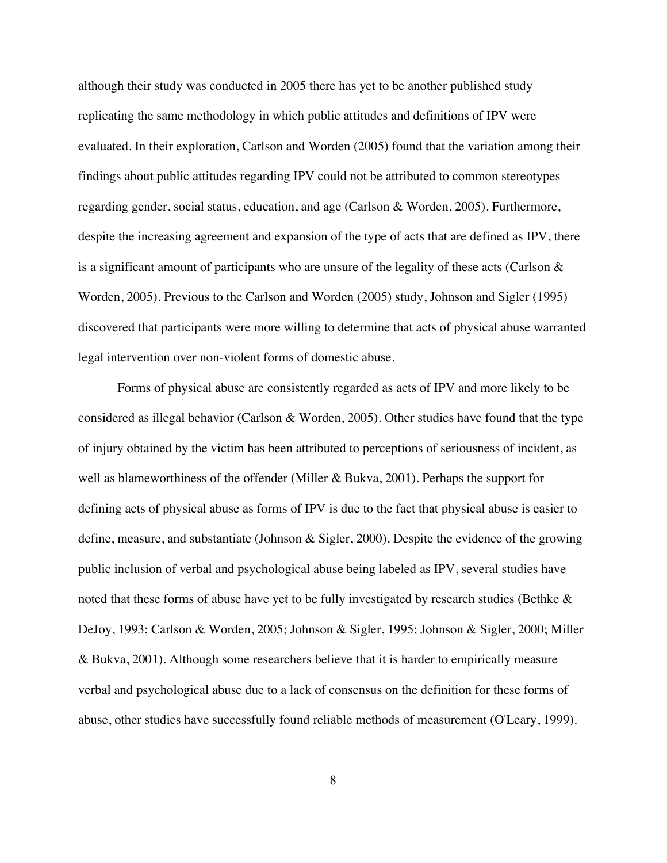although their study was conducted in 2005 there has yet to be another published study replicating the same methodology in which public attitudes and definitions of IPV were evaluated. In their exploration, Carlson and Worden (2005) found that the variation among their findings about public attitudes regarding IPV could not be attributed to common stereotypes regarding gender, social status, education, and age (Carlson & Worden, 2005). Furthermore, despite the increasing agreement and expansion of the type of acts that are defined as IPV, there is a significant amount of participants who are unsure of the legality of these acts (Carlson  $\&$ Worden, 2005). Previous to the Carlson and Worden (2005) study, Johnson and Sigler (1995) discovered that participants were more willing to determine that acts of physical abuse warranted legal intervention over non-violent forms of domestic abuse.

Forms of physical abuse are consistently regarded as acts of IPV and more likely to be considered as illegal behavior (Carlson & Worden, 2005). Other studies have found that the type of injury obtained by the victim has been attributed to perceptions of seriousness of incident, as well as blameworthiness of the offender (Miller & Bukva, 2001). Perhaps the support for defining acts of physical abuse as forms of IPV is due to the fact that physical abuse is easier to define, measure, and substantiate (Johnson & Sigler, 2000). Despite the evidence of the growing public inclusion of verbal and psychological abuse being labeled as IPV, several studies have noted that these forms of abuse have yet to be fully investigated by research studies (Bethke & DeJoy, 1993; Carlson & Worden, 2005; Johnson & Sigler, 1995; Johnson & Sigler, 2000; Miller & Bukva, 2001). Although some researchers believe that it is harder to empirically measure verbal and psychological abuse due to a lack of consensus on the definition for these forms of abuse, other studies have successfully found reliable methods of measurement (O'Leary, 1999).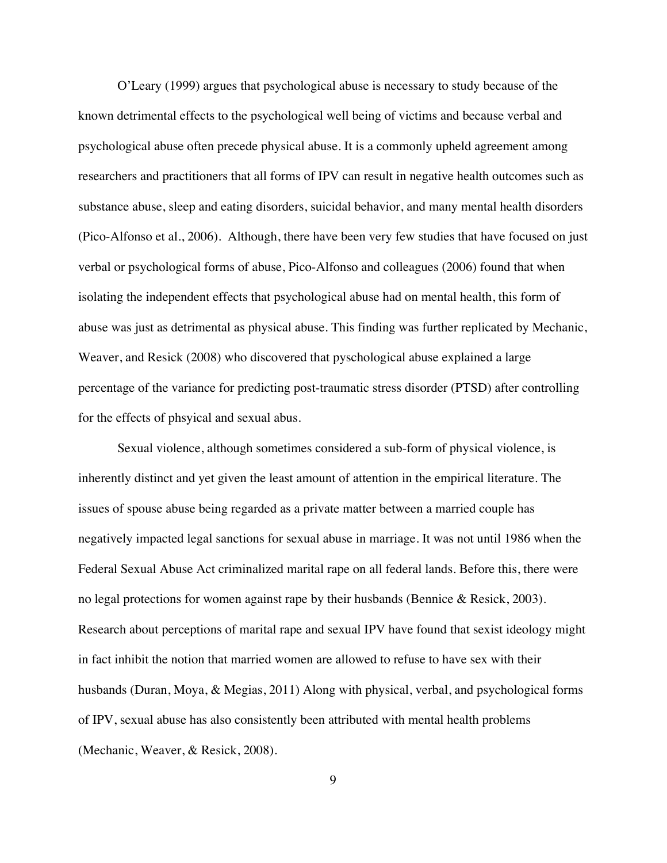O'Leary (1999) argues that psychological abuse is necessary to study because of the known detrimental effects to the psychological well being of victims and because verbal and psychological abuse often precede physical abuse. It is a commonly upheld agreement among researchers and practitioners that all forms of IPV can result in negative health outcomes such as substance abuse, sleep and eating disorders, suicidal behavior, and many mental health disorders (Pico-Alfonso et al., 2006). Although, there have been very few studies that have focused on just verbal or psychological forms of abuse, Pico-Alfonso and colleagues (2006) found that when isolating the independent effects that psychological abuse had on mental health, this form of abuse was just as detrimental as physical abuse. This finding was further replicated by Mechanic, Weaver, and Resick (2008) who discovered that pyschological abuse explained a large percentage of the variance for predicting post-traumatic stress disorder (PTSD) after controlling for the effects of phsyical and sexual abus.

Sexual violence, although sometimes considered a sub-form of physical violence, is inherently distinct and yet given the least amount of attention in the empirical literature. The issues of spouse abuse being regarded as a private matter between a married couple has negatively impacted legal sanctions for sexual abuse in marriage. It was not until 1986 when the Federal Sexual Abuse Act criminalized marital rape on all federal lands. Before this, there were no legal protections for women against rape by their husbands (Bennice & Resick, 2003). Research about perceptions of marital rape and sexual IPV have found that sexist ideology might in fact inhibit the notion that married women are allowed to refuse to have sex with their husbands (Duran, Moya, & Megias, 2011) Along with physical, verbal, and psychological forms of IPV, sexual abuse has also consistently been attributed with mental health problems (Mechanic, Weaver, & Resick, 2008).

9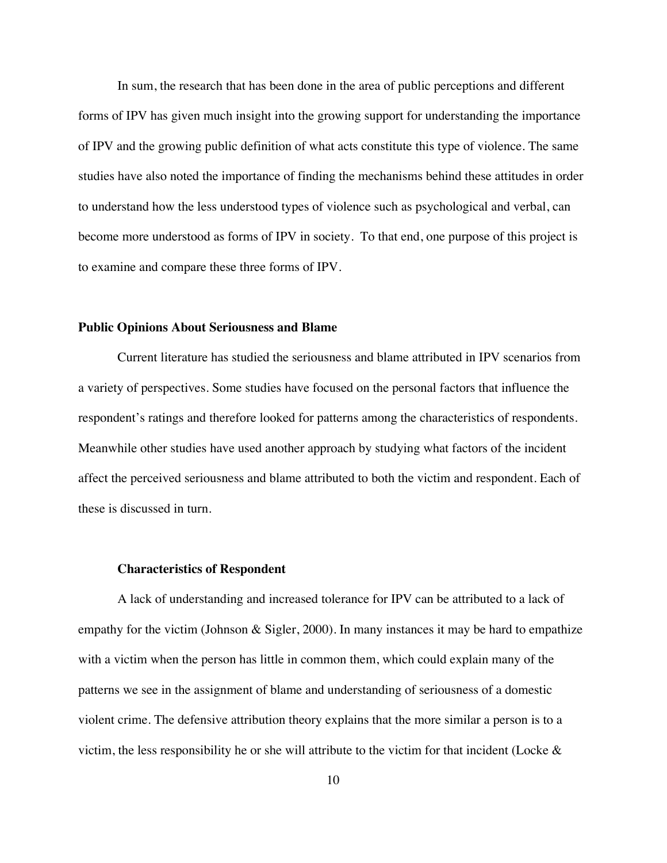In sum, the research that has been done in the area of public perceptions and different forms of IPV has given much insight into the growing support for understanding the importance of IPV and the growing public definition of what acts constitute this type of violence. The same studies have also noted the importance of finding the mechanisms behind these attitudes in order to understand how the less understood types of violence such as psychological and verbal, can become more understood as forms of IPV in society. To that end, one purpose of this project is to examine and compare these three forms of IPV.

#### **Public Opinions About Seriousness and Blame**

Current literature has studied the seriousness and blame attributed in IPV scenarios from a variety of perspectives. Some studies have focused on the personal factors that influence the respondent's ratings and therefore looked for patterns among the characteristics of respondents. Meanwhile other studies have used another approach by studying what factors of the incident affect the perceived seriousness and blame attributed to both the victim and respondent. Each of these is discussed in turn.

#### **Characteristics of Respondent**

A lack of understanding and increased tolerance for IPV can be attributed to a lack of empathy for the victim (Johnson  $&$  Sigler, 2000). In many instances it may be hard to empathize with a victim when the person has little in common them, which could explain many of the patterns we see in the assignment of blame and understanding of seriousness of a domestic violent crime. The defensive attribution theory explains that the more similar a person is to a victim, the less responsibility he or she will attribute to the victim for that incident (Locke  $\&$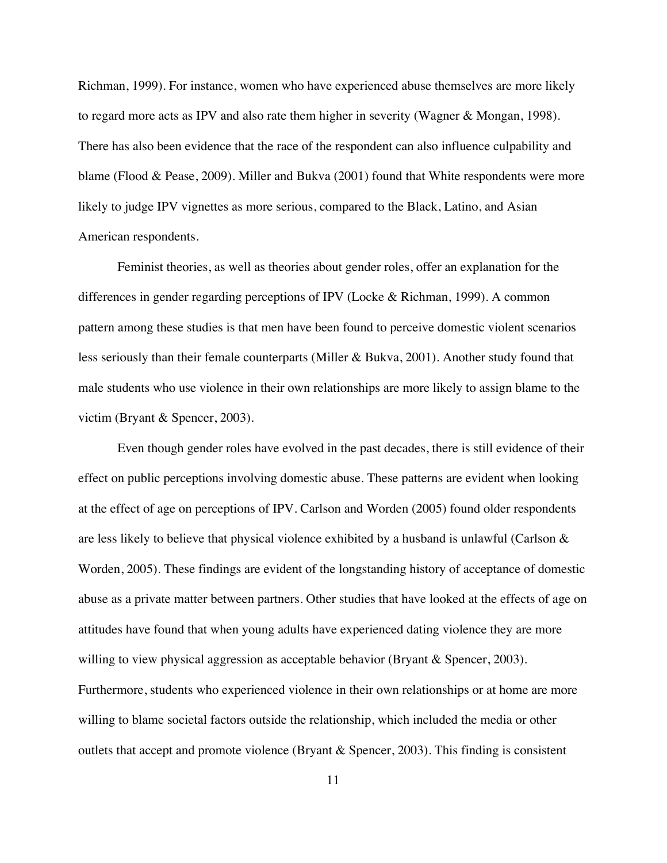Richman, 1999). For instance, women who have experienced abuse themselves are more likely to regard more acts as IPV and also rate them higher in severity (Wagner & Mongan, 1998). There has also been evidence that the race of the respondent can also influence culpability and blame (Flood & Pease, 2009). Miller and Bukva (2001) found that White respondents were more likely to judge IPV vignettes as more serious, compared to the Black, Latino, and Asian American respondents.

Feminist theories, as well as theories about gender roles, offer an explanation for the differences in gender regarding perceptions of IPV (Locke & Richman, 1999). A common pattern among these studies is that men have been found to perceive domestic violent scenarios less seriously than their female counterparts (Miller & Bukva, 2001). Another study found that male students who use violence in their own relationships are more likely to assign blame to the victim (Bryant & Spencer, 2003).

Even though gender roles have evolved in the past decades, there is still evidence of their effect on public perceptions involving domestic abuse. These patterns are evident when looking at the effect of age on perceptions of IPV. Carlson and Worden (2005) found older respondents are less likely to believe that physical violence exhibited by a husband is unlawful (Carlson & Worden, 2005). These findings are evident of the longstanding history of acceptance of domestic abuse as a private matter between partners. Other studies that have looked at the effects of age on attitudes have found that when young adults have experienced dating violence they are more willing to view physical aggression as acceptable behavior (Bryant & Spencer, 2003). Furthermore, students who experienced violence in their own relationships or at home are more willing to blame societal factors outside the relationship, which included the media or other outlets that accept and promote violence (Bryant & Spencer, 2003). This finding is consistent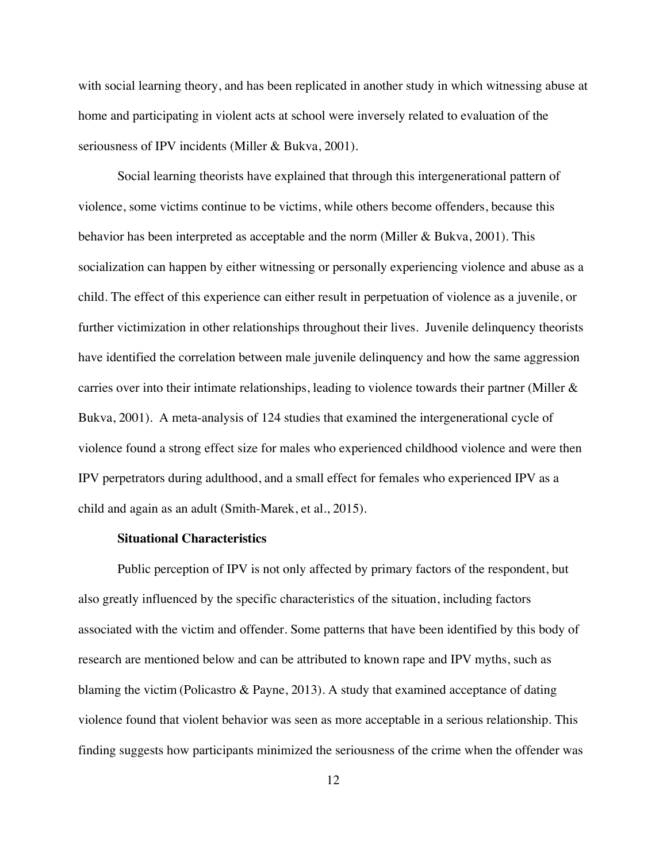with social learning theory, and has been replicated in another study in which witnessing abuse at home and participating in violent acts at school were inversely related to evaluation of the seriousness of IPV incidents (Miller & Bukva, 2001).

Social learning theorists have explained that through this intergenerational pattern of violence, some victims continue to be victims, while others become offenders, because this behavior has been interpreted as acceptable and the norm (Miller & Bukva, 2001). This socialization can happen by either witnessing or personally experiencing violence and abuse as a child. The effect of this experience can either result in perpetuation of violence as a juvenile, or further victimization in other relationships throughout their lives. Juvenile delinquency theorists have identified the correlation between male juvenile delinquency and how the same aggression carries over into their intimate relationships, leading to violence towards their partner (Miller  $\&$ Bukva, 2001). A meta-analysis of 124 studies that examined the intergenerational cycle of violence found a strong effect size for males who experienced childhood violence and were then IPV perpetrators during adulthood, and a small effect for females who experienced IPV as a child and again as an adult (Smith-Marek, et al., 2015).

#### **Situational Characteristics**

Public perception of IPV is not only affected by primary factors of the respondent, but also greatly influenced by the specific characteristics of the situation, including factors associated with the victim and offender. Some patterns that have been identified by this body of research are mentioned below and can be attributed to known rape and IPV myths, such as blaming the victim (Policastro & Payne, 2013). A study that examined acceptance of dating violence found that violent behavior was seen as more acceptable in a serious relationship. This finding suggests how participants minimized the seriousness of the crime when the offender was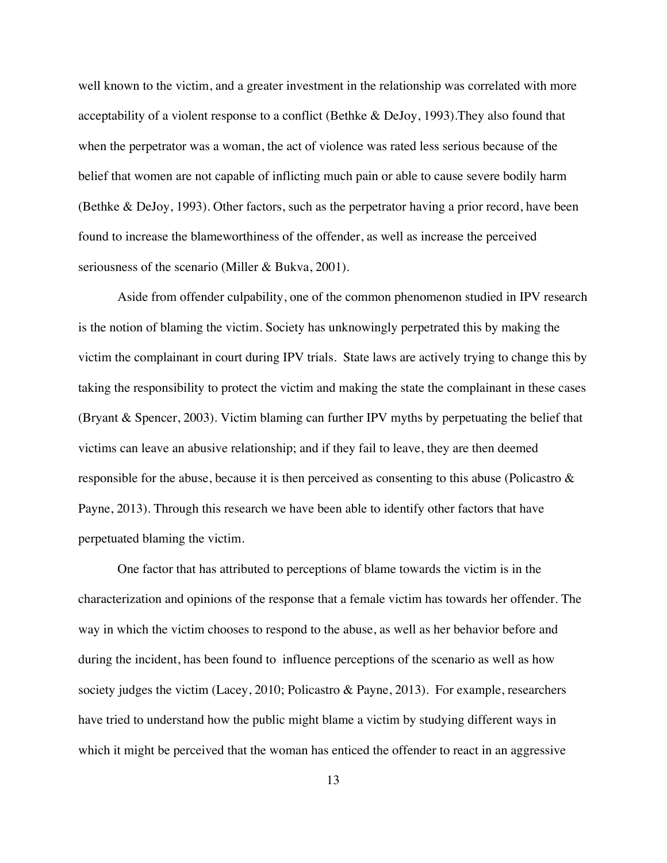well known to the victim, and a greater investment in the relationship was correlated with more acceptability of a violent response to a conflict (Bethke & DeJoy, 1993).They also found that when the perpetrator was a woman, the act of violence was rated less serious because of the belief that women are not capable of inflicting much pain or able to cause severe bodily harm (Bethke & DeJoy, 1993). Other factors, such as the perpetrator having a prior record, have been found to increase the blameworthiness of the offender, as well as increase the perceived seriousness of the scenario (Miller & Bukva, 2001).

Aside from offender culpability, one of the common phenomenon studied in IPV research is the notion of blaming the victim. Society has unknowingly perpetrated this by making the victim the complainant in court during IPV trials. State laws are actively trying to change this by taking the responsibility to protect the victim and making the state the complainant in these cases (Bryant & Spencer, 2003). Victim blaming can further IPV myths by perpetuating the belief that victims can leave an abusive relationship; and if they fail to leave, they are then deemed responsible for the abuse, because it is then perceived as consenting to this abuse (Policastro & Payne, 2013). Through this research we have been able to identify other factors that have perpetuated blaming the victim.

One factor that has attributed to perceptions of blame towards the victim is in the characterization and opinions of the response that a female victim has towards her offender. The way in which the victim chooses to respond to the abuse, as well as her behavior before and during the incident, has been found to influence perceptions of the scenario as well as how society judges the victim (Lacey, 2010; Policastro & Payne, 2013). For example, researchers have tried to understand how the public might blame a victim by studying different ways in which it might be perceived that the woman has enticed the offender to react in an aggressive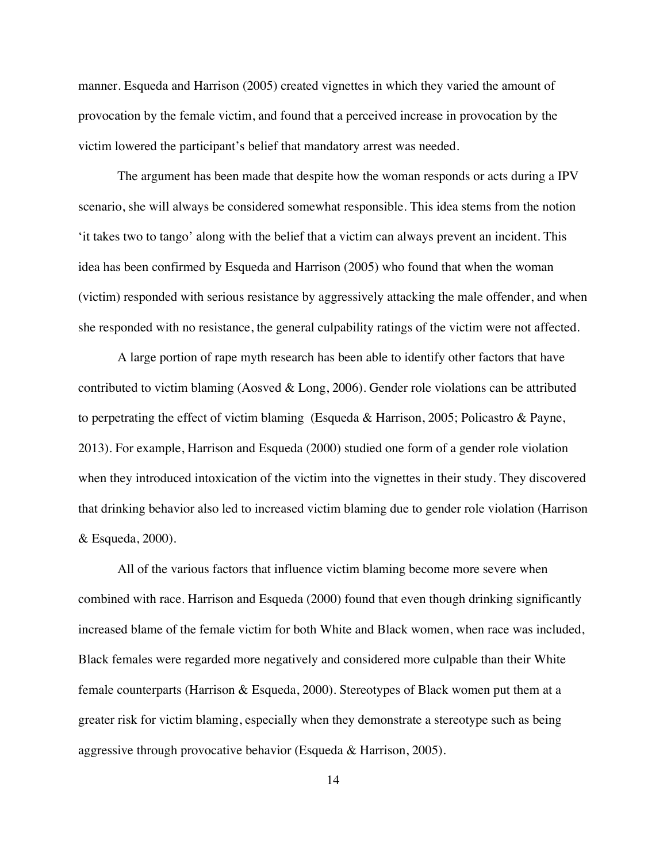manner. Esqueda and Harrison (2005) created vignettes in which they varied the amount of provocation by the female victim, and found that a perceived increase in provocation by the victim lowered the participant's belief that mandatory arrest was needed.

The argument has been made that despite how the woman responds or acts during a IPV scenario, she will always be considered somewhat responsible. This idea stems from the notion 'it takes two to tango' along with the belief that a victim can always prevent an incident. This idea has been confirmed by Esqueda and Harrison (2005) who found that when the woman (victim) responded with serious resistance by aggressively attacking the male offender, and when she responded with no resistance, the general culpability ratings of the victim were not affected.

A large portion of rape myth research has been able to identify other factors that have contributed to victim blaming (Aosved & Long, 2006). Gender role violations can be attributed to perpetrating the effect of victim blaming (Esqueda & Harrison, 2005; Policastro & Payne, 2013). For example, Harrison and Esqueda (2000) studied one form of a gender role violation when they introduced intoxication of the victim into the vignettes in their study. They discovered that drinking behavior also led to increased victim blaming due to gender role violation (Harrison & Esqueda, 2000).

All of the various factors that influence victim blaming become more severe when combined with race. Harrison and Esqueda (2000) found that even though drinking significantly increased blame of the female victim for both White and Black women, when race was included, Black females were regarded more negatively and considered more culpable than their White female counterparts (Harrison & Esqueda, 2000). Stereotypes of Black women put them at a greater risk for victim blaming, especially when they demonstrate a stereotype such as being aggressive through provocative behavior (Esqueda & Harrison, 2005).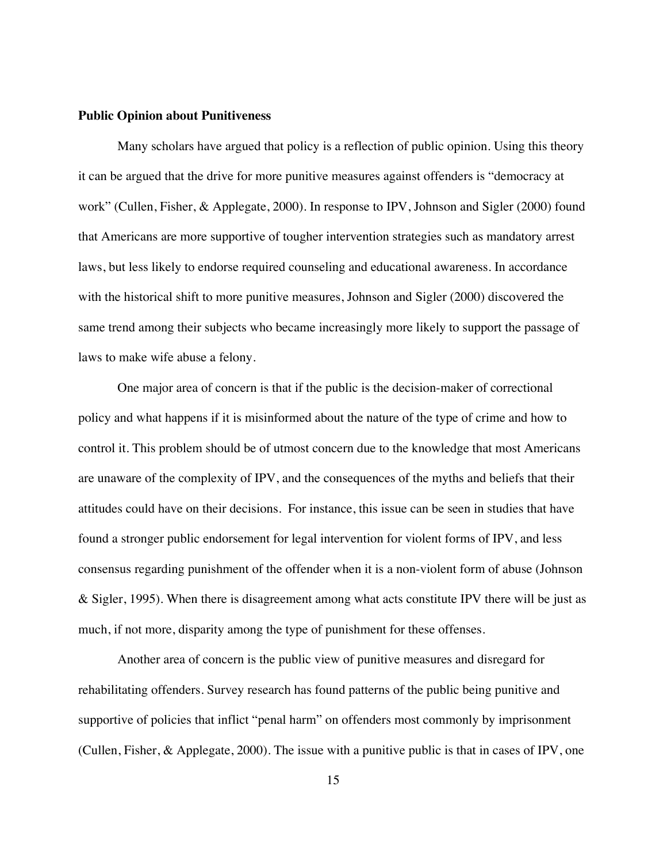#### **Public Opinion about Punitiveness**

Many scholars have argued that policy is a reflection of public opinion. Using this theory it can be argued that the drive for more punitive measures against offenders is "democracy at work" (Cullen, Fisher, & Applegate, 2000). In response to IPV, Johnson and Sigler (2000) found that Americans are more supportive of tougher intervention strategies such as mandatory arrest laws, but less likely to endorse required counseling and educational awareness. In accordance with the historical shift to more punitive measures, Johnson and Sigler (2000) discovered the same trend among their subjects who became increasingly more likely to support the passage of laws to make wife abuse a felony.

One major area of concern is that if the public is the decision-maker of correctional policy and what happens if it is misinformed about the nature of the type of crime and how to control it. This problem should be of utmost concern due to the knowledge that most Americans are unaware of the complexity of IPV, and the consequences of the myths and beliefs that their attitudes could have on their decisions. For instance, this issue can be seen in studies that have found a stronger public endorsement for legal intervention for violent forms of IPV, and less consensus regarding punishment of the offender when it is a non-violent form of abuse (Johnson & Sigler, 1995). When there is disagreement among what acts constitute IPV there will be just as much, if not more, disparity among the type of punishment for these offenses.

Another area of concern is the public view of punitive measures and disregard for rehabilitating offenders. Survey research has found patterns of the public being punitive and supportive of policies that inflict "penal harm" on offenders most commonly by imprisonment (Cullen, Fisher, & Applegate, 2000). The issue with a punitive public is that in cases of IPV, one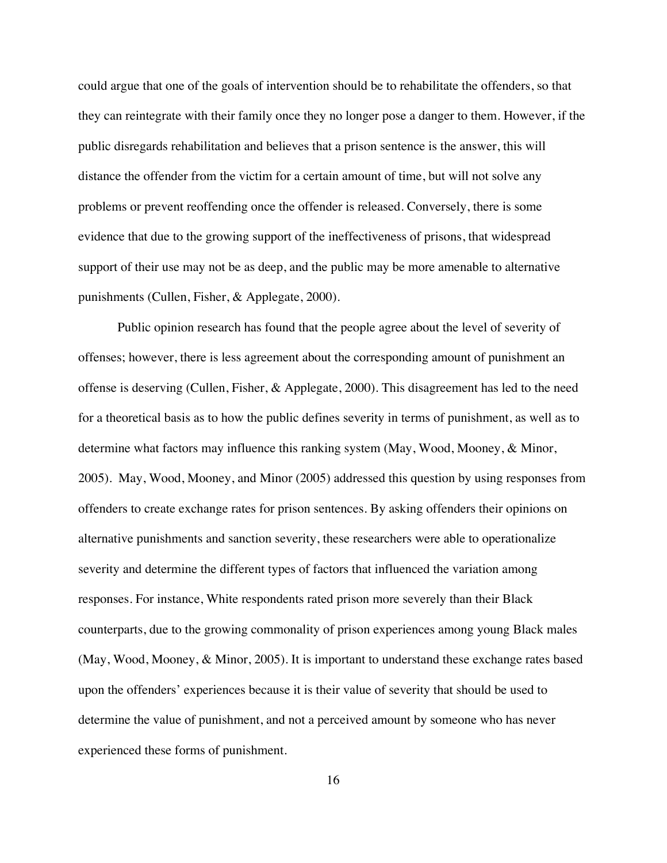could argue that one of the goals of intervention should be to rehabilitate the offenders, so that they can reintegrate with their family once they no longer pose a danger to them. However, if the public disregards rehabilitation and believes that a prison sentence is the answer, this will distance the offender from the victim for a certain amount of time, but will not solve any problems or prevent reoffending once the offender is released. Conversely, there is some evidence that due to the growing support of the ineffectiveness of prisons, that widespread support of their use may not be as deep, and the public may be more amenable to alternative punishments (Cullen, Fisher, & Applegate, 2000).

Public opinion research has found that the people agree about the level of severity of offenses; however, there is less agreement about the corresponding amount of punishment an offense is deserving (Cullen, Fisher, & Applegate, 2000). This disagreement has led to the need for a theoretical basis as to how the public defines severity in terms of punishment, as well as to determine what factors may influence this ranking system (May, Wood, Mooney, & Minor, 2005). May, Wood, Mooney, and Minor (2005) addressed this question by using responses from offenders to create exchange rates for prison sentences. By asking offenders their opinions on alternative punishments and sanction severity, these researchers were able to operationalize severity and determine the different types of factors that influenced the variation among responses. For instance, White respondents rated prison more severely than their Black counterparts, due to the growing commonality of prison experiences among young Black males (May, Wood, Mooney, & Minor, 2005). It is important to understand these exchange rates based upon the offenders' experiences because it is their value of severity that should be used to determine the value of punishment, and not a perceived amount by someone who has never experienced these forms of punishment.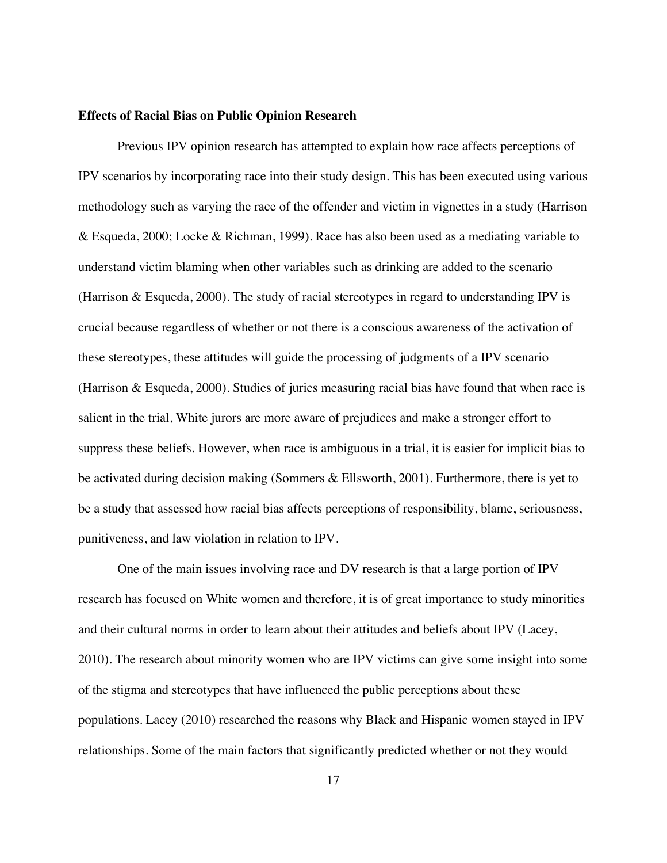#### **Effects of Racial Bias on Public Opinion Research**

Previous IPV opinion research has attempted to explain how race affects perceptions of IPV scenarios by incorporating race into their study design. This has been executed using various methodology such as varying the race of the offender and victim in vignettes in a study (Harrison & Esqueda, 2000; Locke & Richman, 1999). Race has also been used as a mediating variable to understand victim blaming when other variables such as drinking are added to the scenario (Harrison & Esqueda, 2000). The study of racial stereotypes in regard to understanding IPV is crucial because regardless of whether or not there is a conscious awareness of the activation of these stereotypes, these attitudes will guide the processing of judgments of a IPV scenario (Harrison & Esqueda, 2000). Studies of juries measuring racial bias have found that when race is salient in the trial, White jurors are more aware of prejudices and make a stronger effort to suppress these beliefs. However, when race is ambiguous in a trial, it is easier for implicit bias to be activated during decision making (Sommers & Ellsworth, 2001). Furthermore, there is yet to be a study that assessed how racial bias affects perceptions of responsibility, blame, seriousness, punitiveness, and law violation in relation to IPV.

One of the main issues involving race and DV research is that a large portion of IPV research has focused on White women and therefore, it is of great importance to study minorities and their cultural norms in order to learn about their attitudes and beliefs about IPV (Lacey, 2010). The research about minority women who are IPV victims can give some insight into some of the stigma and stereotypes that have influenced the public perceptions about these populations. Lacey (2010) researched the reasons why Black and Hispanic women stayed in IPV relationships. Some of the main factors that significantly predicted whether or not they would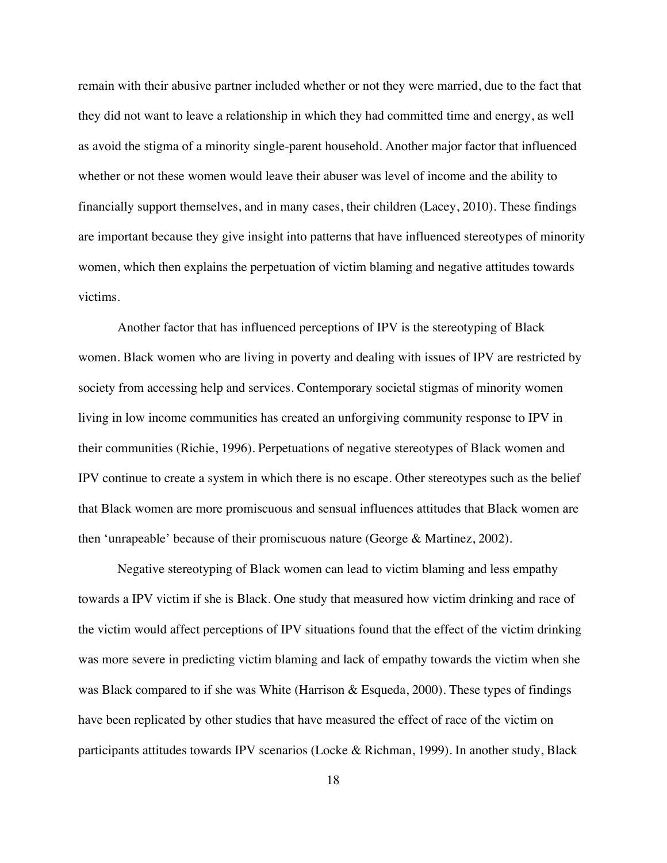remain with their abusive partner included whether or not they were married, due to the fact that they did not want to leave a relationship in which they had committed time and energy, as well as avoid the stigma of a minority single-parent household. Another major factor that influenced whether or not these women would leave their abuser was level of income and the ability to financially support themselves, and in many cases, their children (Lacey, 2010). These findings are important because they give insight into patterns that have influenced stereotypes of minority women, which then explains the perpetuation of victim blaming and negative attitudes towards victims.

Another factor that has influenced perceptions of IPV is the stereotyping of Black women. Black women who are living in poverty and dealing with issues of IPV are restricted by society from accessing help and services. Contemporary societal stigmas of minority women living in low income communities has created an unforgiving community response to IPV in their communities (Richie, 1996). Perpetuations of negative stereotypes of Black women and IPV continue to create a system in which there is no escape. Other stereotypes such as the belief that Black women are more promiscuous and sensual influences attitudes that Black women are then 'unrapeable' because of their promiscuous nature (George & Martinez, 2002).

Negative stereotyping of Black women can lead to victim blaming and less empathy towards a IPV victim if she is Black. One study that measured how victim drinking and race of the victim would affect perceptions of IPV situations found that the effect of the victim drinking was more severe in predicting victim blaming and lack of empathy towards the victim when she was Black compared to if she was White (Harrison & Esqueda, 2000). These types of findings have been replicated by other studies that have measured the effect of race of the victim on participants attitudes towards IPV scenarios (Locke & Richman, 1999). In another study, Black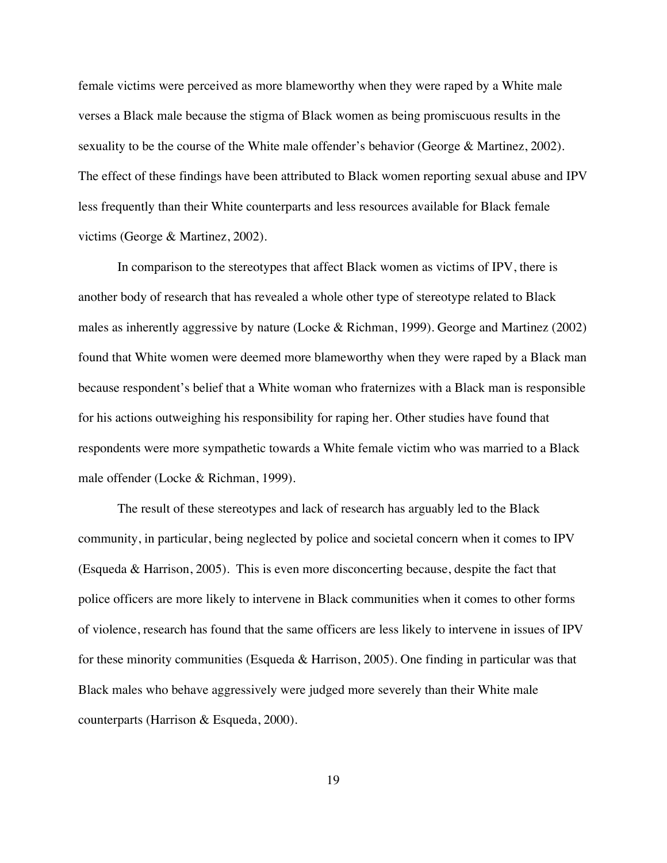female victims were perceived as more blameworthy when they were raped by a White male verses a Black male because the stigma of Black women as being promiscuous results in the sexuality to be the course of the White male offender's behavior (George & Martinez, 2002). The effect of these findings have been attributed to Black women reporting sexual abuse and IPV less frequently than their White counterparts and less resources available for Black female victims (George & Martinez, 2002).

In comparison to the stereotypes that affect Black women as victims of IPV, there is another body of research that has revealed a whole other type of stereotype related to Black males as inherently aggressive by nature (Locke & Richman, 1999). George and Martinez (2002) found that White women were deemed more blameworthy when they were raped by a Black man because respondent's belief that a White woman who fraternizes with a Black man is responsible for his actions outweighing his responsibility for raping her. Other studies have found that respondents were more sympathetic towards a White female victim who was married to a Black male offender (Locke & Richman, 1999).

The result of these stereotypes and lack of research has arguably led to the Black community, in particular, being neglected by police and societal concern when it comes to IPV (Esqueda & Harrison, 2005). This is even more disconcerting because, despite the fact that police officers are more likely to intervene in Black communities when it comes to other forms of violence, research has found that the same officers are less likely to intervene in issues of IPV for these minority communities (Esqueda & Harrison, 2005). One finding in particular was that Black males who behave aggressively were judged more severely than their White male counterparts (Harrison & Esqueda, 2000).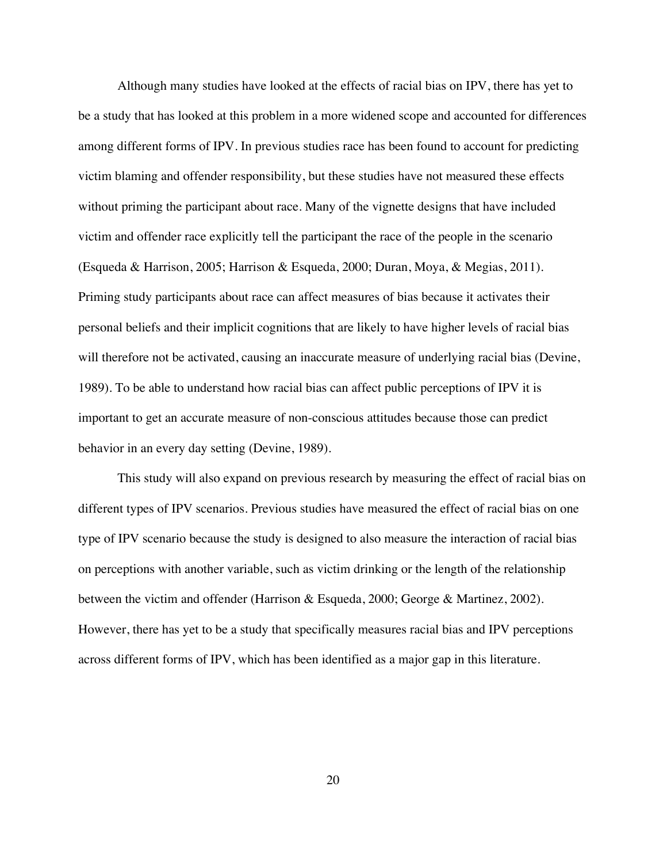Although many studies have looked at the effects of racial bias on IPV, there has yet to be a study that has looked at this problem in a more widened scope and accounted for differences among different forms of IPV. In previous studies race has been found to account for predicting victim blaming and offender responsibility, but these studies have not measured these effects without priming the participant about race. Many of the vignette designs that have included victim and offender race explicitly tell the participant the race of the people in the scenario (Esqueda & Harrison, 2005; Harrison & Esqueda, 2000; Duran, Moya, & Megias, 2011). Priming study participants about race can affect measures of bias because it activates their personal beliefs and their implicit cognitions that are likely to have higher levels of racial bias will therefore not be activated, causing an inaccurate measure of underlying racial bias (Devine, 1989). To be able to understand how racial bias can affect public perceptions of IPV it is important to get an accurate measure of non-conscious attitudes because those can predict behavior in an every day setting (Devine, 1989).

This study will also expand on previous research by measuring the effect of racial bias on different types of IPV scenarios. Previous studies have measured the effect of racial bias on one type of IPV scenario because the study is designed to also measure the interaction of racial bias on perceptions with another variable, such as victim drinking or the length of the relationship between the victim and offender (Harrison & Esqueda, 2000; George & Martinez, 2002). However, there has yet to be a study that specifically measures racial bias and IPV perceptions across different forms of IPV, which has been identified as a major gap in this literature.

20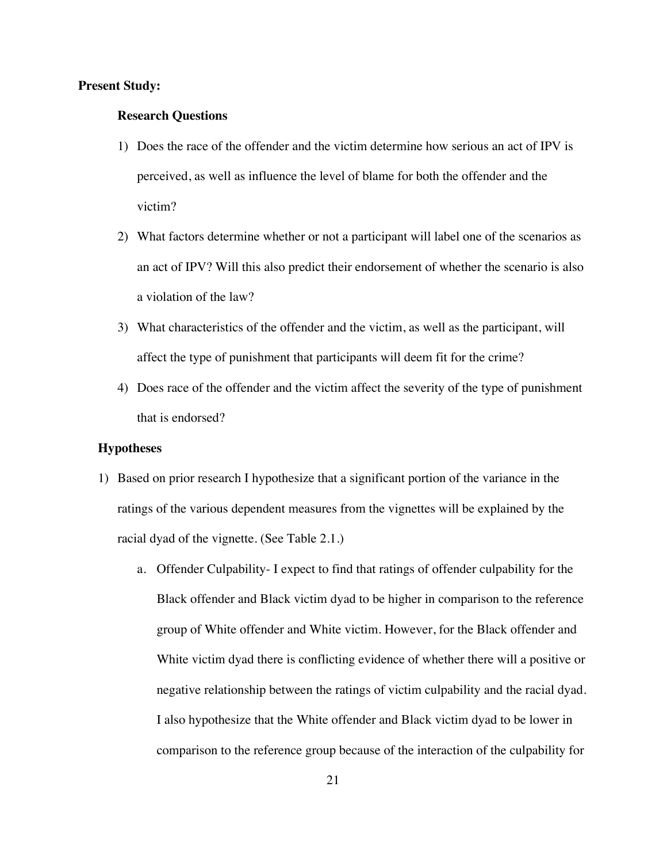#### **Present Study:**

#### **Research Questions**

- 1) Does the race of the offender and the victim determine how serious an act of IPV is perceived, as well as influence the level of blame for both the offender and the victim?
- 2) What factors determine whether or not a participant will label one of the scenarios as an act of IPV? Will this also predict their endorsement of whether the scenario is also a violation of the law?
- 3) What characteristics of the offender and the victim, as well as the participant, will affect the type of punishment that participants will deem fit for the crime?
- 4) Does race of the offender and the victim affect the severity of the type of punishment that is endorsed?

#### **Hypotheses**

- 1) Based on prior research I hypothesize that a significant portion of the variance in the ratings of the various dependent measures from the vignettes will be explained by the racial dyad of the vignette. (See Table 2.1.)
	- a. Offender Culpability- I expect to find that ratings of offender culpability for the Black offender and Black victim dyad to be higher in comparison to the reference group of White offender and White victim. However, for the Black offender and White victim dyad there is conflicting evidence of whether there will a positive or negative relationship between the ratings of victim culpability and the racial dyad. I also hypothesize that the White offender and Black victim dyad to be lower in comparison to the reference group because of the interaction of the culpability for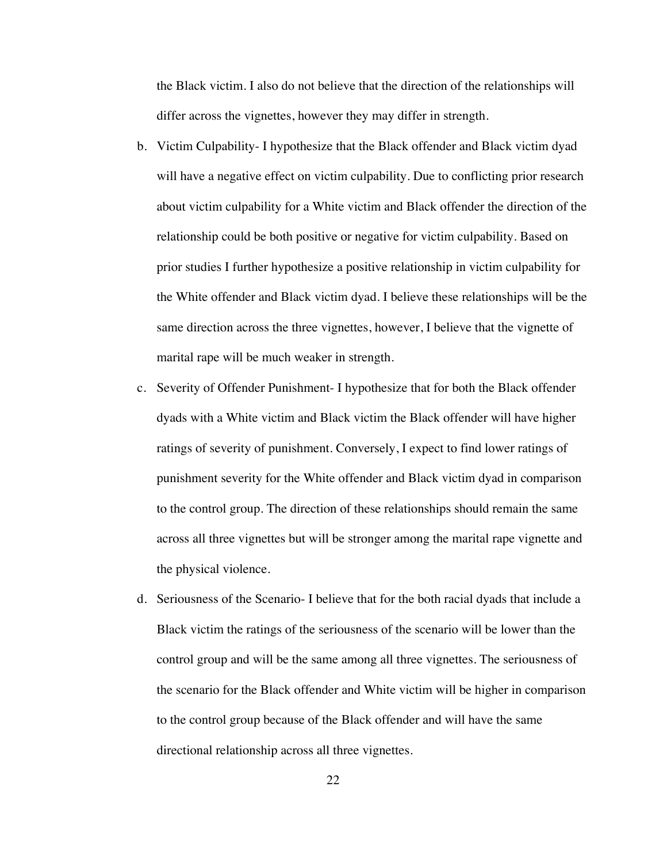the Black victim. I also do not believe that the direction of the relationships will differ across the vignettes, however they may differ in strength.

- b. Victim Culpability- I hypothesize that the Black offender and Black victim dyad will have a negative effect on victim culpability. Due to conflicting prior research about victim culpability for a White victim and Black offender the direction of the relationship could be both positive or negative for victim culpability. Based on prior studies I further hypothesize a positive relationship in victim culpability for the White offender and Black victim dyad. I believe these relationships will be the same direction across the three vignettes, however, I believe that the vignette of marital rape will be much weaker in strength.
- c. Severity of Offender Punishment- I hypothesize that for both the Black offender dyads with a White victim and Black victim the Black offender will have higher ratings of severity of punishment. Conversely, I expect to find lower ratings of punishment severity for the White offender and Black victim dyad in comparison to the control group. The direction of these relationships should remain the same across all three vignettes but will be stronger among the marital rape vignette and the physical violence.
- d. Seriousness of the Scenario- I believe that for the both racial dyads that include a Black victim the ratings of the seriousness of the scenario will be lower than the control group and will be the same among all three vignettes. The seriousness of the scenario for the Black offender and White victim will be higher in comparison to the control group because of the Black offender and will have the same directional relationship across all three vignettes.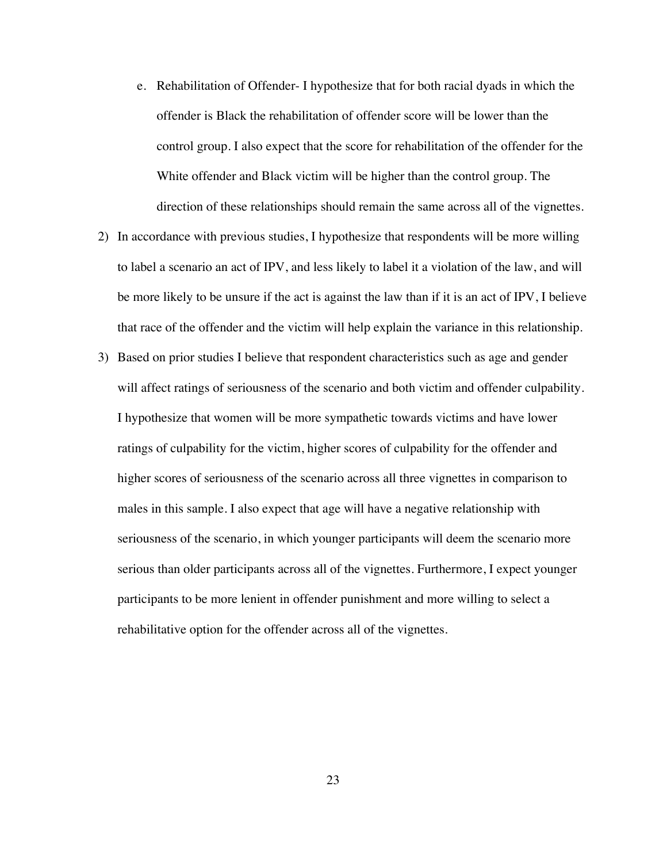- e. Rehabilitation of Offender- I hypothesize that for both racial dyads in which the offender is Black the rehabilitation of offender score will be lower than the control group. I also expect that the score for rehabilitation of the offender for the White offender and Black victim will be higher than the control group. The direction of these relationships should remain the same across all of the vignettes.
- 2) In accordance with previous studies, I hypothesize that respondents will be more willing to label a scenario an act of IPV, and less likely to label it a violation of the law, and will be more likely to be unsure if the act is against the law than if it is an act of IPV, I believe that race of the offender and the victim will help explain the variance in this relationship.
- 3) Based on prior studies I believe that respondent characteristics such as age and gender will affect ratings of seriousness of the scenario and both victim and offender culpability. I hypothesize that women will be more sympathetic towards victims and have lower ratings of culpability for the victim, higher scores of culpability for the offender and higher scores of seriousness of the scenario across all three vignettes in comparison to males in this sample. I also expect that age will have a negative relationship with seriousness of the scenario, in which younger participants will deem the scenario more serious than older participants across all of the vignettes. Furthermore, I expect younger participants to be more lenient in offender punishment and more willing to select a rehabilitative option for the offender across all of the vignettes.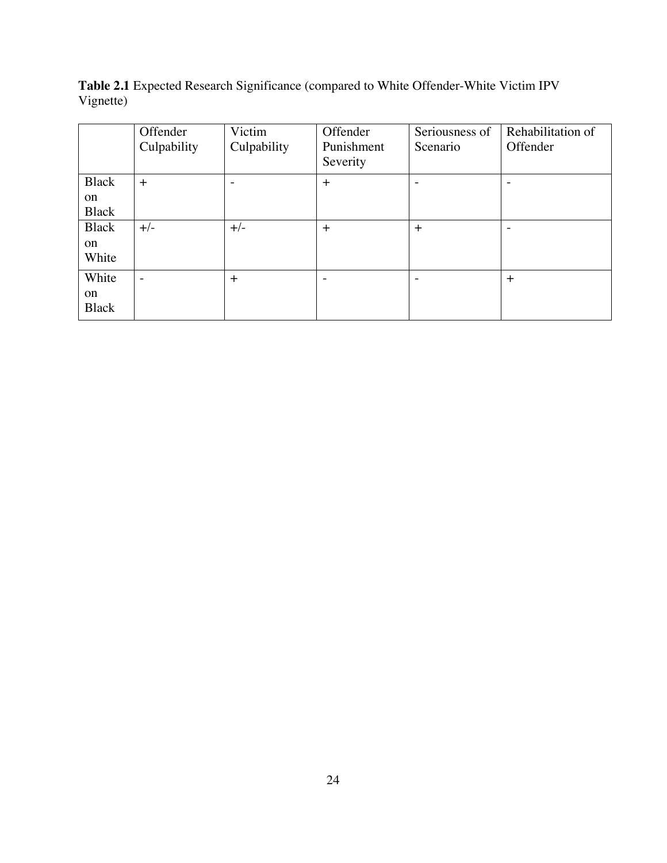**Table 2.1** Expected Research Significance (compared to White Offender-White Victim IPV Vignette)

|              | Offender    | Victim                   | Offender   | Seriousness of | Rehabilitation of        |
|--------------|-------------|--------------------------|------------|----------------|--------------------------|
|              | Culpability | Culpability              | Punishment | Scenario       | Offender                 |
|              |             |                          | Severity   |                |                          |
| <b>Black</b> | $^{+}$      | $\overline{\phantom{0}}$ | $\ddot{}$  | ۰              | $\overline{\phantom{a}}$ |
| on           |             |                          |            |                |                          |
| <b>Black</b> |             |                          |            |                |                          |
| <b>Black</b> | $+/-$       | $+/-$                    | $+$        | $+$            | $\overline{\phantom{a}}$ |
| on           |             |                          |            |                |                          |
| White        |             |                          |            |                |                          |
| White        | -           | $^{+}$                   | ۰          | ۰              | $+$                      |
| on           |             |                          |            |                |                          |
| <b>Black</b> |             |                          |            |                |                          |
|              |             |                          |            |                |                          |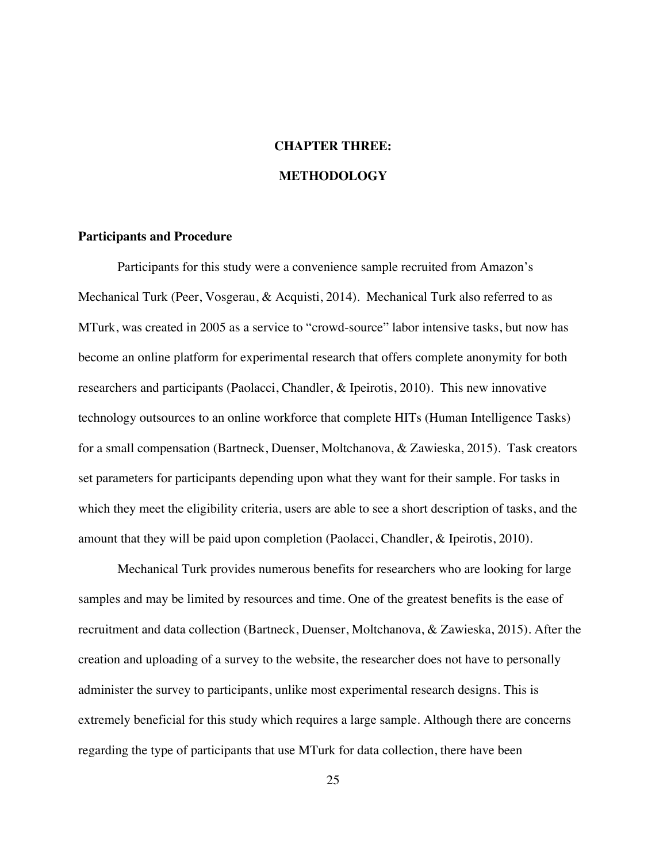#### **CHAPTER THREE:**

#### **METHODOLOGY**

#### **Participants and Procedure**

Participants for this study were a convenience sample recruited from Amazon's Mechanical Turk (Peer, Vosgerau, & Acquisti, 2014). Mechanical Turk also referred to as MTurk, was created in 2005 as a service to "crowd-source" labor intensive tasks, but now has become an online platform for experimental research that offers complete anonymity for both researchers and participants (Paolacci, Chandler, & Ipeirotis, 2010). This new innovative technology outsources to an online workforce that complete HITs (Human Intelligence Tasks) for a small compensation (Bartneck, Duenser, Moltchanova, & Zawieska, 2015). Task creators set parameters for participants depending upon what they want for their sample. For tasks in which they meet the eligibility criteria, users are able to see a short description of tasks, and the amount that they will be paid upon completion (Paolacci, Chandler, & Ipeirotis, 2010).

Mechanical Turk provides numerous benefits for researchers who are looking for large samples and may be limited by resources and time. One of the greatest benefits is the ease of recruitment and data collection (Bartneck, Duenser, Moltchanova, & Zawieska, 2015). After the creation and uploading of a survey to the website, the researcher does not have to personally administer the survey to participants, unlike most experimental research designs. This is extremely beneficial for this study which requires a large sample. Although there are concerns regarding the type of participants that use MTurk for data collection, there have been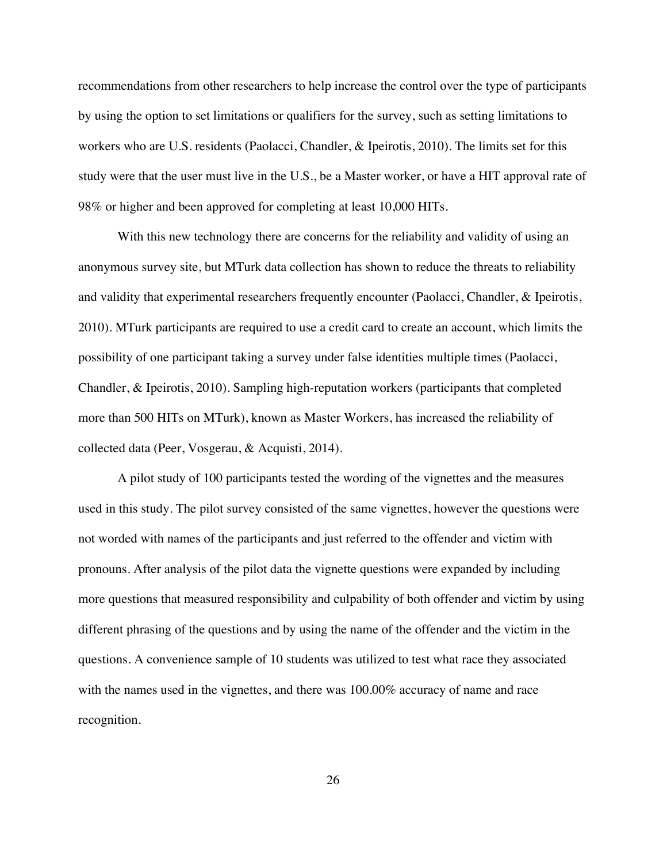recommendations from other researchers to help increase the control over the type of participants by using the option to set limitations or qualifiers for the survey, such as setting limitations to workers who are U.S. residents (Paolacci, Chandler, & Ipeirotis, 2010). The limits set for this study were that the user must live in the U.S., be a Master worker, or have a HIT approval rate of 98% or higher and been approved for completing at least 10,000 HITs.

With this new technology there are concerns for the reliability and validity of using an anonymous survey site, but MTurk data collection has shown to reduce the threats to reliability and validity that experimental researchers frequently encounter (Paolacci, Chandler, & Ipeirotis, 2010). MTurk participants are required to use a credit card to create an account, which limits the possibility of one participant taking a survey under false identities multiple times (Paolacci, Chandler, & Ipeirotis, 2010). Sampling high-reputation workers (participants that completed more than 500 HITs on MTurk), known as Master Workers, has increased the reliability of collected data (Peer, Vosgerau, & Acquisti, 2014).

A pilot study of 100 participants tested the wording of the vignettes and the measures used in this study. The pilot survey consisted of the same vignettes, however the questions were not worded with names of the participants and just referred to the offender and victim with pronouns. After analysis of the pilot data the vignette questions were expanded by including more questions that measured responsibility and culpability of both offender and victim by using different phrasing of the questions and by using the name of the offender and the victim in the questions. A convenience sample of 10 students was utilized to test what race they associated with the names used in the vignettes, and there was  $100.00\%$  accuracy of name and race recognition.

26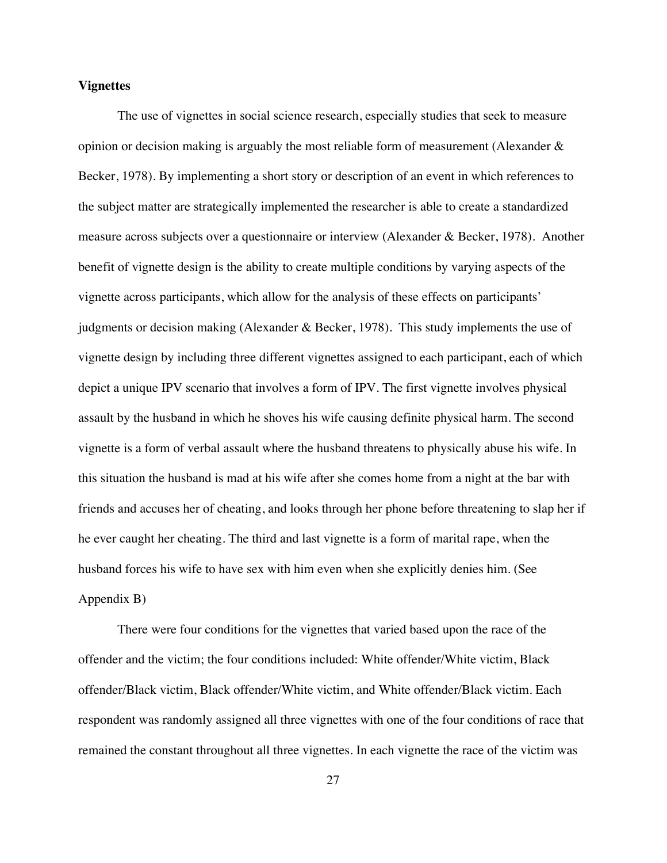#### **Vignettes**

The use of vignettes in social science research, especially studies that seek to measure opinion or decision making is arguably the most reliable form of measurement (Alexander  $\&$ Becker, 1978). By implementing a short story or description of an event in which references to the subject matter are strategically implemented the researcher is able to create a standardized measure across subjects over a questionnaire or interview (Alexander & Becker, 1978). Another benefit of vignette design is the ability to create multiple conditions by varying aspects of the vignette across participants, which allow for the analysis of these effects on participants' judgments or decision making (Alexander & Becker, 1978). This study implements the use of vignette design by including three different vignettes assigned to each participant, each of which depict a unique IPV scenario that involves a form of IPV. The first vignette involves physical assault by the husband in which he shoves his wife causing definite physical harm. The second vignette is a form of verbal assault where the husband threatens to physically abuse his wife. In this situation the husband is mad at his wife after she comes home from a night at the bar with friends and accuses her of cheating, and looks through her phone before threatening to slap her if he ever caught her cheating. The third and last vignette is a form of marital rape, when the husband forces his wife to have sex with him even when she explicitly denies him. (See Appendix B)

There were four conditions for the vignettes that varied based upon the race of the offender and the victim; the four conditions included: White offender/White victim, Black offender/Black victim, Black offender/White victim, and White offender/Black victim. Each respondent was randomly assigned all three vignettes with one of the four conditions of race that remained the constant throughout all three vignettes. In each vignette the race of the victim was

27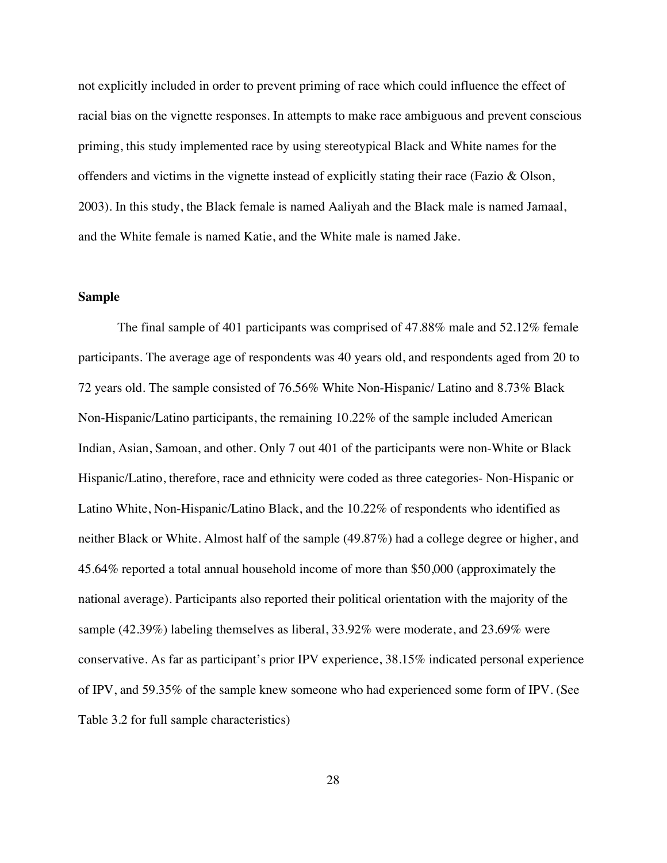not explicitly included in order to prevent priming of race which could influence the effect of racial bias on the vignette responses. In attempts to make race ambiguous and prevent conscious priming, this study implemented race by using stereotypical Black and White names for the offenders and victims in the vignette instead of explicitly stating their race (Fazio & Olson, 2003). In this study, the Black female is named Aaliyah and the Black male is named Jamaal, and the White female is named Katie, and the White male is named Jake.

#### **Sample**

The final sample of 401 participants was comprised of 47.88% male and 52.12% female participants. The average age of respondents was 40 years old, and respondents aged from 20 to 72 years old. The sample consisted of 76.56% White Non-Hispanic/ Latino and 8.73% Black Non-Hispanic/Latino participants, the remaining 10.22% of the sample included American Indian, Asian, Samoan, and other. Only 7 out 401 of the participants were non-White or Black Hispanic/Latino, therefore, race and ethnicity were coded as three categories- Non-Hispanic or Latino White, Non-Hispanic/Latino Black, and the 10.22% of respondents who identified as neither Black or White. Almost half of the sample (49.87%) had a college degree or higher, and 45.64% reported a total annual household income of more than \$50,000 (approximately the national average). Participants also reported their political orientation with the majority of the sample (42.39%) labeling themselves as liberal, 33.92% were moderate, and 23.69% were conservative. As far as participant's prior IPV experience, 38.15% indicated personal experience of IPV, and 59.35% of the sample knew someone who had experienced some form of IPV. (See Table 3.2 for full sample characteristics)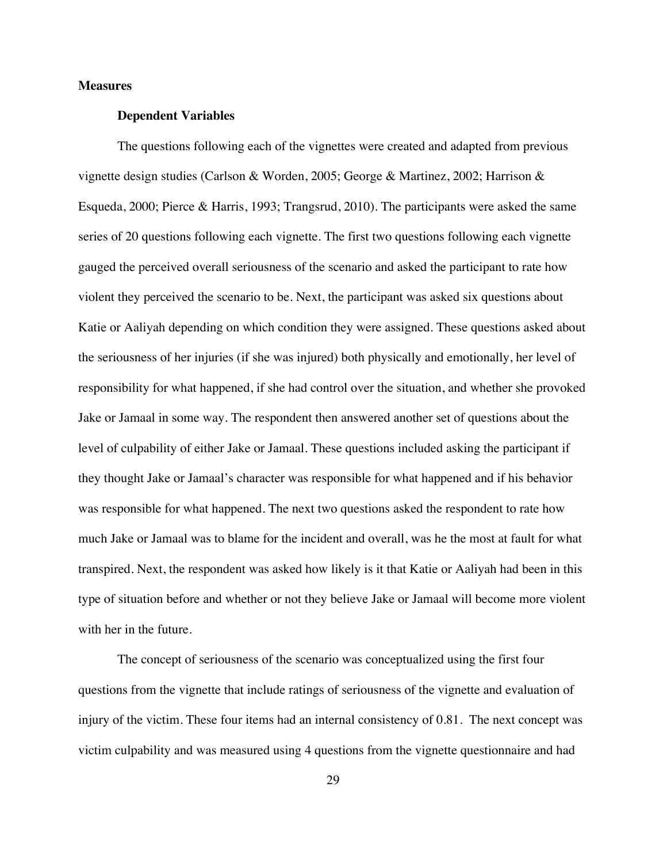## **Measures**

#### **Dependent Variables**

The questions following each of the vignettes were created and adapted from previous vignette design studies (Carlson & Worden, 2005; George & Martinez, 2002; Harrison & Esqueda, 2000; Pierce & Harris, 1993; Trangsrud, 2010). The participants were asked the same series of 20 questions following each vignette. The first two questions following each vignette gauged the perceived overall seriousness of the scenario and asked the participant to rate how violent they perceived the scenario to be. Next, the participant was asked six questions about Katie or Aaliyah depending on which condition they were assigned. These questions asked about the seriousness of her injuries (if she was injured) both physically and emotionally, her level of responsibility for what happened, if she had control over the situation, and whether she provoked Jake or Jamaal in some way. The respondent then answered another set of questions about the level of culpability of either Jake or Jamaal. These questions included asking the participant if they thought Jake or Jamaal's character was responsible for what happened and if his behavior was responsible for what happened. The next two questions asked the respondent to rate how much Jake or Jamaal was to blame for the incident and overall, was he the most at fault for what transpired. Next, the respondent was asked how likely is it that Katie or Aaliyah had been in this type of situation before and whether or not they believe Jake or Jamaal will become more violent with her in the future.

The concept of seriousness of the scenario was conceptualized using the first four questions from the vignette that include ratings of seriousness of the vignette and evaluation of injury of the victim. These four items had an internal consistency of 0.81. The next concept was victim culpability and was measured using 4 questions from the vignette questionnaire and had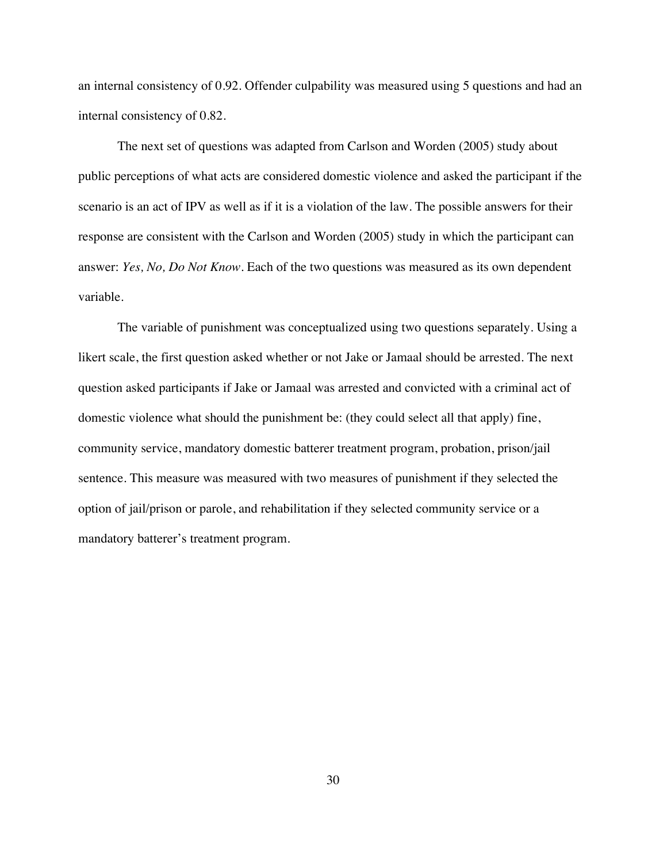an internal consistency of 0.92. Offender culpability was measured using 5 questions and had an internal consistency of 0.82.

The next set of questions was adapted from Carlson and Worden (2005) study about public perceptions of what acts are considered domestic violence and asked the participant if the scenario is an act of IPV as well as if it is a violation of the law. The possible answers for their response are consistent with the Carlson and Worden (2005) study in which the participant can answer: *Yes, No, Do Not Know*. Each of the two questions was measured as its own dependent variable.

The variable of punishment was conceptualized using two questions separately. Using a likert scale, the first question asked whether or not Jake or Jamaal should be arrested. The next question asked participants if Jake or Jamaal was arrested and convicted with a criminal act of domestic violence what should the punishment be: (they could select all that apply) fine, community service, mandatory domestic batterer treatment program, probation, prison/jail sentence. This measure was measured with two measures of punishment if they selected the option of jail/prison or parole, and rehabilitation if they selected community service or a mandatory batterer's treatment program.

30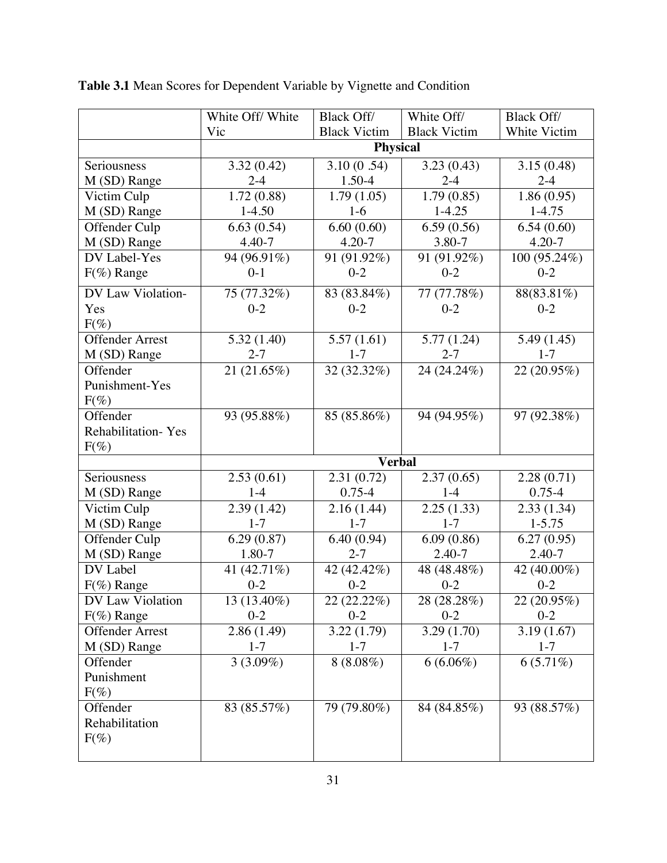|                        | White Off/White | <b>Black Off/</b>   | White Off/               | <b>Black Off/</b> |
|------------------------|-----------------|---------------------|--------------------------|-------------------|
|                        | Vic             | <b>Black Victim</b> | <b>Black Victim</b>      | White Victim      |
|                        |                 | Physical            |                          |                   |
| Seriousness            | 3.32(0.42)      | 3.10(0.54)          | 3.23(0.43)               | 3.15(0.48)        |
| M (SD) Range           | $2 - 4$         | 1.50-4              | $2 - 4$                  | $2 - 4$           |
| Victim Culp            | 1.72(0.88)      | 1.79(1.05)          | 1.79(0.85)               | 1.86(0.95)        |
| M (SD) Range           | $1-4.50$        | $1-6$               | $1-4.25$                 | $1 - 4.75$        |
| Offender Culp          | 6.63(0.54)      | 6.60(0.60)          | 6.59(0.56)               | 6.54(0.60)        |
| M (SD) Range           | $4.40 - 7$      | $4.20 - 7$          | 3.80-7                   | $4.20 - 7$        |
| DV Label-Yes           | 94 (96.91%)     | 91 (91.92%)         | 91 (91.92%)              | 100 (95.24%)      |
| $F(% \theta)$ Range    | $0-1$           | $0 - 2$             | $0 - 2$                  | $0 - 2$           |
| DV Law Violation-      | 75 (77.32%)     | 83 (83.84%)         | 77(77.78%)               | 88(83.81%)        |
| Yes                    | $0 - 2$         | $0 - 2$             | $0 - 2$                  | $0 - 2$           |
| $F(\%)$                |                 |                     |                          |                   |
| <b>Offender Arrest</b> | 5.32(1.40)      | 5.57(1.61)          | 5.77(1.24)               | 5.49 (1.45)       |
| M (SD) Range           | $2 - 7$         | $1 - 7$             | $2 - 7$                  | $1 - 7$           |
| Offender               | 21 (21.65%)     | 32(32.32%)          | 24 (24.24%)              | 22 (20.95%)       |
| Punishment-Yes         |                 |                     |                          |                   |
| $F(\%)$                |                 |                     |                          |                   |
| Offender               | 93 (95.88%)     | 85 (85.86%)         | 94 (94.95%)              | 97 (92.38%)       |
| Rehabilitation-Yes     |                 |                     |                          |                   |
| $F(\%)$                |                 |                     |                          |                   |
|                        |                 | <b>Verbal</b>       |                          |                   |
| Seriousness            | 2.53(0.61)      | 2.31(0.72)          | 2.37(0.65)               | 2.28(0.71)        |
| M (SD) Range           | $1 - 4$         | $0.75 - 4$          | $1 - 4$                  | $0.75 - 4$        |
| Victim Culp            | 2.39(1.42)      | 2.16(1.44)          | 2.25(1.33)               | 2.33(1.34)        |
| M (SD) Range           | $1 - 7$         | $1 - 7$             | $1 - 7$                  | $1 - 5.75$        |
| Offender Culp          | 6.29(0.87)      | 6.40(0.94)          | 6.09(0.86)               | 6.27(0.95)        |
| M (SD) Range           | 1.80-7          | $2 - 7$             | $2.40 - 7$               | 2.40-7            |
| DV Label               | 41 (42.71%)     | 42 (42.42%)         | 48 (48.48%)              | 42 (40.00%)       |
| $F(\%)$ Range          | $0 - 2$         | $0 - 2$             | $0 - 2$                  | $0 - 2$           |
| DV Law Violation       | 13 (13.40%)     | 22 (22.22%)         | 28 (28.28%)              | 22(20.95%)        |
| $F(\%)$ Range          | $0 - 2$         | $0 - 2$             | $0 - 2$                  | $0 - 2$           |
| <b>Offender Arrest</b> | 2.86(1.49)      | 3.22(1.79)          | $\overline{3.29}$ (1.70) | 3.19(1.67)        |
| M (SD) Range           | $1 - 7$         | $1 - 7$             | $1 - 7$                  | $1 - 7$           |
| Offender               | $3(3.09\%)$     | $8(8.08\%)$         | $6(6.06\%)$              | $6(5.71\%)$       |
| Punishment             |                 |                     |                          |                   |
| $F(\%)$                |                 |                     |                          |                   |
| Offender               | 83 (85.57%)     | 79 (79.80%)         | 84 (84.85%)              | 93 (88.57%)       |
| Rehabilitation         |                 |                     |                          |                   |
| $F(\%)$                |                 |                     |                          |                   |
|                        |                 |                     |                          |                   |

**Table 3.1** Mean Scores for Dependent Variable by Vignette and Condition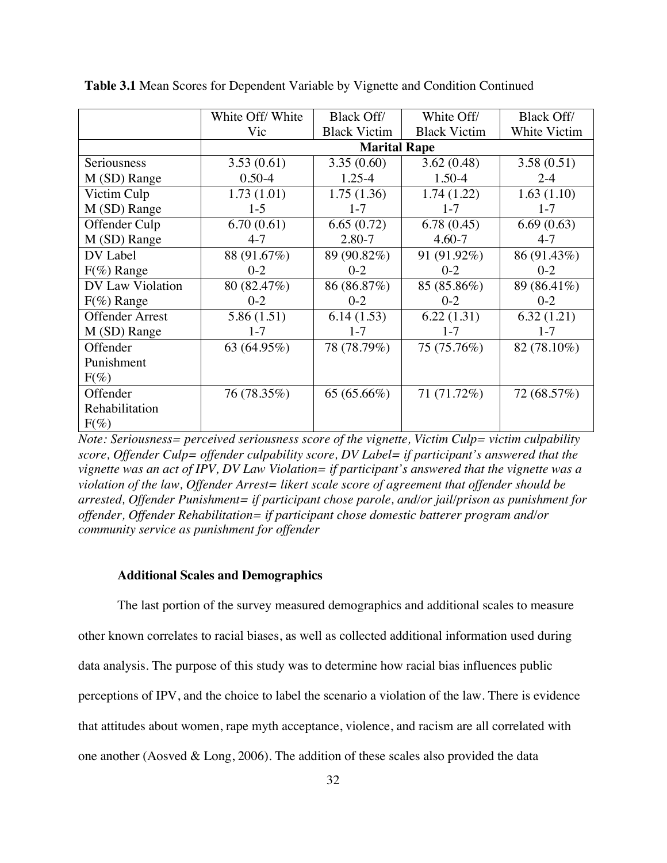|                        | White Off/White | <b>Black Off/</b>   | White Off/          | <b>Black Off/</b> |
|------------------------|-----------------|---------------------|---------------------|-------------------|
|                        | Vic             | <b>Black Victim</b> | <b>Black Victim</b> | White Victim      |
|                        |                 | <b>Marital Rape</b> |                     |                   |
| Seriousness            | 3.53(0.61)      | 3.35(0.60)          | 3.62(0.48)          | 3.58(0.51)        |
| M (SD) Range           | $0.50 - 4$      | $1.25 - 4$          | 1.50-4              | $2 - 4$           |
| Victim Culp            | 1.73(1.01)      | 1.75(1.36)          | 1.74(1.22)          | 1.63(1.10)        |
| M (SD) Range           | $1-5$           | $1 - 7$             | $1 - 7$             | $1 - 7$           |
| Offender Culp          | 6.70(0.61)      | 6.65(0.72)          | 6.78(0.45)          | 6.69(0.63)        |
| M (SD) Range           | $4 - 7$         | 2.80-7              | $4.60 - 7$          | $4 - 7$           |
| DV Label               | 88 (91.67%)     | 89 (90.82%)         | 91 (91.92%)         | 86 (91.43%)       |
| $F(\%)$ Range          | $0 - 2$         | $0-2$               | $0 - 2$             | $0 - 2$           |
| DV Law Violation       | 80 (82.47%)     | 86 (86.87%)         | 85 (85.86%)         | 89 (86.41%)       |
| $F(\%)$ Range          | $0 - 2$         | $0 - 2$             | $0 - 2$             | $0 - 2$           |
| <b>Offender Arrest</b> | 5.86 (1.51)     | 6.14(1.53)          | 6.22(1.31)          | 6.32(1.21)        |
| M (SD) Range           | $1 - 7$         | $1 - 7$             | $1 - 7$             | $1 - 7$           |
| Offender               | 63 (64.95%)     | 78 (78.79%)         | 75 (75.76%)         | 82 (78.10%)       |
| Punishment             |                 |                     |                     |                   |
| $F(\%)$                |                 |                     |                     |                   |
| Offender               | 76 (78.35%)     | 65 (65.66%)         | 71 (71.72%)         | 72 (68.57%)       |
| Rehabilitation         |                 |                     |                     |                   |
| $F(\%)$                |                 |                     |                     |                   |

**Table 3.1** Mean Scores for Dependent Variable by Vignette and Condition Continued

*Note: Seriousness= perceived seriousness score of the vignette, Victim Culp= victim culpability score, Offender Culp= offender culpability score, DV Label= if participant's answered that the vignette was an act of IPV, DV Law Violation= if participant's answered that the vignette was a violation of the law, Offender Arrest= likert scale score of agreement that offender should be arrested, Offender Punishment= if participant chose parole, and/or jail/prison as punishment for offender, Offender Rehabilitation= if participant chose domestic batterer program and/or community service as punishment for offender*

#### **Additional Scales and Demographics**

The last portion of the survey measured demographics and additional scales to measure other known correlates to racial biases, as well as collected additional information used during data analysis. The purpose of this study was to determine how racial bias influences public perceptions of IPV, and the choice to label the scenario a violation of the law. There is evidence that attitudes about women, rape myth acceptance, violence, and racism are all correlated with one another (Aosved & Long, 2006). The addition of these scales also provided the data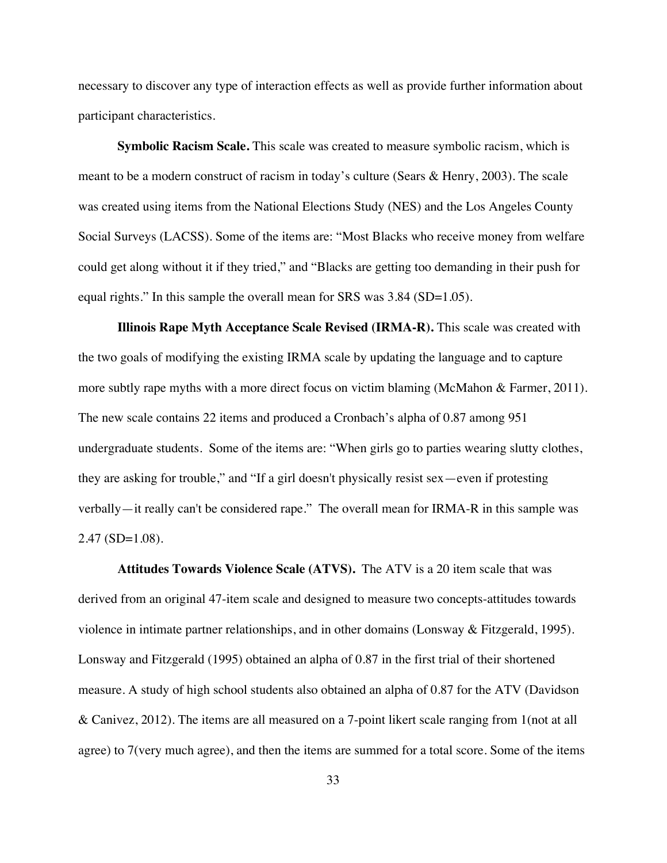necessary to discover any type of interaction effects as well as provide further information about participant characteristics.

**Symbolic Racism Scale.** This scale was created to measure symbolic racism, which is meant to be a modern construct of racism in today's culture (Sears & Henry, 2003). The scale was created using items from the National Elections Study (NES) and the Los Angeles County Social Surveys (LACSS). Some of the items are: "Most Blacks who receive money from welfare could get along without it if they tried," and "Blacks are getting too demanding in their push for equal rights." In this sample the overall mean for SRS was 3.84 (SD=1.05).

**Illinois Rape Myth Acceptance Scale Revised (IRMA-R).** This scale was created with the two goals of modifying the existing IRMA scale by updating the language and to capture more subtly rape myths with a more direct focus on victim blaming (McMahon & Farmer, 2011). The new scale contains 22 items and produced a Cronbach's alpha of 0.87 among 951 undergraduate students. Some of the items are: "When girls go to parties wearing slutty clothes, they are asking for trouble," and "If a girl doesn't physically resist sex—even if protesting verbally—it really can't be considered rape." The overall mean for IRMA-R in this sample was 2.47 (SD=1.08).

**Attitudes Towards Violence Scale (ATVS).** The ATV is a 20 item scale that was derived from an original 47-item scale and designed to measure two concepts-attitudes towards violence in intimate partner relationships, and in other domains (Lonsway & Fitzgerald, 1995). Lonsway and Fitzgerald (1995) obtained an alpha of 0.87 in the first trial of their shortened measure. A study of high school students also obtained an alpha of 0.87 for the ATV (Davidson & Canivez, 2012). The items are all measured on a 7-point likert scale ranging from 1(not at all agree) to 7(very much agree), and then the items are summed for a total score. Some of the items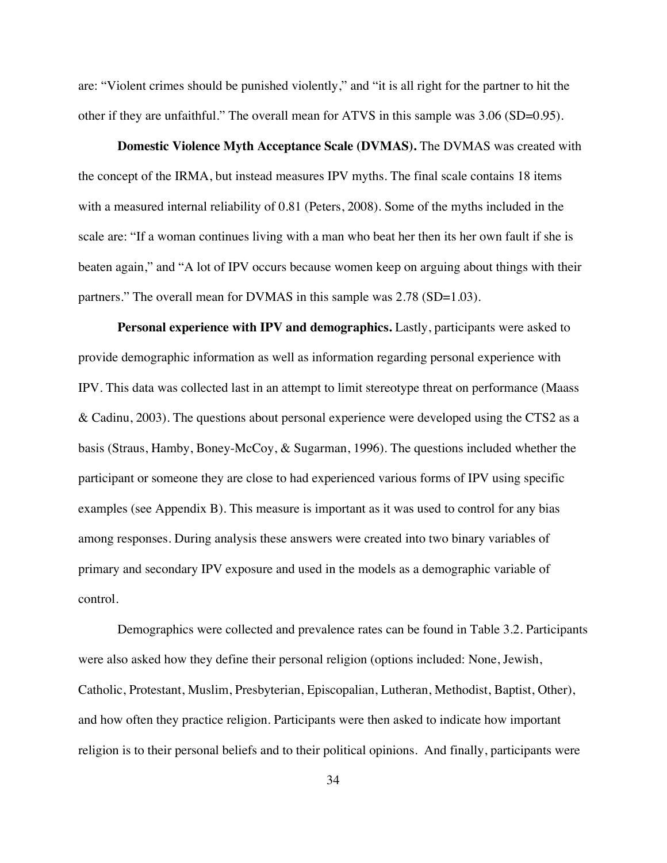are: "Violent crimes should be punished violently," and "it is all right for the partner to hit the other if they are unfaithful." The overall mean for ATVS in this sample was 3.06 (SD=0.95).

**Domestic Violence Myth Acceptance Scale (DVMAS).** The DVMAS was created with the concept of the IRMA, but instead measures IPV myths. The final scale contains 18 items with a measured internal reliability of 0.81 (Peters, 2008). Some of the myths included in the scale are: "If a woman continues living with a man who beat her then its her own fault if she is beaten again," and "A lot of IPV occurs because women keep on arguing about things with their partners." The overall mean for DVMAS in this sample was 2.78 (SD=1.03).

**Personal experience with IPV and demographics.** Lastly, participants were asked to provide demographic information as well as information regarding personal experience with IPV. This data was collected last in an attempt to limit stereotype threat on performance (Maass & Cadinu, 2003). The questions about personal experience were developed using the CTS2 as a basis (Straus, Hamby, Boney-McCoy, & Sugarman, 1996). The questions included whether the participant or someone they are close to had experienced various forms of IPV using specific examples (see Appendix B). This measure is important as it was used to control for any bias among responses. During analysis these answers were created into two binary variables of primary and secondary IPV exposure and used in the models as a demographic variable of control.

Demographics were collected and prevalence rates can be found in Table 3.2. Participants were also asked how they define their personal religion (options included: None, Jewish, Catholic, Protestant, Muslim, Presbyterian, Episcopalian, Lutheran, Methodist, Baptist, Other), and how often they practice religion. Participants were then asked to indicate how important religion is to their personal beliefs and to their political opinions. And finally, participants were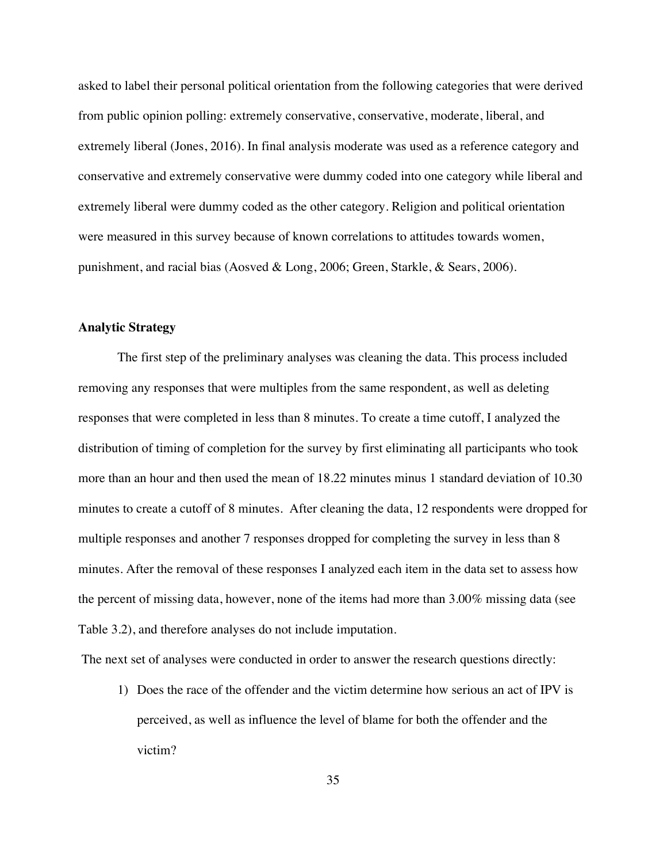asked to label their personal political orientation from the following categories that were derived from public opinion polling: extremely conservative, conservative, moderate, liberal, and extremely liberal (Jones, 2016). In final analysis moderate was used as a reference category and conservative and extremely conservative were dummy coded into one category while liberal and extremely liberal were dummy coded as the other category. Religion and political orientation were measured in this survey because of known correlations to attitudes towards women, punishment, and racial bias (Aosved & Long, 2006; Green, Starkle, & Sears, 2006).

#### **Analytic Strategy**

The first step of the preliminary analyses was cleaning the data. This process included removing any responses that were multiples from the same respondent, as well as deleting responses that were completed in less than 8 minutes. To create a time cutoff, I analyzed the distribution of timing of completion for the survey by first eliminating all participants who took more than an hour and then used the mean of 18.22 minutes minus 1 standard deviation of 10.30 minutes to create a cutoff of 8 minutes. After cleaning the data, 12 respondents were dropped for multiple responses and another 7 responses dropped for completing the survey in less than 8 minutes. After the removal of these responses I analyzed each item in the data set to assess how the percent of missing data, however, none of the items had more than 3.00% missing data (see Table 3.2), and therefore analyses do not include imputation.

The next set of analyses were conducted in order to answer the research questions directly:

1) Does the race of the offender and the victim determine how serious an act of IPV is perceived, as well as influence the level of blame for both the offender and the victim?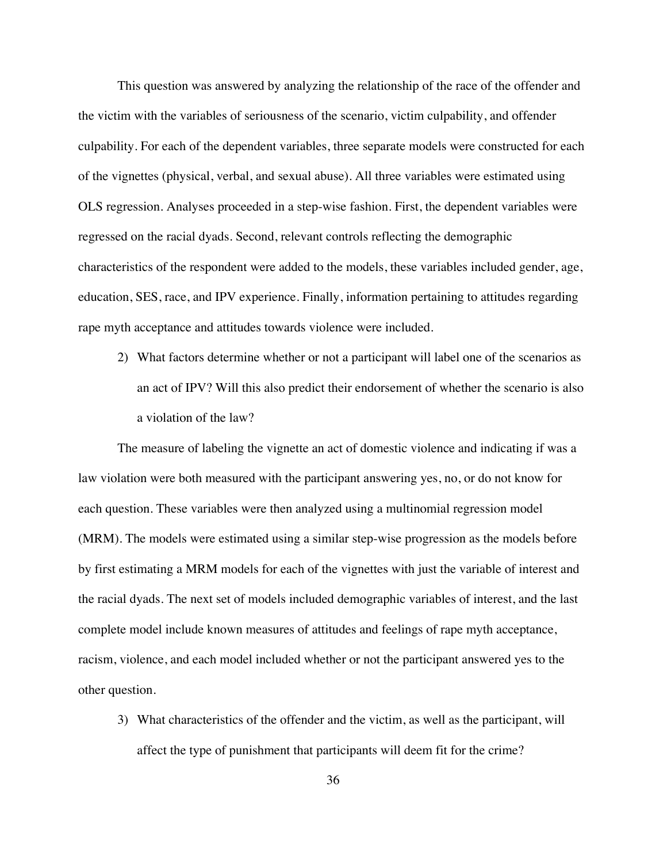This question was answered by analyzing the relationship of the race of the offender and the victim with the variables of seriousness of the scenario, victim culpability, and offender culpability. For each of the dependent variables, three separate models were constructed for each of the vignettes (physical, verbal, and sexual abuse). All three variables were estimated using OLS regression. Analyses proceeded in a step-wise fashion. First, the dependent variables were regressed on the racial dyads. Second, relevant controls reflecting the demographic characteristics of the respondent were added to the models, these variables included gender, age, education, SES, race, and IPV experience. Finally, information pertaining to attitudes regarding rape myth acceptance and attitudes towards violence were included.

2) What factors determine whether or not a participant will label one of the scenarios as an act of IPV? Will this also predict their endorsement of whether the scenario is also a violation of the law?

The measure of labeling the vignette an act of domestic violence and indicating if was a law violation were both measured with the participant answering yes, no, or do not know for each question. These variables were then analyzed using a multinomial regression model (MRM). The models were estimated using a similar step-wise progression as the models before by first estimating a MRM models for each of the vignettes with just the variable of interest and the racial dyads. The next set of models included demographic variables of interest, and the last complete model include known measures of attitudes and feelings of rape myth acceptance, racism, violence, and each model included whether or not the participant answered yes to the other question.

3) What characteristics of the offender and the victim, as well as the participant, will affect the type of punishment that participants will deem fit for the crime?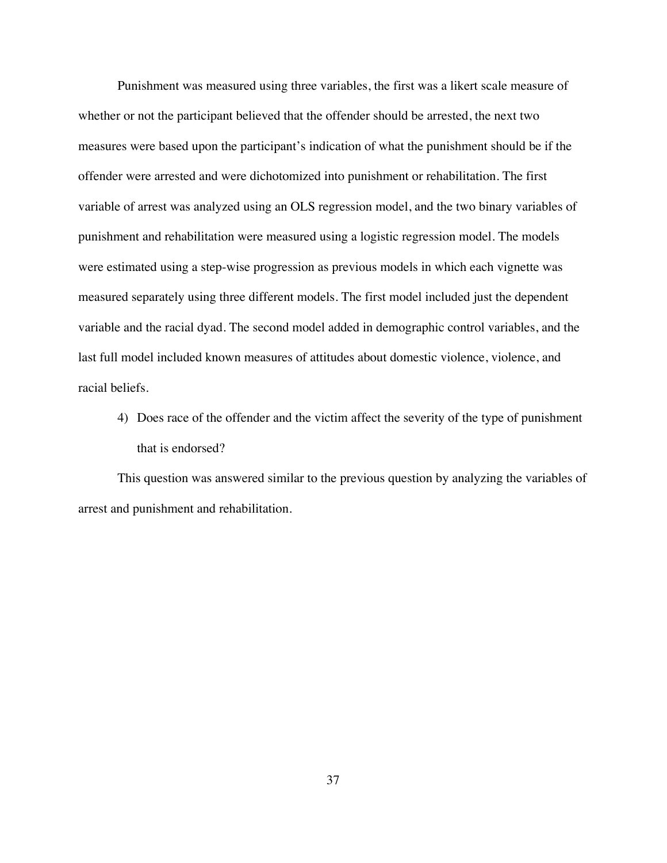Punishment was measured using three variables, the first was a likert scale measure of whether or not the participant believed that the offender should be arrested, the next two measures were based upon the participant's indication of what the punishment should be if the offender were arrested and were dichotomized into punishment or rehabilitation. The first variable of arrest was analyzed using an OLS regression model, and the two binary variables of punishment and rehabilitation were measured using a logistic regression model. The models were estimated using a step-wise progression as previous models in which each vignette was measured separately using three different models. The first model included just the dependent variable and the racial dyad. The second model added in demographic control variables, and the last full model included known measures of attitudes about domestic violence, violence, and racial beliefs.

4) Does race of the offender and the victim affect the severity of the type of punishment that is endorsed?

This question was answered similar to the previous question by analyzing the variables of arrest and punishment and rehabilitation.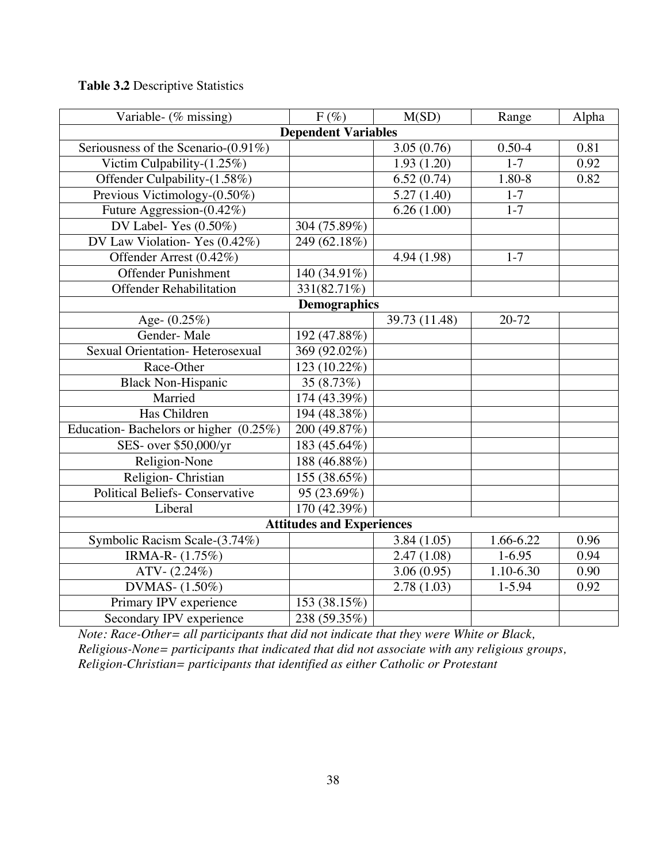# **Table 3.2** Descriptive Statistics

| Variable- (% missing)                    | $F(\%)$                    | M(SD)         | Range         | Alpha |  |
|------------------------------------------|----------------------------|---------------|---------------|-------|--|
|                                          | <b>Dependent Variables</b> |               |               |       |  |
| Seriousness of the Scenario-(0.91%)      |                            | 3.05(0.76)    | $0.50 - 4$    | 0.81  |  |
| Victim Culpability- $(1.25\%)$           |                            | 1.93(1.20)    | $1 - 7$       | 0.92  |  |
| Offender Culpability-(1.58%)             |                            | 6.52(0.74)    | 1.80-8        | 0.82  |  |
| Previous Victimology-(0.50%)             |                            | 5.27(1.40)    | $1 - 7$       |       |  |
| Future Aggression-(0.42%)                |                            | 6.26(1.00)    | $1 - 7$       |       |  |
| DV Label-Yes $(0.50\%)$                  | 304 (75.89%)               |               |               |       |  |
| DV Law Violation-Yes (0.42%)             | 249 (62.18%)               |               |               |       |  |
| Offender Arrest (0.42%)                  |                            | 4.94 (1.98)   | $1 - 7$       |       |  |
| <b>Offender Punishment</b>               | 140 (34.91%)               |               |               |       |  |
| <b>Offender Rehabilitation</b>           | $\overline{331(82.71\%)}$  |               |               |       |  |
|                                          | <b>Demographics</b>        |               |               |       |  |
| Age- (0.25%)                             |                            | 39.73 (11.48) | $20 - 72$     |       |  |
| Gender-Male                              | 192 (47.88%)               |               |               |       |  |
| Sexual Orientation- Heterosexual         | 369 (92.02%)               |               |               |       |  |
| Race-Other                               | 123 (10.22%)               |               |               |       |  |
| <b>Black Non-Hispanic</b>                | 35 (8.73%)                 |               |               |       |  |
| Married                                  | 174 (43.39%)               |               |               |       |  |
| Has Children                             | 194 (48.38%)               |               |               |       |  |
| Education-Bachelors or higher $(0.25\%)$ | 200 (49.87%)               |               |               |       |  |
| SES- over \$50,000/yr                    | 183 (45.64%)               |               |               |       |  |
| Religion-None                            | 188 (46.88%)               |               |               |       |  |
| Religion-Christian                       | 155 (38.65%)               |               |               |       |  |
| <b>Political Beliefs- Conservative</b>   | 95 (23.69%)                |               |               |       |  |
| Liberal                                  | 170(42.39%)                |               |               |       |  |
| <b>Attitudes and Experiences</b>         |                            |               |               |       |  |
| Symbolic Racism Scale-(3.74%)            |                            | 3.84(1.05)    | 1.66-6.22     | 0.96  |  |
| IRMA-R- (1.75%)                          |                            | 2.47(1.08)    | $1 - 6.95$    | 0.94  |  |
| $ATV - (2.24%)$                          |                            | 3.06(0.95)    | $1.10 - 6.30$ | 0.90  |  |
| DVMAS- (1.50%)                           |                            | 2.78(1.03)    | $1 - 5.94$    | 0.92  |  |
| Primary IPV experience                   | 153 (38.15%)               |               |               |       |  |
| Secondary IPV experience                 | 238 (59.35%)               |               |               |       |  |

*Note: Race-Other= all participants that did not indicate that they were White or Black, Religious-None= participants that indicated that did not associate with any religious groups, Religion-Christian= participants that identified as either Catholic or Protestant*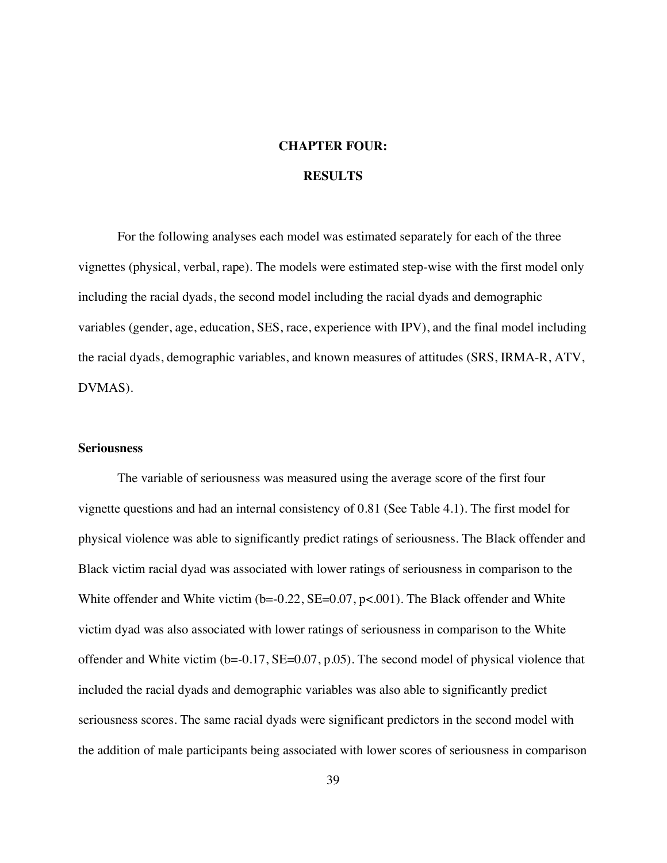# **CHAPTER FOUR:**

# **RESULTS**

For the following analyses each model was estimated separately for each of the three vignettes (physical, verbal, rape). The models were estimated step-wise with the first model only including the racial dyads, the second model including the racial dyads and demographic variables (gender, age, education, SES, race, experience with IPV), and the final model including the racial dyads, demographic variables, and known measures of attitudes (SRS, IRMA-R, ATV, DVMAS).

#### **Seriousness**

The variable of seriousness was measured using the average score of the first four vignette questions and had an internal consistency of 0.81 (See Table 4.1). The first model for physical violence was able to significantly predict ratings of seriousness. The Black offender and Black victim racial dyad was associated with lower ratings of seriousness in comparison to the White offender and White victim  $(b=0.22, SE=0.07, p<0.01)$ . The Black offender and White victim dyad was also associated with lower ratings of seriousness in comparison to the White offender and White victim (b=-0.17, SE=0.07, p.05). The second model of physical violence that included the racial dyads and demographic variables was also able to significantly predict seriousness scores. The same racial dyads were significant predictors in the second model with the addition of male participants being associated with lower scores of seriousness in comparison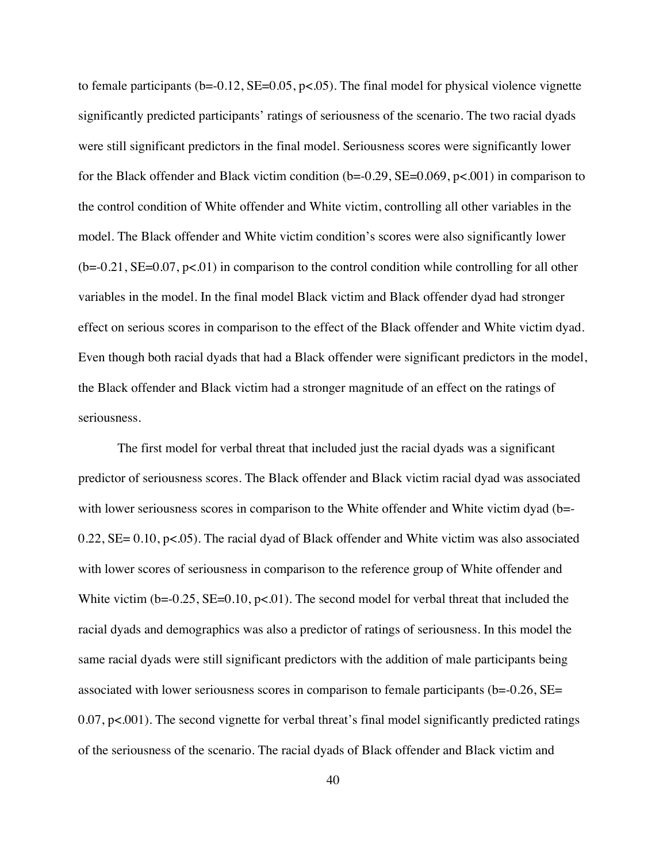to female participants  $(b=-0.12, SE=0.05, p<0.05)$ . The final model for physical violence vignette significantly predicted participants' ratings of seriousness of the scenario. The two racial dyads were still significant predictors in the final model. Seriousness scores were significantly lower for the Black offender and Black victim condition  $(b=0.29, SE=0.069, p<.001)$  in comparison to the control condition of White offender and White victim, controlling all other variables in the model. The Black offender and White victim condition's scores were also significantly lower  $(b=0.21, SE=0.07, p<0.01)$  in comparison to the control condition while controlling for all other variables in the model. In the final model Black victim and Black offender dyad had stronger effect on serious scores in comparison to the effect of the Black offender and White victim dyad. Even though both racial dyads that had a Black offender were significant predictors in the model, the Black offender and Black victim had a stronger magnitude of an effect on the ratings of seriousness.

The first model for verbal threat that included just the racial dyads was a significant predictor of seriousness scores. The Black offender and Black victim racial dyad was associated with lower seriousness scores in comparison to the White offender and White victim dyad (b=-0.22, SE= 0.10, p<.05). The racial dyad of Black offender and White victim was also associated with lower scores of seriousness in comparison to the reference group of White offender and White victim ( $b = -0.25$ ,  $SE = 0.10$ ,  $p < 0.01$ ). The second model for verbal threat that included the racial dyads and demographics was also a predictor of ratings of seriousness. In this model the same racial dyads were still significant predictors with the addition of male participants being associated with lower seriousness scores in comparison to female participants (b=-0.26, SE= 0.07, p<.001). The second vignette for verbal threat's final model significantly predicted ratings of the seriousness of the scenario. The racial dyads of Black offender and Black victim and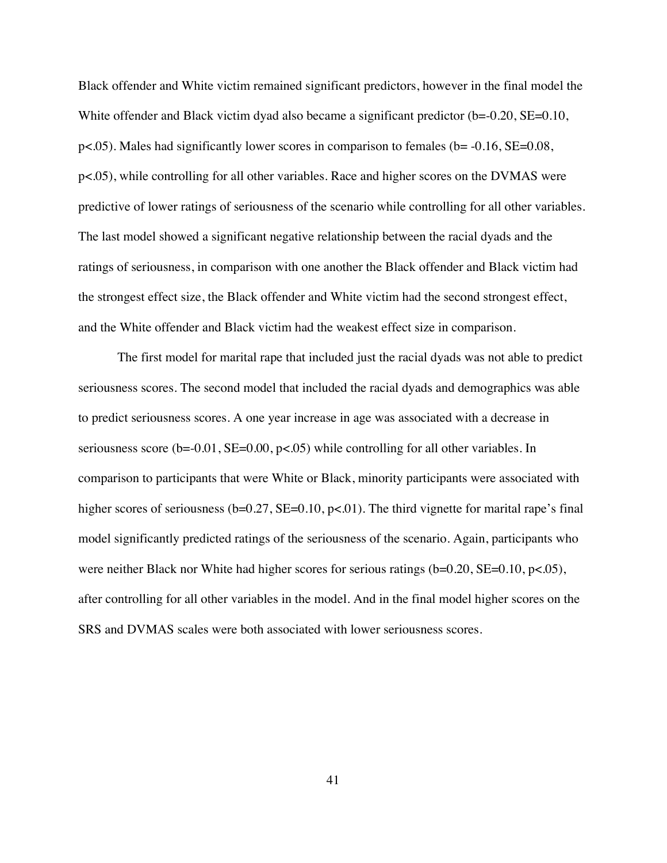Black offender and White victim remained significant predictors, however in the final model the White offender and Black victim dyad also became a significant predictor (b=-0.20, SE=0.10,  $p<.05$ ). Males had significantly lower scores in comparison to females (b=  $-0.16$ , SE= $0.08$ , p<.05), while controlling for all other variables. Race and higher scores on the DVMAS were predictive of lower ratings of seriousness of the scenario while controlling for all other variables. The last model showed a significant negative relationship between the racial dyads and the ratings of seriousness, in comparison with one another the Black offender and Black victim had the strongest effect size, the Black offender and White victim had the second strongest effect, and the White offender and Black victim had the weakest effect size in comparison.

The first model for marital rape that included just the racial dyads was not able to predict seriousness scores. The second model that included the racial dyads and demographics was able to predict seriousness scores. A one year increase in age was associated with a decrease in seriousness score ( $b = 0.01$ ,  $SE = 0.00$ ,  $p < .05$ ) while controlling for all other variables. In comparison to participants that were White or Black, minority participants were associated with higher scores of seriousness ( $b=0.27$ ,  $SE=0.10$ ,  $p<0.01$ ). The third vignette for marital rape's final model significantly predicted ratings of the seriousness of the scenario. Again, participants who were neither Black nor White had higher scores for serious ratings (b=0.20, SE=0.10, p<.05), after controlling for all other variables in the model. And in the final model higher scores on the SRS and DVMAS scales were both associated with lower seriousness scores.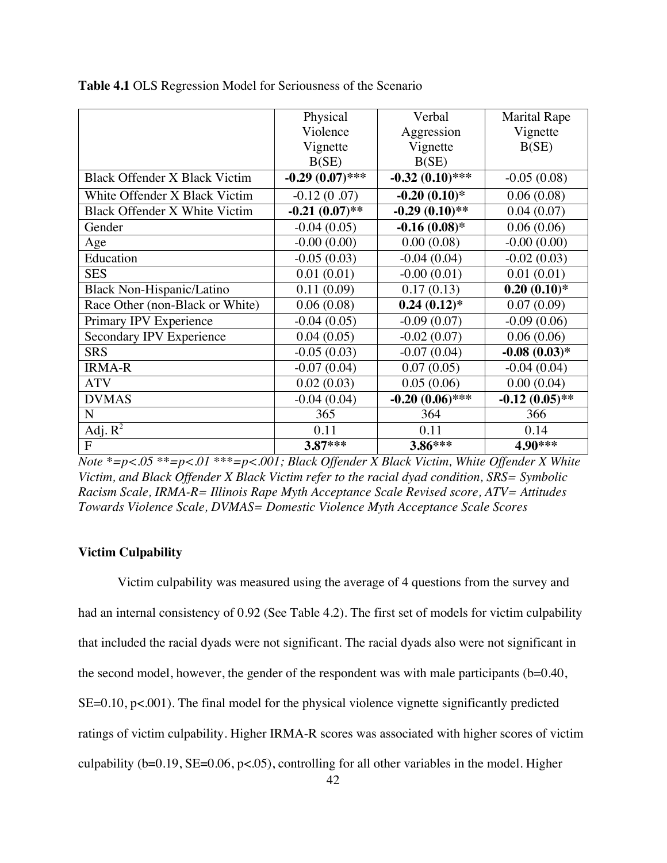|                                      | Physical          | Verbal            | <b>Marital Rape</b> |
|--------------------------------------|-------------------|-------------------|---------------------|
|                                      | Violence          | Aggression        | Vignette            |
|                                      | Vignette          | Vignette          | B(SE)               |
|                                      | B(SE)             | B(SE)             |                     |
| <b>Black Offender X Black Victim</b> | $-0.29(0.07)$ *** | $-0.32(0.10)$ *** | $-0.05(0.08)$       |
| White Offender X Black Victim        | $-0.12(0.07)$     | $-0.20(0.10)*$    | 0.06(0.08)          |
| Black Offender X White Victim        | $-0.21(0.07)$ **  | $-0.29(0.10)$ **  | 0.04(0.07)          |
| Gender                               | $-0.04(0.05)$     | $-0.16(0.08)$ *   | 0.06(0.06)          |
| Age                                  | $-0.00(0.00)$     | 0.00(0.08)        | $-0.00(0.00)$       |
| Education                            | $-0.05(0.03)$     | $-0.04(0.04)$     | $-0.02(0.03)$       |
| <b>SES</b>                           | 0.01(0.01)        | $-0.00(0.01)$     | 0.01(0.01)          |
| Black Non-Hispanic/Latino            | 0.11(0.09)        | 0.17(0.13)        | $0.20(0.10)*$       |
| Race Other (non-Black or White)      | 0.06(0.08)        | $0.24(0.12)*$     | 0.07(0.09)          |
| Primary IPV Experience               | $-0.04(0.05)$     | $-0.09(0.07)$     | $-0.09(0.06)$       |
| Secondary IPV Experience             | 0.04(0.05)        | $-0.02(0.07)$     | 0.06(0.06)          |
| <b>SRS</b>                           | $-0.05(0.03)$     | $-0.07(0.04)$     | $-0.08(0.03)*$      |
| <b>IRMA-R</b>                        | $-0.07(0.04)$     | 0.07(0.05)        | $-0.04(0.04)$       |
| <b>ATV</b>                           | 0.02(0.03)        | 0.05(0.06)        | 0.00(0.04)          |
| <b>DVMAS</b>                         | $-0.04(0.04)$     | $-0.20(0.06)$ *** | $-0.12(0.05)$ **    |
| $\mathbf N$                          | 365               | 364               | 366                 |
| Adj. $R^2$                           | 0.11              | 0.11              | 0.14                |
| F                                    | 3.87***           | 3.86***           | 4.90***             |

**Table 4.1** OLS Regression Model for Seriousness of the Scenario

*Note \*=p<.05 \*\*=p<.01 \*\*\*=p<.001; Black Offender X Black Victim, White Offender X White Victim, and Black Offender X Black Victim refer to the racial dyad condition, SRS= Symbolic Racism Scale, IRMA-R= Illinois Rape Myth Acceptance Scale Revised score, ATV= Attitudes Towards Violence Scale, DVMAS= Domestic Violence Myth Acceptance Scale Scores*

## **Victim Culpability**

Victim culpability was measured using the average of 4 questions from the survey and had an internal consistency of 0.92 (See Table 4.2). The first set of models for victim culpability that included the racial dyads were not significant. The racial dyads also were not significant in the second model, however, the gender of the respondent was with male participants (b=0.40, SE=0.10, p<.001). The final model for the physical violence vignette significantly predicted ratings of victim culpability. Higher IRMA-R scores was associated with higher scores of victim culpability ( $b=0.19$ ,  $SE=0.06$ ,  $p<.05$ ), controlling for all other variables in the model. Higher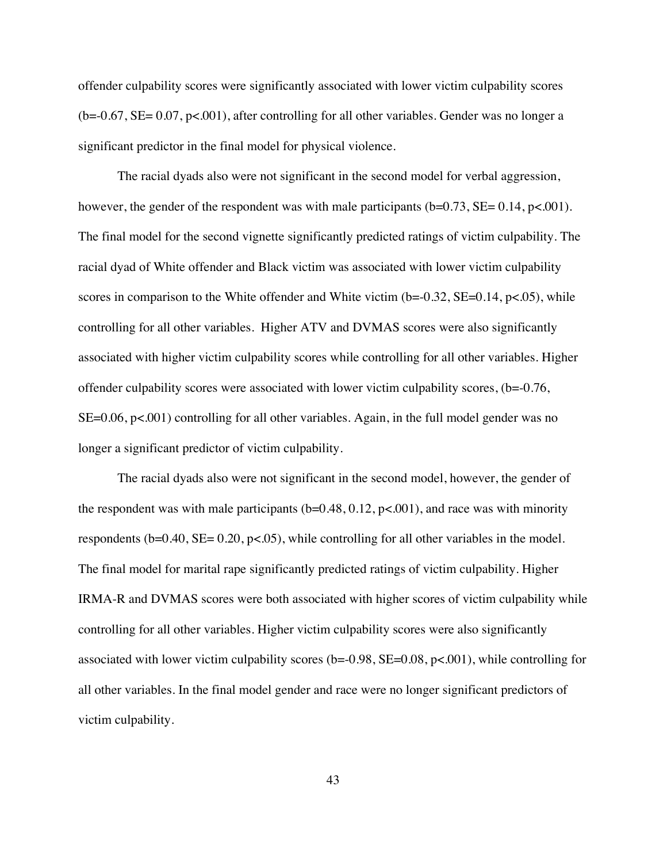offender culpability scores were significantly associated with lower victim culpability scores  $(b=0.67, SE= 0.07, p<0.01)$ , after controlling for all other variables. Gender was no longer a significant predictor in the final model for physical violence.

The racial dyads also were not significant in the second model for verbal aggression, however, the gender of the respondent was with male participants  $(b=0.73, SE= 0.14, p<.001)$ . The final model for the second vignette significantly predicted ratings of victim culpability. The racial dyad of White offender and Black victim was associated with lower victim culpability scores in comparison to the White offender and White victim  $(b=0.32, SE=0.14, p<.05)$ , while controlling for all other variables. Higher ATV and DVMAS scores were also significantly associated with higher victim culpability scores while controlling for all other variables. Higher offender culpability scores were associated with lower victim culpability scores, (b=-0.76, SE=0.06, p<.001) controlling for all other variables. Again, in the full model gender was no longer a significant predictor of victim culpability.

The racial dyads also were not significant in the second model, however, the gender of the respondent was with male participants  $(b=0.48, 0.12, p<0.01)$ , and race was with minority respondents ( $b=0.40$ ,  $SE= 0.20$ ,  $p<0.05$ ), while controlling for all other variables in the model. The final model for marital rape significantly predicted ratings of victim culpability. Higher IRMA-R and DVMAS scores were both associated with higher scores of victim culpability while controlling for all other variables. Higher victim culpability scores were also significantly associated with lower victim culpability scores ( $b = 0.98$ ,  $SE = 0.08$ ,  $p < .001$ ), while controlling for all other variables. In the final model gender and race were no longer significant predictors of victim culpability.

43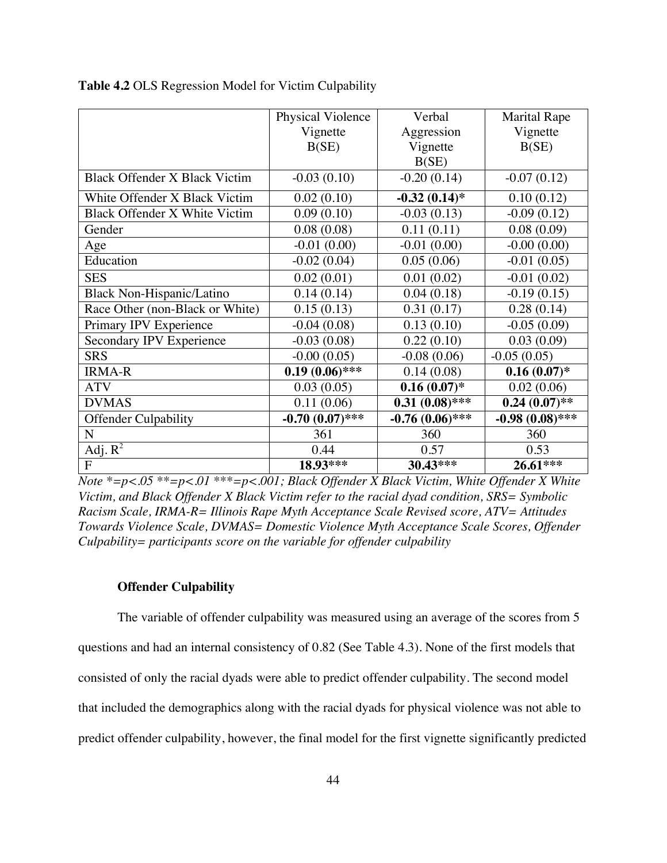|                                      | Physical Violence | Verbal            | <b>Marital Rape</b> |
|--------------------------------------|-------------------|-------------------|---------------------|
|                                      | Vignette          | Aggression        | Vignette            |
|                                      | B(SE)             | Vignette          | B(SE)               |
|                                      |                   | B(SE)             |                     |
| <b>Black Offender X Black Victim</b> | $-0.03(0.10)$     | $-0.20(0.14)$     | $-0.07(0.12)$       |
| White Offender X Black Victim        | 0.02(0.10)        | $-0.32(0.14)$ *   | 0.10(0.12)          |
| Black Offender X White Victim        | 0.09(0.10)        | $-0.03(0.13)$     | $-0.09(0.12)$       |
| Gender                               | 0.08(0.08)        | 0.11(0.11)        | 0.08(0.09)          |
| Age                                  | $-0.01(0.00)$     | $-0.01(0.00)$     | $-0.00(0.00)$       |
| Education                            | $-0.02(0.04)$     | 0.05(0.06)        | $-0.01(0.05)$       |
| <b>SES</b>                           | 0.02(0.01)        | 0.01(0.02)        | $-0.01(0.02)$       |
| Black Non-Hispanic/Latino            | 0.14(0.14)        | 0.04(0.18)        | $-0.19(0.15)$       |
| Race Other (non-Black or White)      | 0.15(0.13)        | 0.31(0.17)        | 0.28(0.14)          |
| Primary IPV Experience               | $-0.04(0.08)$     | 0.13(0.10)        | $-0.05(0.09)$       |
| Secondary IPV Experience             | $-0.03(0.08)$     | 0.22(0.10)        | 0.03(0.09)          |
| <b>SRS</b>                           | $-0.00(0.05)$     | $-0.08(0.06)$     | $-0.05(0.05)$       |
| <b>IRMA-R</b>                        | $0.19(0.06)$ ***  | 0.14(0.08)        | $0.16(0.07)^*$      |
| <b>ATV</b>                           | 0.03(0.05)        | $0.16(0.07)^*$    | 0.02(0.06)          |
| <b>DVMAS</b>                         | 0.11(0.06)        | $0.31(0.08)$ ***  | $0.24(0.07)$ **     |
| <b>Offender Culpability</b>          | $-0.70(0.07)$ *** | $-0.76(0.06)$ *** | $-0.98(0.08)$ ***   |
| N                                    | 361               | 360               | 360                 |
| $\overline{Adj. R^2}$                | 0.44              | 0.57              | 0.53                |
| $\overline{F}$                       | 18.93***          | 30.43***          | 26.61***            |

**Table 4.2** OLS Regression Model for Victim Culpability

*Note \*=p<.05 \*\*=p<.01 \*\*\*=p<.001; Black Offender X Black Victim, White Offender X White Victim, and Black Offender X Black Victim refer to the racial dyad condition, SRS= Symbolic Racism Scale, IRMA-R= Illinois Rape Myth Acceptance Scale Revised score, ATV= Attitudes Towards Violence Scale, DVMAS= Domestic Violence Myth Acceptance Scale Scores, Offender Culpability= participants score on the variable for offender culpability*

#### **Offender Culpability**

The variable of offender culpability was measured using an average of the scores from 5 questions and had an internal consistency of 0.82 (See Table 4.3). None of the first models that consisted of only the racial dyads were able to predict offender culpability. The second model that included the demographics along with the racial dyads for physical violence was not able to predict offender culpability, however, the final model for the first vignette significantly predicted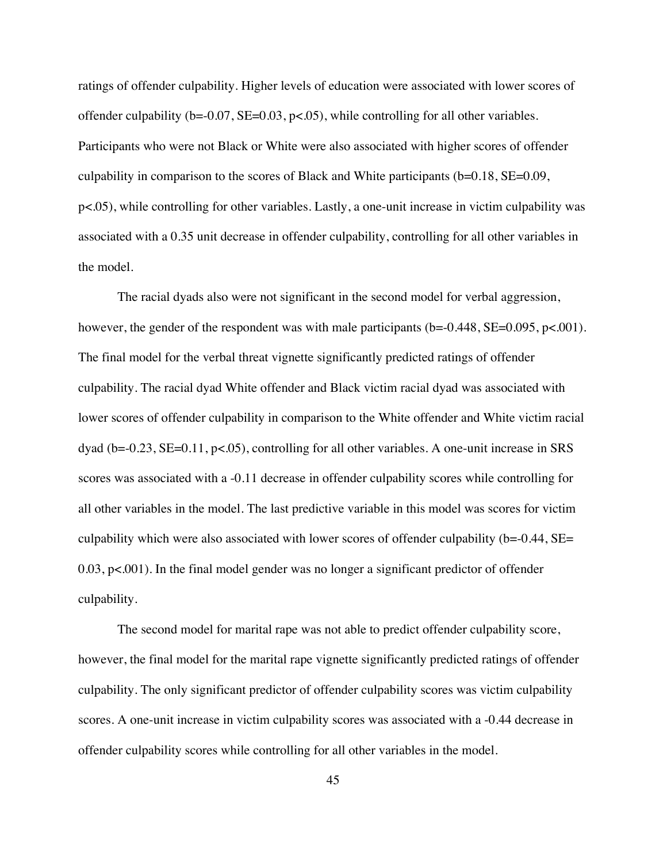ratings of offender culpability. Higher levels of education were associated with lower scores of offender culpability ( $b = -0.07$ ,  $SE = 0.03$ ,  $p < .05$ ), while controlling for all other variables. Participants who were not Black or White were also associated with higher scores of offender culpability in comparison to the scores of Black and White participants  $(b=0.18, SE=0.09,$ p<.05), while controlling for other variables. Lastly, a one-unit increase in victim culpability was associated with a 0.35 unit decrease in offender culpability, controlling for all other variables in the model.

The racial dyads also were not significant in the second model for verbal aggression, however, the gender of the respondent was with male participants ( $b = 0.448$ ,  $SE = 0.095$ ,  $p < .001$ ). The final model for the verbal threat vignette significantly predicted ratings of offender culpability. The racial dyad White offender and Black victim racial dyad was associated with lower scores of offender culpability in comparison to the White offender and White victim racial dyad (b=-0.23, SE=0.11, p<.05), controlling for all other variables. A one-unit increase in SRS scores was associated with a -0.11 decrease in offender culpability scores while controlling for all other variables in the model. The last predictive variable in this model was scores for victim culpability which were also associated with lower scores of offender culpability (b=-0.44, SE= 0.03, p<.001). In the final model gender was no longer a significant predictor of offender culpability.

The second model for marital rape was not able to predict offender culpability score, however, the final model for the marital rape vignette significantly predicted ratings of offender culpability. The only significant predictor of offender culpability scores was victim culpability scores. A one-unit increase in victim culpability scores was associated with a -0.44 decrease in offender culpability scores while controlling for all other variables in the model.

45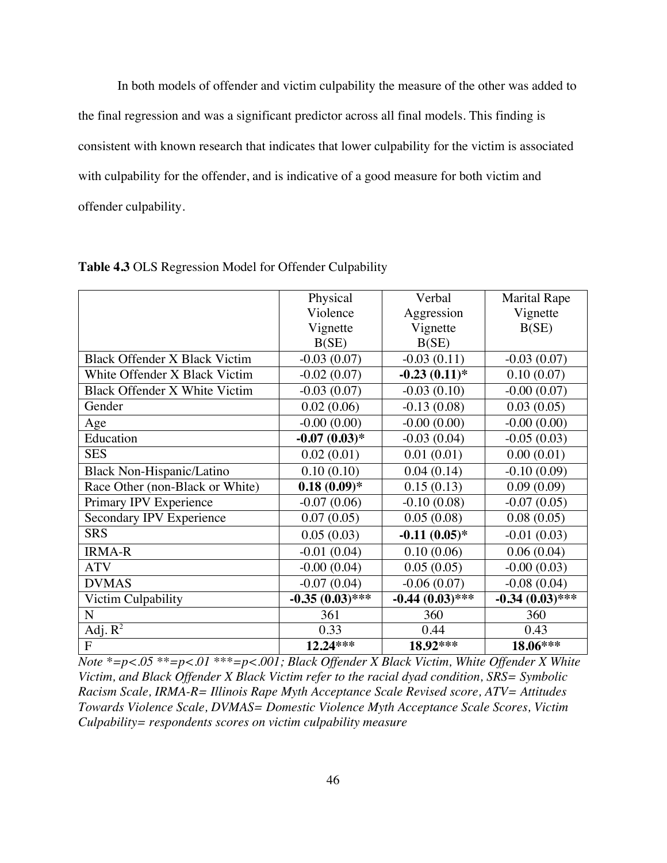In both models of offender and victim culpability the measure of the other was added to the final regression and was a significant predictor across all final models. This finding is consistent with known research that indicates that lower culpability for the victim is associated with culpability for the offender, and is indicative of a good measure for both victim and offender culpability.

|                                      | Physical          | Verbal            | <b>Marital Rape</b> |
|--------------------------------------|-------------------|-------------------|---------------------|
|                                      | Violence          | Aggression        | Vignette            |
|                                      | Vignette          | Vignette          | B(SE)               |
|                                      | B(SE)             | B(SE)             |                     |
| <b>Black Offender X Black Victim</b> | $-0.03(0.07)$     | $-0.03(0.11)$     | $-0.03(0.07)$       |
| White Offender X Black Victim        | $-0.02(0.07)$     | $-0.23(0.11)*$    | 0.10(0.07)          |
| Black Offender X White Victim        | $-0.03(0.07)$     | $-0.03(0.10)$     | $-0.00(0.07)$       |
| Gender                               | 0.02(0.06)        | $-0.13(0.08)$     | 0.03(0.05)          |
| Age                                  | $-0.00(0.00)$     | $-0.00(0.00)$     | $-0.00(0.00)$       |
| Education                            | $-0.07(0.03)*$    | $-0.03(0.04)$     | $-0.05(0.03)$       |
| <b>SES</b>                           | 0.02(0.01)        | 0.01(0.01)        | 0.00(0.01)          |
| Black Non-Hispanic/Latino            | 0.10(0.10)        | 0.04(0.14)        | $-0.10(0.09)$       |
| Race Other (non-Black or White)      | $0.18(0.09)*$     | 0.15(0.13)        | 0.09(0.09)          |
| Primary IPV Experience               | $-0.07(0.06)$     | $-0.10(0.08)$     | $-0.07(0.05)$       |
| Secondary IPV Experience             | 0.07(0.05)        | 0.05(0.08)        | 0.08(0.05)          |
| <b>SRS</b>                           | 0.05(0.03)        | $-0.11(0.05)*$    | $-0.01(0.03)$       |
| <b>IRMA-R</b>                        | $-0.01(0.04)$     | 0.10(0.06)        | 0.06(0.04)          |
| <b>ATV</b>                           | $-0.00(0.04)$     | 0.05(0.05)        | $-0.00(0.03)$       |
| <b>DVMAS</b>                         | $-0.07(0.04)$     | $-0.06(0.07)$     | $-0.08(0.04)$       |
| Victim Culpability                   | $-0.35(0.03)$ *** | $-0.44(0.03)$ *** | $-0.34(0.03)$ ***   |
| N                                    | 361               | 360               | 360                 |
| Adj. $R^2$                           | 0.33              | 0.44              | 0.43                |
| $\overline{F}$                       | 12.24***          | 18.92***          | 18.06***            |

**Table 4.3** OLS Regression Model for Offender Culpability

*Note \*=p<.05 \*\*=p<.01 \*\*\*=p<.001; Black Offender X Black Victim, White Offender X White Victim, and Black Offender X Black Victim refer to the racial dyad condition, SRS= Symbolic Racism Scale, IRMA-R= Illinois Rape Myth Acceptance Scale Revised score, ATV= Attitudes Towards Violence Scale, DVMAS= Domestic Violence Myth Acceptance Scale Scores, Victim Culpability= respondents scores on victim culpability measure*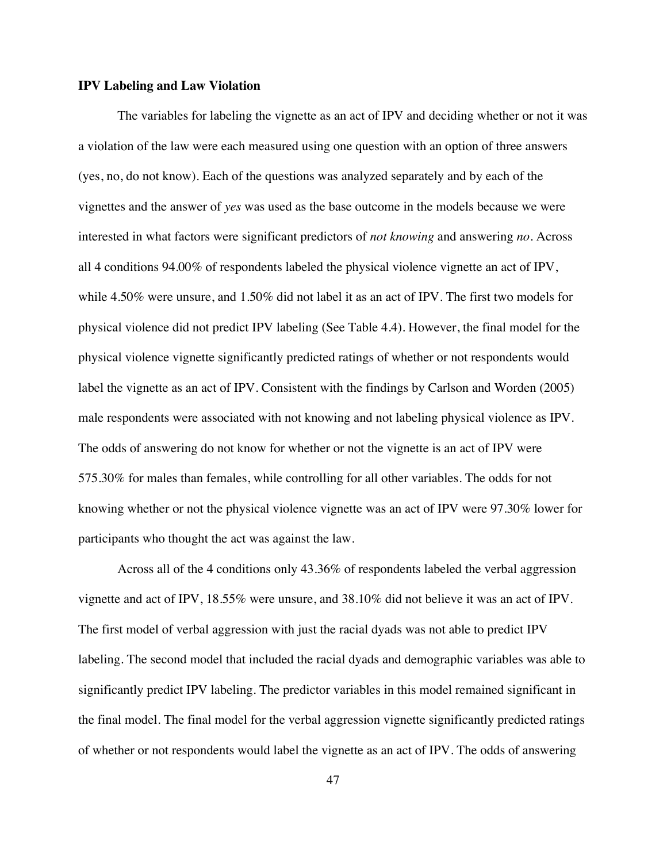### **IPV Labeling and Law Violation**

The variables for labeling the vignette as an act of IPV and deciding whether or not it was a violation of the law were each measured using one question with an option of three answers (yes, no, do not know). Each of the questions was analyzed separately and by each of the vignettes and the answer of *yes* was used as the base outcome in the models because we were interested in what factors were significant predictors of *not knowing* and answering *no*. Across all 4 conditions 94.00% of respondents labeled the physical violence vignette an act of IPV, while 4.50% were unsure, and 1.50% did not label it as an act of IPV. The first two models for physical violence did not predict IPV labeling (See Table 4.4). However, the final model for the physical violence vignette significantly predicted ratings of whether or not respondents would label the vignette as an act of IPV. Consistent with the findings by Carlson and Worden (2005) male respondents were associated with not knowing and not labeling physical violence as IPV. The odds of answering do not know for whether or not the vignette is an act of IPV were 575.30% for males than females, while controlling for all other variables. The odds for not knowing whether or not the physical violence vignette was an act of IPV were 97.30% lower for participants who thought the act was against the law.

Across all of the 4 conditions only 43.36% of respondents labeled the verbal aggression vignette and act of IPV, 18.55% were unsure, and 38.10% did not believe it was an act of IPV. The first model of verbal aggression with just the racial dyads was not able to predict IPV labeling. The second model that included the racial dyads and demographic variables was able to significantly predict IPV labeling. The predictor variables in this model remained significant in the final model. The final model for the verbal aggression vignette significantly predicted ratings of whether or not respondents would label the vignette as an act of IPV. The odds of answering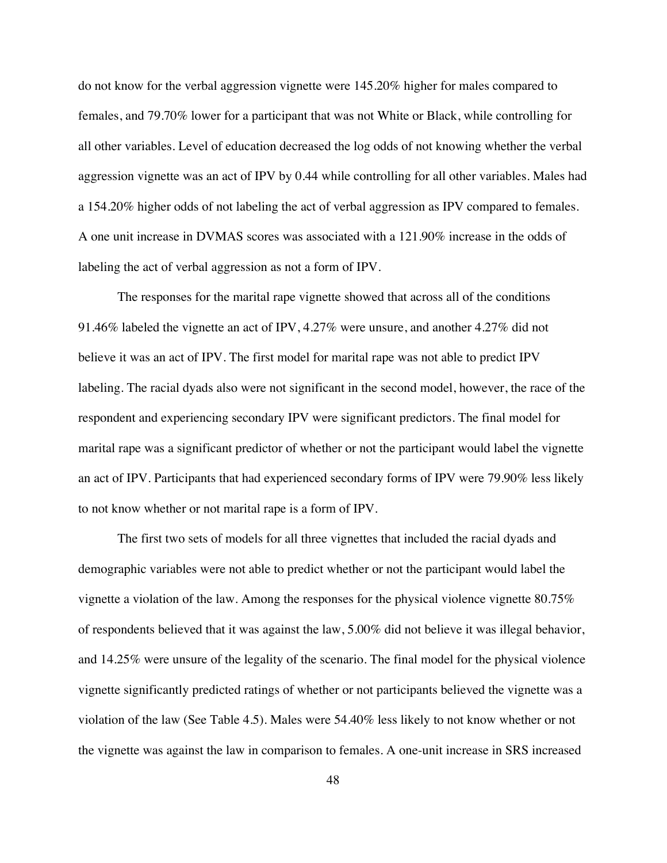do not know for the verbal aggression vignette were 145.20% higher for males compared to females, and 79.70% lower for a participant that was not White or Black, while controlling for all other variables. Level of education decreased the log odds of not knowing whether the verbal aggression vignette was an act of IPV by 0.44 while controlling for all other variables. Males had a 154.20% higher odds of not labeling the act of verbal aggression as IPV compared to females. A one unit increase in DVMAS scores was associated with a 121.90% increase in the odds of labeling the act of verbal aggression as not a form of IPV.

The responses for the marital rape vignette showed that across all of the conditions 91.46% labeled the vignette an act of IPV, 4.27% were unsure, and another 4.27% did not believe it was an act of IPV. The first model for marital rape was not able to predict IPV labeling. The racial dyads also were not significant in the second model, however, the race of the respondent and experiencing secondary IPV were significant predictors. The final model for marital rape was a significant predictor of whether or not the participant would label the vignette an act of IPV. Participants that had experienced secondary forms of IPV were 79.90% less likely to not know whether or not marital rape is a form of IPV.

The first two sets of models for all three vignettes that included the racial dyads and demographic variables were not able to predict whether or not the participant would label the vignette a violation of the law. Among the responses for the physical violence vignette 80.75% of respondents believed that it was against the law, 5.00% did not believe it was illegal behavior, and 14.25% were unsure of the legality of the scenario. The final model for the physical violence vignette significantly predicted ratings of whether or not participants believed the vignette was a violation of the law (See Table 4.5). Males were 54.40% less likely to not know whether or not the vignette was against the law in comparison to females. A one-unit increase in SRS increased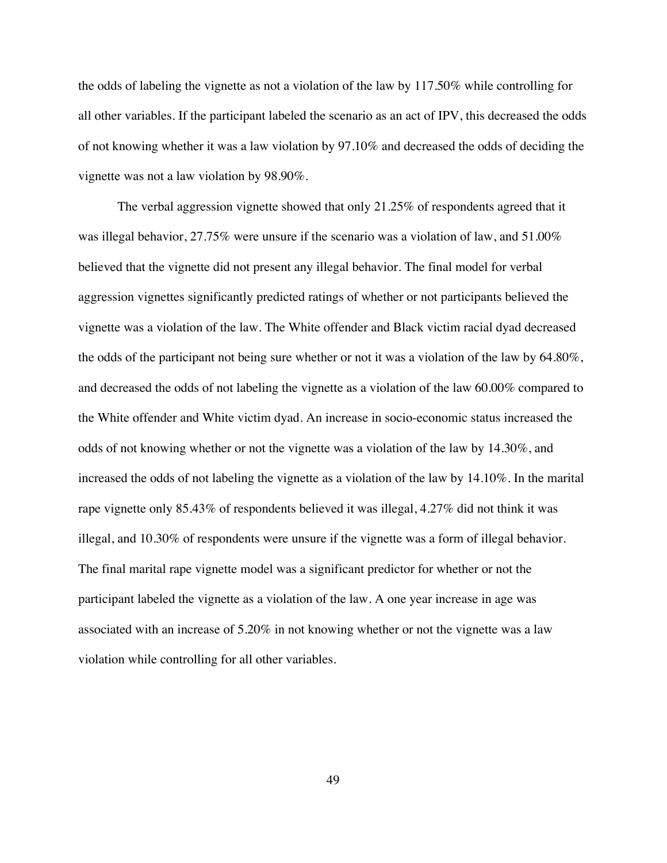the odds of labeling the vignette as not a violation of the law by 117.50% while controlling for all other variables. If the participant labeled the scenario as an act of IPV, this decreased the odds of not knowing whether it was a law violation by 97.10% and decreased the odds of deciding the vignette was not a law violation by 98.90%.

The verbal aggression vignette showed that only 21.25% of respondents agreed that it was illegal behavior, 27.75% were unsure if the scenario was a violation of law, and 51.00% believed that the vignette did not present any illegal behavior. The final model for verbal aggression vignettes significantly predicted ratings of whether or not participants believed the vignette was a violation of the law. The White offender and Black victim racial dyad decreased the odds of the participant not being sure whether or not it was a violation of the law by 64.80%, and decreased the odds of not labeling the vignette as a violation of the law 60.00% compared to the White offender and White victim dyad. An increase in socio-economic status increased the odds of not knowing whether or not the vignette was a violation of the law by 14.30%, and increased the odds of not labeling the vignette as a violation of the law by 14.10%. In the marital rape vignette only 85.43% of respondents believed it was illegal, 4.27% did not think it was illegal, and 10.30% of respondents were unsure if the vignette was a form of illegal behavior. The final marital rape vignette model was a significant predictor for whether or not the participant labeled the vignette as a violation of the law. A one year increase in age was associated with an increase of 5.20% in not knowing whether or not the vignette was a law violation while controlling for all other variables.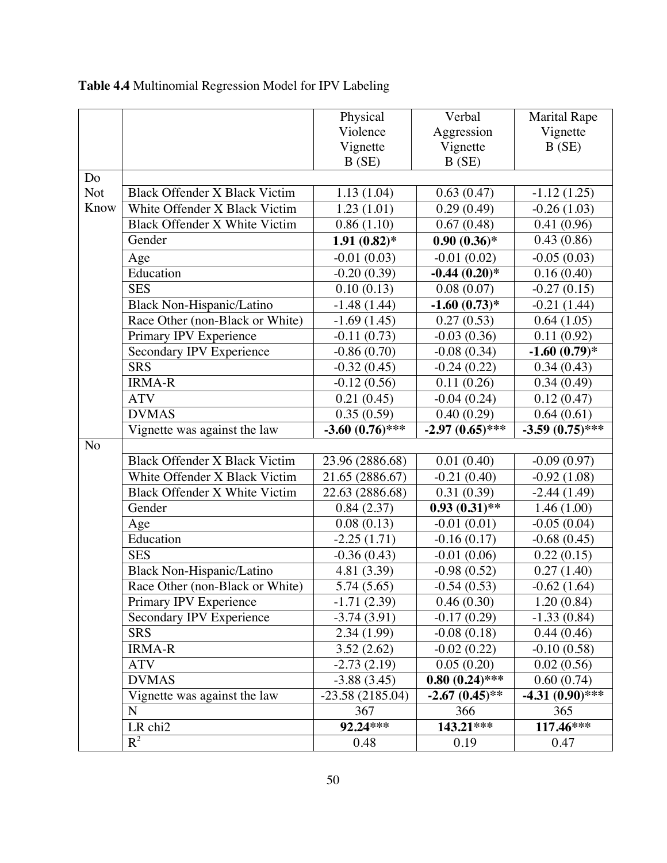|                |                                      | Physical                 | Verbal            | <b>Marital Rape</b>      |
|----------------|--------------------------------------|--------------------------|-------------------|--------------------------|
|                |                                      | Violence                 | Aggression        | Vignette                 |
|                |                                      | Vignette                 | Vignette          | B(SE)                    |
|                |                                      | B(SE)                    | B(SE)             |                          |
| Do             |                                      |                          |                   |                          |
| <b>Not</b>     | <b>Black Offender X Black Victim</b> | 1.13(1.04)               | 0.63(0.47)        | $-1.12(1.25)$            |
| Know           | White Offender X Black Victim        | 1.23(1.01)               | 0.29(0.49)        | $-0.26(1.03)$            |
|                | <b>Black Offender X White Victim</b> | 0.86(1.10)               | 0.67(0.48)        | 0.41(0.96)               |
|                | Gender                               | $1.91(0.82)$ *           | $0.90(0.36)*$     | 0.43(0.86)               |
|                | Age                                  | $-0.01(0.03)$            | $-0.01(0.02)$     | $-0.05(0.03)$            |
|                | Education                            | $-0.20(0.39)$            | $-0.44(0.20)$ *   | 0.16(0.40)               |
|                | <b>SES</b>                           | 0.10(0.13)               | 0.08(0.07)        | $-0.27(0.15)$            |
|                | Black Non-Hispanic/Latino            | $-1.48(1.44)$            | $-1.60(0.73)*$    | $-0.21(1.44)$            |
|                | Race Other (non-Black or White)      | $-1.69(1.45)$            | 0.27(0.53)        | 0.64(1.05)               |
|                | Primary IPV Experience               | $-0.11(0.73)$            | $-0.03(0.36)$     | 0.11(0.92)               |
|                | Secondary IPV Experience             | $-0.86(0.70)$            | $-0.08(0.34)$     | $-1.60(0.79)$ *          |
|                | <b>SRS</b>                           | $-0.32(0.45)$            | $-0.24(0.22)$     | 0.34(0.43)               |
|                | <b>IRMA-R</b>                        | $-0.12(0.56)$            | 0.11(0.26)        | $\overline{0.34}$ (0.49) |
|                | <b>ATV</b>                           | 0.21(0.45)               | $-0.04(0.24)$     | 0.12(0.47)               |
|                | <b>DVMAS</b>                         | 0.35(0.59)               | 0.40(0.29)        | 0.64(0.61)               |
|                | Vignette was against the law         | $-3.60(0.76)$ ***        | $-2.97(0.65)$ *** | $-3.59(0.75)$ ***        |
| N <sub>o</sub> |                                      |                          |                   |                          |
|                | <b>Black Offender X Black Victim</b> | 23.96 (2886.68)          | 0.01(0.40)        | $-0.09(0.97)$            |
|                | White Offender X Black Victim        | 21.65 (2886.67)          | $-0.21(0.40)$     | $-0.92(1.08)$            |
|                | Black Offender X White Victim        | 22.63 (2886.68)          | 0.31(0.39)        | $-2.44(1.49)$            |
|                | Gender                               | 0.84(2.37)               | $0.93(0.31)$ **   | 1.46(1.00)               |
|                | Age                                  | $\overline{0.08}$ (0.13) | $-0.01(0.01)$     | $-0.05(0.04)$            |
|                | Education                            | $-2.25(1.71)$            | $-0.16(0.17)$     | $-0.68(0.45)$            |
|                | <b>SES</b>                           | $-0.36(0.43)$            | $-0.01(0.06)$     | 0.22(0.15)               |
|                | Black Non-Hispanic/Latino            | 4.81 (3.39)              | $-0.98(0.52)$     | 0.27(1.40)               |
|                | Race Other (non-Black or White)      | 5.74(5.65)               | $-0.54(0.53)$     | $-0.62(1.64)$            |
|                | Primary IPV Experience               | $-1.71(2.39)$            | 0.46(0.30)        | 1.20(0.84)               |
|                | Secondary IPV Experience             | $-3.74(3.91)$            | $-0.17(0.29)$     | $-1.33(0.84)$            |
|                | <b>SRS</b>                           | 2.34(1.99)               | $-0.08(0.18)$     | 0.44(0.46)               |
|                | <b>IRMA-R</b>                        | 3.52(2.62)               | $-0.02(0.22)$     | $-0.10(0.58)$            |
|                | <b>ATV</b>                           | $-2.73(2.19)$            | 0.05(0.20)        | 0.02(0.56)               |
|                | <b>DVMAS</b>                         | $-3.88(3.45)$            | $0.80~(0.24)$ *** | 0.60(0.74)               |
|                | Vignette was against the law         | $-23.58(2185.04)$        | $-2.67(0.45)$ **  | $-4.31(0.90)$ ***        |
|                | N                                    | 367                      | 366               | 365                      |
|                | LR chi2                              | 92.24***                 | $143.21$ ***      | $117.46***$              |
|                | $R^2$                                | 0.48                     | 0.19              | 0.47                     |

# **Table 4.4** Multinomial Regression Model for IPV Labeling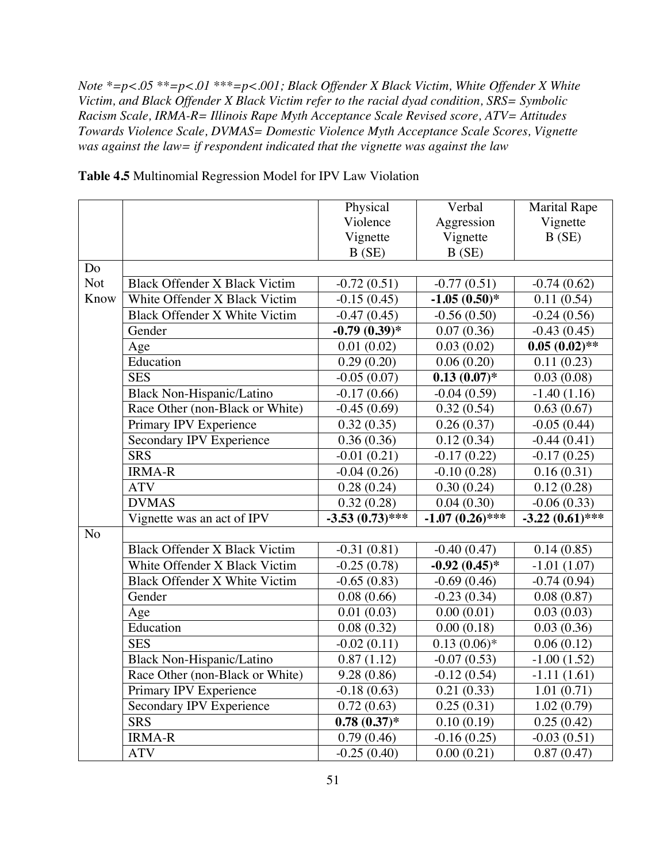*Note \*=p<.05 \*\*=p<.01 \*\*\*=p<.001; Black Offender X Black Victim, White Offender X White Victim, and Black Offender X Black Victim refer to the racial dyad condition, SRS= Symbolic Racism Scale, IRMA-R= Illinois Rape Myth Acceptance Scale Revised score, ATV= Attitudes Towards Violence Scale, DVMAS= Domestic Violence Myth Acceptance Scale Scores, Vignette was against the law= if respondent indicated that the vignette was against the law*

|            |                                      | Physical                 | Verbal            | <b>Marital Rape</b> |
|------------|--------------------------------------|--------------------------|-------------------|---------------------|
|            |                                      | Violence                 | Aggression        | Vignette            |
|            |                                      | Vignette                 | Vignette          | B(SE)               |
|            |                                      | B(SE)                    | B(SE)             |                     |
| Do         |                                      |                          |                   |                     |
| <b>Not</b> | <b>Black Offender X Black Victim</b> | $-0.72(0.51)$            | $-0.77(0.51)$     | $-0.74(0.62)$       |
| Know       | White Offender X Black Victim        | $-0.15(0.45)$            | $-1.05(0.50)*$    | 0.11(0.54)          |
|            | Black Offender X White Victim        | $-0.47(0.45)$            | $-0.56(0.50)$     | $-0.24(0.56)$       |
|            | Gender                               | $-0.79(0.39)*$           | 0.07(0.36)        | $-0.43(0.45)$       |
|            | Age                                  | 0.01(0.02)               | 0.03(0.02)        | $0.05(0.02)$ **     |
|            | Education                            | 0.29(0.20)               | 0.06(0.20)        | 0.11(0.23)          |
|            | <b>SES</b>                           | $-0.05(0.07)$            | $0.13(0.07)$ *    | 0.03(0.08)          |
|            | Black Non-Hispanic/Latino            | $-0.17(0.66)$            | $-0.04(0.59)$     | $-1.40(1.16)$       |
|            | Race Other (non-Black or White)      | $-0.45(0.69)$            | 0.32(0.54)        | 0.63(0.67)          |
|            | Primary IPV Experience               | 0.32(0.35)               | 0.26(0.37)        | $-0.05(0.44)$       |
|            | Secondary IPV Experience             | 0.36(0.36)               | 0.12(0.34)        | $-0.44(0.41)$       |
|            | <b>SRS</b>                           | $-0.01(0.21)$            | $-0.17(0.22)$     | $-0.17(0.25)$       |
|            | <b>IRMA-R</b>                        | $-0.04(0.26)$            | $-0.10(0.28)$     | 0.16(0.31)          |
|            | <b>ATV</b>                           | 0.28(0.24)               | 0.30(0.24)        | 0.12(0.28)          |
|            | <b>DVMAS</b>                         | 0.32(0.28)               | 0.04(0.30)        | $-0.06(0.33)$       |
|            | Vignette was an act of IPV           | $-3.53(0.73)$ ***        | $-1.07(0.26)$ *** | $-3.22~(0.61)$ ***  |
| No         |                                      |                          |                   |                     |
|            | <b>Black Offender X Black Victim</b> | $-0.31(0.81)$            | $-0.40(0.47)$     | 0.14(0.85)          |
|            | White Offender X Black Victim        | $-0.25(0.78)$            | $-0.92(0.45)$ *   | $-1.01(1.07)$       |
|            | Black Offender X White Victim        | $-0.65(0.83)$            | $-0.69(0.46)$     | $-0.74(0.94)$       |
|            | Gender                               | 0.08(0.66)               | $-0.23(0.34)$     | 0.08(0.87)          |
|            | Age                                  | 0.01(0.03)               | 0.00(0.01)        | 0.03(0.03)          |
|            | Education                            | 0.08(0.32)               | 0.00(0.18)        | 0.03(0.36)          |
|            | <b>SES</b>                           | $-0.02(0.11)$            | $0.13(0.06)*$     | 0.06(0.12)          |
|            | <b>Black Non-Hispanic/Latino</b>     | 0.87(1.12)               | $-0.07(0.53)$     | $-1.00(1.52)$       |
|            | Race Other (non-Black or White)      | 9.28(0.86)               | $-0.12(0.54)$     | $-1.11(1.61)$       |
|            | Primary IPV Experience               | $-0.18(0.63)$            | 0.21(0.33)        | 1.01(0.71)          |
|            | Secondary IPV Experience             | 0.72(0.63)               | 0.25(0.31)        | 1.02(0.79)          |
|            | <b>SRS</b>                           | $0.78(0.37)*$            | 0.10(0.19)        | 0.25(0.42)          |
|            | <b>IRMA-R</b>                        | $\overline{0.79}$ (0.46) | $-0.16(0.25)$     | $-0.03(0.51)$       |
|            | <b>ATV</b>                           | $-0.25(0.40)$            | 0.00(0.21)        | 0.87(0.47)          |

**Table 4.5** Multinomial Regression Model for IPV Law Violation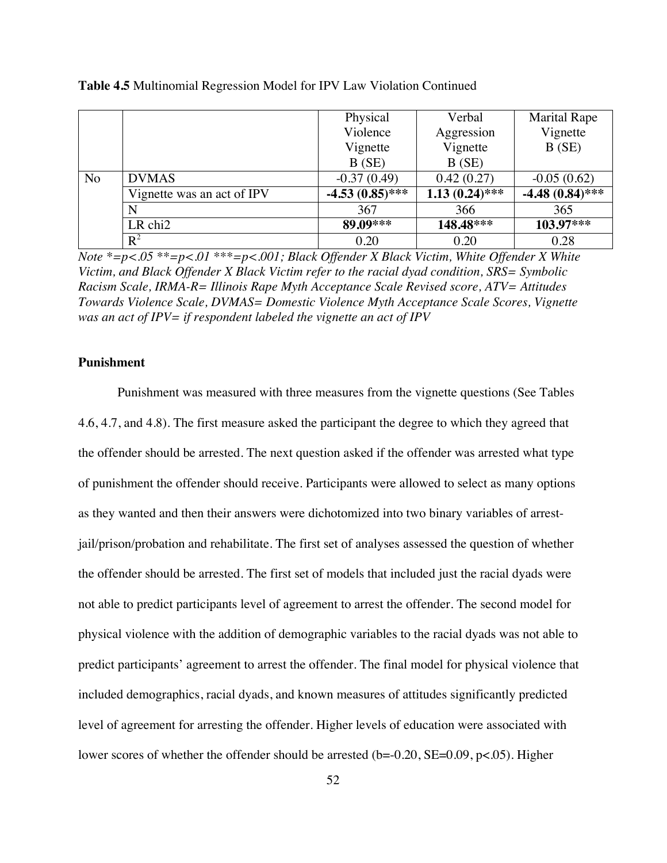|                |                            | Physical          | Verbal           | <b>Marital Rape</b> |
|----------------|----------------------------|-------------------|------------------|---------------------|
|                |                            | Violence          | Aggression       | Vignette            |
|                |                            | Vignette          | Vignette         | B(SE)               |
|                |                            | B(SE)             | B(SE)            |                     |
| N <sub>o</sub> | <b>DVMAS</b>               | $-0.37(0.49)$     | 0.42(0.27)       | $-0.05(0.62)$       |
|                | Vignette was an act of IPV | $-4.53(0.85)$ *** | $1.13(0.24)$ *** | $-4.48(0.84)$ ***   |
|                | N                          | 367               | 366              | 365                 |
|                | LR chi <sub>2</sub>        | 89.09***          | 148.48***        | 103.97***           |
|                | $R^2$                      | 0.20              | 0.20             | 0.28                |

**Table 4.5** Multinomial Regression Model for IPV Law Violation Continued

*Note \*=p<.05 \*\*=p<.01 \*\*\*=p<.001; Black Offender X Black Victim, White Offender X White Victim, and Black Offender X Black Victim refer to the racial dyad condition, SRS= Symbolic Racism Scale, IRMA-R= Illinois Rape Myth Acceptance Scale Revised score, ATV= Attitudes Towards Violence Scale, DVMAS= Domestic Violence Myth Acceptance Scale Scores, Vignette was an act of IPV= if respondent labeled the vignette an act of IPV*

## **Punishment**

Punishment was measured with three measures from the vignette questions (See Tables 4.6, 4.7, and 4.8). The first measure asked the participant the degree to which they agreed that the offender should be arrested. The next question asked if the offender was arrested what type of punishment the offender should receive. Participants were allowed to select as many options as they wanted and then their answers were dichotomized into two binary variables of arrestjail/prison/probation and rehabilitate. The first set of analyses assessed the question of whether the offender should be arrested. The first set of models that included just the racial dyads were not able to predict participants level of agreement to arrest the offender. The second model for physical violence with the addition of demographic variables to the racial dyads was not able to predict participants' agreement to arrest the offender. The final model for physical violence that included demographics, racial dyads, and known measures of attitudes significantly predicted level of agreement for arresting the offender. Higher levels of education were associated with lower scores of whether the offender should be arrested (b=-0.20, SE=0.09, p<.05). Higher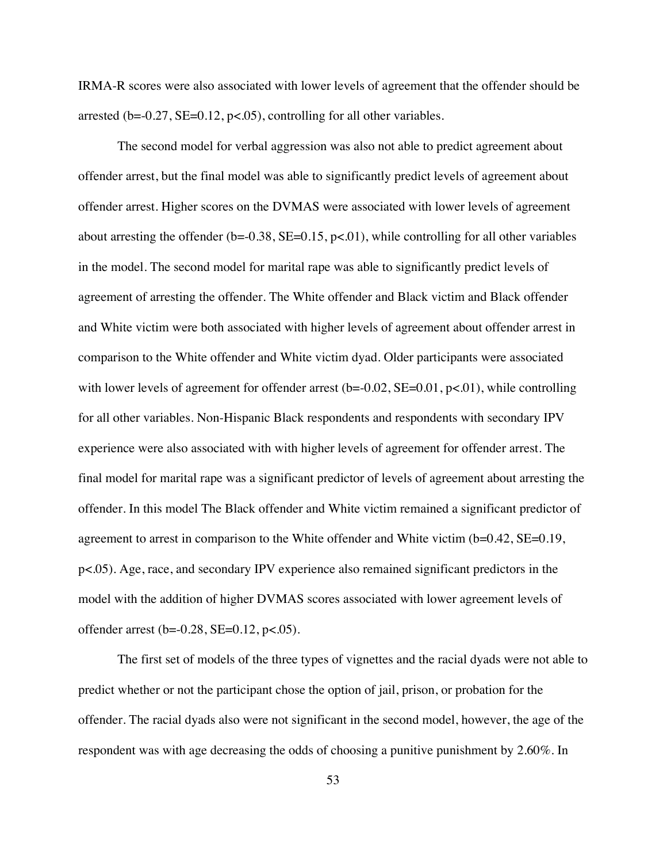IRMA-R scores were also associated with lower levels of agreement that the offender should be arrested ( $b = -0.27$ ,  $SE = 0.12$ ,  $p < .05$ ), controlling for all other variables.

The second model for verbal aggression was also not able to predict agreement about offender arrest, but the final model was able to significantly predict levels of agreement about offender arrest. Higher scores on the DVMAS were associated with lower levels of agreement about arresting the offender ( $b = -0.38$ ,  $SE = 0.15$ ,  $p < .01$ ), while controlling for all other variables in the model. The second model for marital rape was able to significantly predict levels of agreement of arresting the offender. The White offender and Black victim and Black offender and White victim were both associated with higher levels of agreement about offender arrest in comparison to the White offender and White victim dyad. Older participants were associated with lower levels of agreement for offender arrest  $(b=0.02, SE=0.01, p<0.01)$ , while controlling for all other variables. Non-Hispanic Black respondents and respondents with secondary IPV experience were also associated with with higher levels of agreement for offender arrest. The final model for marital rape was a significant predictor of levels of agreement about arresting the offender. In this model The Black offender and White victim remained a significant predictor of agreement to arrest in comparison to the White offender and White victim (b=0.42, SE=0.19, p<.05). Age, race, and secondary IPV experience also remained significant predictors in the model with the addition of higher DVMAS scores associated with lower agreement levels of offender arrest ( $b = -0.28$ , SE=0.12,  $p < .05$ ).

The first set of models of the three types of vignettes and the racial dyads were not able to predict whether or not the participant chose the option of jail, prison, or probation for the offender. The racial dyads also were not significant in the second model, however, the age of the respondent was with age decreasing the odds of choosing a punitive punishment by 2.60%. In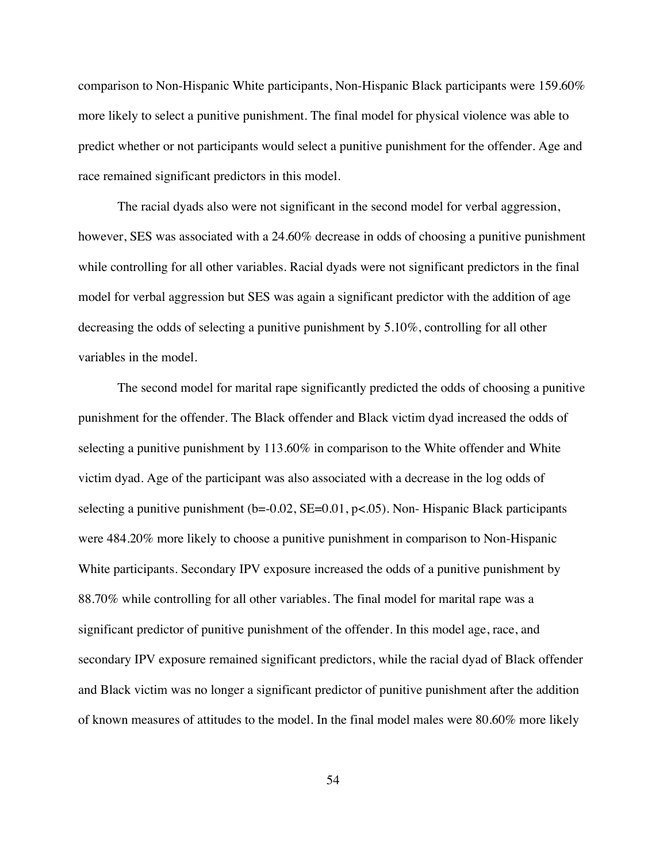comparison to Non-Hispanic White participants, Non-Hispanic Black participants were 159.60% more likely to select a punitive punishment. The final model for physical violence was able to predict whether or not participants would select a punitive punishment for the offender. Age and race remained significant predictors in this model.

The racial dyads also were not significant in the second model for verbal aggression, however, SES was associated with a 24.60% decrease in odds of choosing a punitive punishment while controlling for all other variables. Racial dyads were not significant predictors in the final model for verbal aggression but SES was again a significant predictor with the addition of age decreasing the odds of selecting a punitive punishment by 5.10%, controlling for all other variables in the model.

The second model for marital rape significantly predicted the odds of choosing a punitive punishment for the offender. The Black offender and Black victim dyad increased the odds of selecting a punitive punishment by 113.60% in comparison to the White offender and White victim dyad. Age of the participant was also associated with a decrease in the log odds of selecting a punitive punishment ( $b = 0.02$ ,  $SE = 0.01$ ,  $p < .05$ ). Non-Hispanic Black participants were 484.20% more likely to choose a punitive punishment in comparison to Non-Hispanic White participants. Secondary IPV exposure increased the odds of a punitive punishment by 88.70% while controlling for all other variables. The final model for marital rape was a significant predictor of punitive punishment of the offender. In this model age, race, and secondary IPV exposure remained significant predictors, while the racial dyad of Black offender and Black victim was no longer a significant predictor of punitive punishment after the addition of known measures of attitudes to the model. In the final model males were 80.60% more likely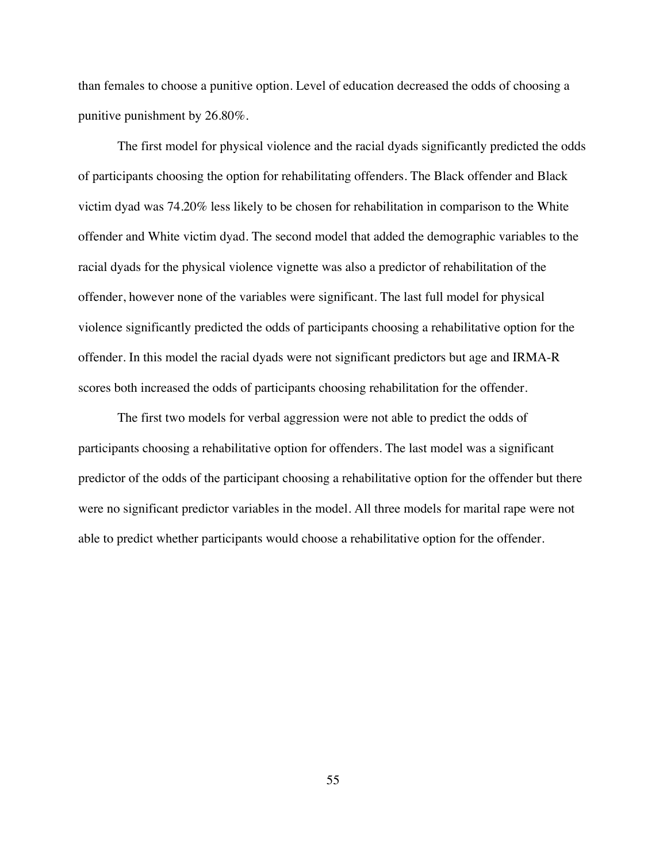than females to choose a punitive option. Level of education decreased the odds of choosing a punitive punishment by 26.80%.

The first model for physical violence and the racial dyads significantly predicted the odds of participants choosing the option for rehabilitating offenders. The Black offender and Black victim dyad was 74.20% less likely to be chosen for rehabilitation in comparison to the White offender and White victim dyad. The second model that added the demographic variables to the racial dyads for the physical violence vignette was also a predictor of rehabilitation of the offender, however none of the variables were significant. The last full model for physical violence significantly predicted the odds of participants choosing a rehabilitative option for the offender. In this model the racial dyads were not significant predictors but age and IRMA-R scores both increased the odds of participants choosing rehabilitation for the offender.

The first two models for verbal aggression were not able to predict the odds of participants choosing a rehabilitative option for offenders. The last model was a significant predictor of the odds of the participant choosing a rehabilitative option for the offender but there were no significant predictor variables in the model. All three models for marital rape were not able to predict whether participants would choose a rehabilitative option for the offender.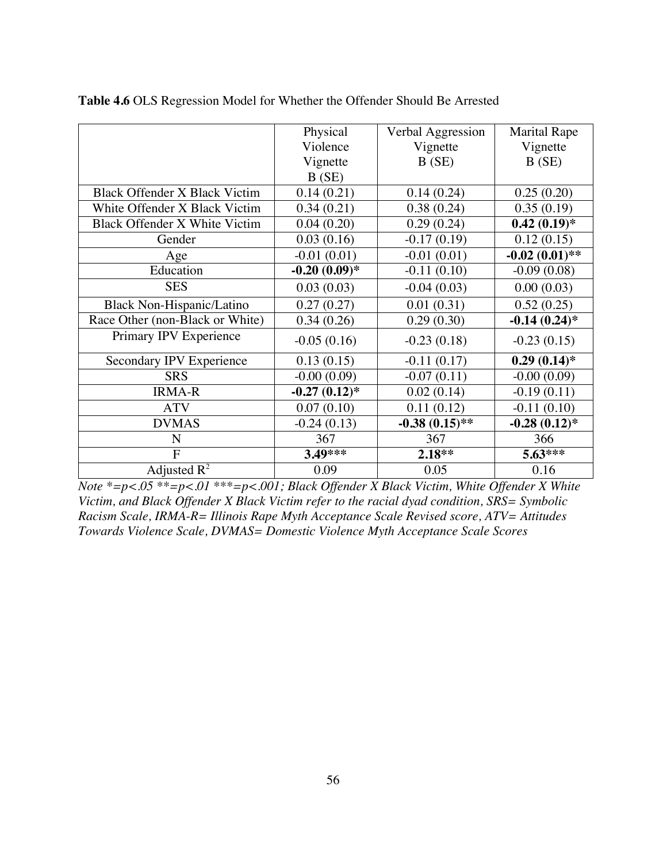|                                 | Physical        | Verbal Aggression | <b>Marital Rape</b> |
|---------------------------------|-----------------|-------------------|---------------------|
|                                 | Violence        | Vignette          | Vignette            |
|                                 | Vignette        | B(SE)             | B(SE)               |
|                                 | B(SE)           |                   |                     |
| Black Offender X Black Victim   | 0.14(0.21)      | 0.14(0.24)        | 0.25(0.20)          |
| White Offender X Black Victim   | 0.34(0.21)      | 0.38(0.24)        | 0.35(0.19)          |
| Black Offender X White Victim   | 0.04(0.20)      | 0.29(0.24)        | $0.42(0.19)$ *      |
| Gender                          | 0.03(0.16)      | $-0.17(0.19)$     | 0.12(0.15)          |
| Age                             | $-0.01(0.01)$   | $-0.01(0.01)$     | $-0.02(0.01)$ **    |
| Education                       | $-0.20(0.09)*$  | $-0.11(0.10)$     | $-0.09(0.08)$       |
| <b>SES</b>                      | 0.03(0.03)      | $-0.04(0.03)$     | 0.00(0.03)          |
| Black Non-Hispanic/Latino       | 0.27(0.27)      | 0.01(0.31)        | 0.52(0.25)          |
| Race Other (non-Black or White) | 0.34(0.26)      | 0.29(0.30)        | $-0.14(0.24)$ *     |
| Primary IPV Experience          | $-0.05(0.16)$   | $-0.23(0.18)$     | $-0.23(0.15)$       |
| Secondary IPV Experience        | 0.13(0.15)      | $-0.11(0.17)$     | $0.29(0.14)$ *      |
| <b>SRS</b>                      | $-0.00(0.09)$   | $-0.07(0.11)$     | $-0.00(0.09)$       |
| <b>IRMA-R</b>                   | $-0.27(0.12)$ * | 0.02(0.14)        | $-0.19(0.11)$       |
| <b>ATV</b>                      | 0.07(0.10)      | 0.11(0.12)        | $-0.11(0.10)$       |
| <b>DVMAS</b>                    | $-0.24(0.13)$   | $-0.38(0.15)$ **  | $-0.28(0.12)$ *     |
| N                               | 367             | 367               | 366                 |
| $\overline{F}$                  | $3.49***$       | $2.18**$          | $5.63***$           |
| Adjusted $R^2$                  | 0.09            | 0.05              | 0.16                |

**Table 4.6** OLS Regression Model for Whether the Offender Should Be Arrested

*Note \*=p<.05 \*\*=p<.01 \*\*\*=p<.001; Black Offender X Black Victim, White Offender X White Victim, and Black Offender X Black Victim refer to the racial dyad condition, SRS= Symbolic Racism Scale, IRMA-R= Illinois Rape Myth Acceptance Scale Revised score, ATV= Attitudes Towards Violence Scale, DVMAS= Domestic Violence Myth Acceptance Scale Scores*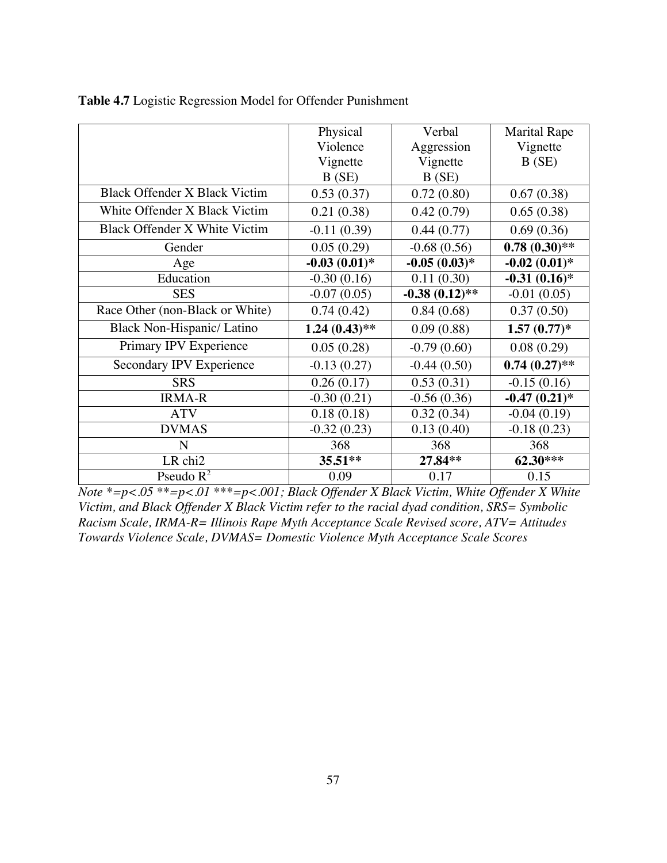|                                      | Physical        | Verbal           | <b>Marital Rape</b> |
|--------------------------------------|-----------------|------------------|---------------------|
|                                      | Violence        | Aggression       | Vignette            |
|                                      | Vignette        | Vignette         | B(SE)               |
|                                      | B(SE)           | B(SE)            |                     |
| <b>Black Offender X Black Victim</b> | 0.53(0.37)      | 0.72(0.80)       | 0.67(0.38)          |
| White Offender X Black Victim        | 0.21(0.38)      | 0.42(0.79)       | 0.65(0.38)          |
| Black Offender X White Victim        | $-0.11(0.39)$   | 0.44(0.77)       | 0.69(0.36)          |
| Gender                               | 0.05(0.29)      | $-0.68(0.56)$    | $0.78(0.30)$ **     |
| Age                                  | $-0.03(0.01)$ * | $-0.05(0.03)*$   | $-0.02(0.01)$ *     |
| Education                            | $-0.30(0.16)$   | 0.11(0.30)       | $-0.31(0.16)$ *     |
| <b>SES</b>                           | $-0.07(0.05)$   | $-0.38(0.12)$ ** | $-0.01(0.05)$       |
| Race Other (non-Black or White)      | 0.74(0.42)      | 0.84(0.68)       | 0.37(0.50)          |
| Black Non-Hispanic/ Latino           | $1.24(0.43)$ ** | 0.09(0.88)       | $1.57(0.77)*$       |
| Primary IPV Experience               | 0.05(0.28)      | $-0.79(0.60)$    | 0.08(0.29)          |
| Secondary IPV Experience             | $-0.13(0.27)$   | $-0.44(0.50)$    | $0.74(0.27)$ **     |
| <b>SRS</b>                           | 0.26(0.17)      | 0.53(0.31)       | $-0.15(0.16)$       |
| <b>IRMA-R</b>                        | $-0.30(0.21)$   | $-0.56(0.36)$    | $-0.47(0.21)$ *     |
| <b>ATV</b>                           | 0.18(0.18)      | 0.32(0.34)       | $-0.04(0.19)$       |
| <b>DVMAS</b>                         | $-0.32(0.23)$   | 0.13(0.40)       | $-0.18(0.23)$       |
| N                                    | 368             | 368              | 368                 |
| LR chi2                              | $35.51**$       | 27.84**          | 62.30***            |
| Pseudo $R^2$                         | 0.09            | 0.17             | 0.15                |

|  |  |  |  |  | Table 4.7 Logistic Regression Model for Offender Punishment |
|--|--|--|--|--|-------------------------------------------------------------|
|--|--|--|--|--|-------------------------------------------------------------|

*Note \*=p<.05 \*\*=p<.01 \*\*\*=p<.001; Black Offender X Black Victim, White Offender X White Victim, and Black Offender X Black Victim refer to the racial dyad condition, SRS= Symbolic Racism Scale, IRMA-R= Illinois Rape Myth Acceptance Scale Revised score, ATV= Attitudes Towards Violence Scale, DVMAS= Domestic Violence Myth Acceptance Scale Scores*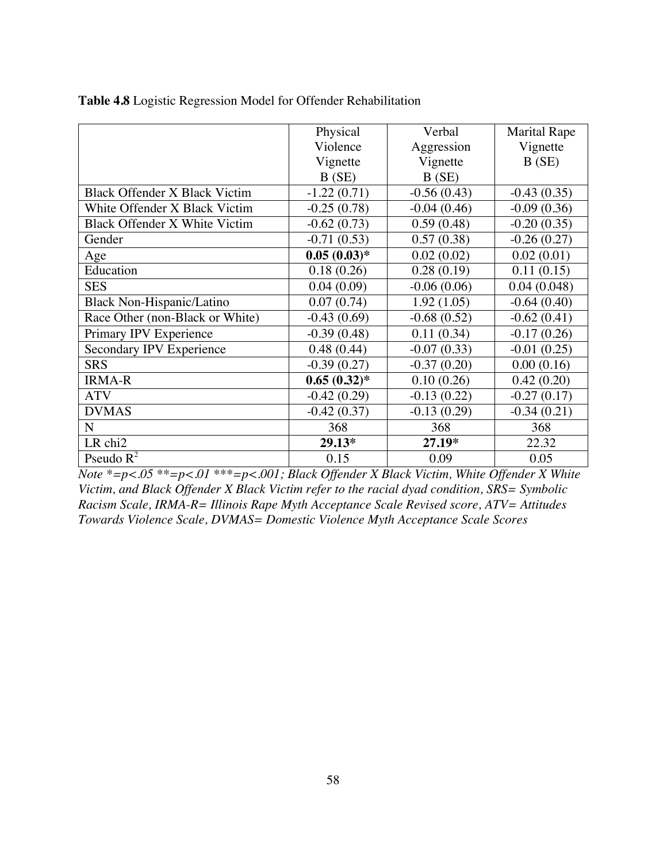|                                      | Physical       | Verbal        | <b>Marital Rape</b> |
|--------------------------------------|----------------|---------------|---------------------|
|                                      | Violence       | Aggression    | Vignette            |
|                                      | Vignette       | Vignette      | B(SE)               |
|                                      | B(SE)          | B(SE)         |                     |
| <b>Black Offender X Black Victim</b> | $-1.22(0.71)$  | $-0.56(0.43)$ | $-0.43(0.35)$       |
| White Offender X Black Victim        | $-0.25(0.78)$  | $-0.04(0.46)$ | $-0.09(0.36)$       |
| Black Offender X White Victim        | $-0.62(0.73)$  | 0.59(0.48)    | $-0.20(0.35)$       |
| Gender                               | $-0.71(0.53)$  | 0.57(0.38)    | $-0.26(0.27)$       |
| Age                                  | $0.05(0.03)*$  | 0.02(0.02)    | 0.02(0.01)          |
| Education                            | 0.18(0.26)     | 0.28(0.19)    | 0.11(0.15)          |
| <b>SES</b>                           | 0.04(0.09)     | $-0.06(0.06)$ | 0.04(0.048)         |
| Black Non-Hispanic/Latino            | 0.07(0.74)     | 1.92(1.05)    | $-0.64(0.40)$       |
| Race Other (non-Black or White)      | $-0.43(0.69)$  | $-0.68(0.52)$ | $-0.62(0.41)$       |
| Primary IPV Experience               | $-0.39(0.48)$  | 0.11(0.34)    | $-0.17(0.26)$       |
| Secondary IPV Experience             | 0.48(0.44)     | $-0.07(0.33)$ | $-0.01(0.25)$       |
| <b>SRS</b>                           | $-0.39(0.27)$  | $-0.37(0.20)$ | 0.00(0.16)          |
| <b>IRMA-R</b>                        | $0.65(0.32)$ * | 0.10(0.26)    | 0.42(0.20)          |
| <b>ATV</b>                           | $-0.42(0.29)$  | $-0.13(0.22)$ | $-0.27(0.17)$       |
| <b>DVMAS</b>                         | $-0.42(0.37)$  | $-0.13(0.29)$ | $-0.34(0.21)$       |
| $\mathbf N$                          | 368            | 368           | 368                 |
| LR chi2                              | $29.13*$       | 27.19*        | 22.32               |
| Pseudo $R^2$                         | 0.15           | 0.09          | 0.05                |

**Table 4.8** Logistic Regression Model for Offender Rehabilitation

*Note \*=p<.05 \*\*=p<.01 \*\*\*=p<.001; Black Offender X Black Victim, White Offender X White Victim, and Black Offender X Black Victim refer to the racial dyad condition, SRS= Symbolic Racism Scale, IRMA-R= Illinois Rape Myth Acceptance Scale Revised score, ATV= Attitudes Towards Violence Scale, DVMAS= Domestic Violence Myth Acceptance Scale Scores*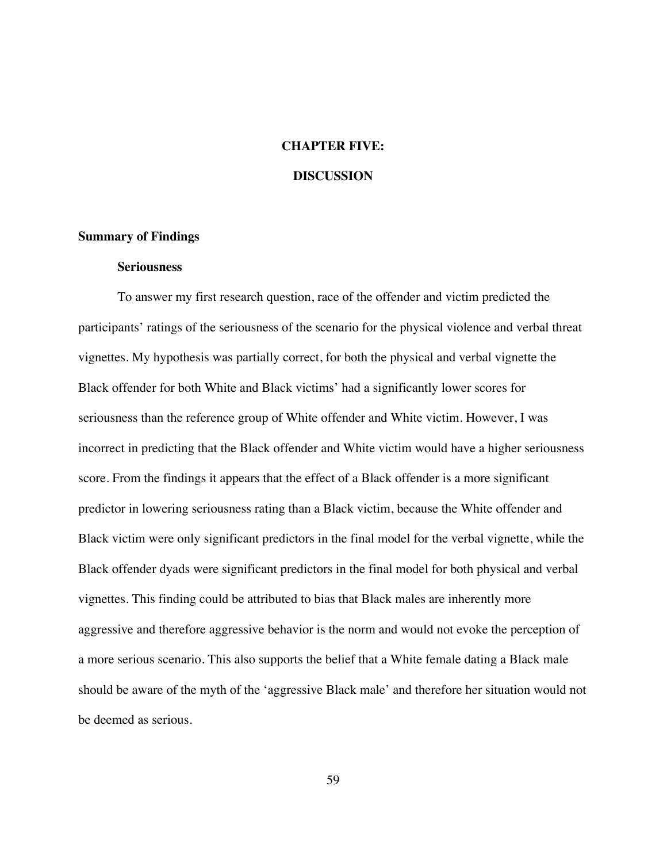# **CHAPTER FIVE:**

# **DISCUSSION**

## **Summary of Findings**

# **Seriousness**

To answer my first research question, race of the offender and victim predicted the participants' ratings of the seriousness of the scenario for the physical violence and verbal threat vignettes. My hypothesis was partially correct, for both the physical and verbal vignette the Black offender for both White and Black victims' had a significantly lower scores for seriousness than the reference group of White offender and White victim. However, I was incorrect in predicting that the Black offender and White victim would have a higher seriousness score. From the findings it appears that the effect of a Black offender is a more significant predictor in lowering seriousness rating than a Black victim, because the White offender and Black victim were only significant predictors in the final model for the verbal vignette, while the Black offender dyads were significant predictors in the final model for both physical and verbal vignettes. This finding could be attributed to bias that Black males are inherently more aggressive and therefore aggressive behavior is the norm and would not evoke the perception of a more serious scenario. This also supports the belief that a White female dating a Black male should be aware of the myth of the 'aggressive Black male' and therefore her situation would not be deemed as serious.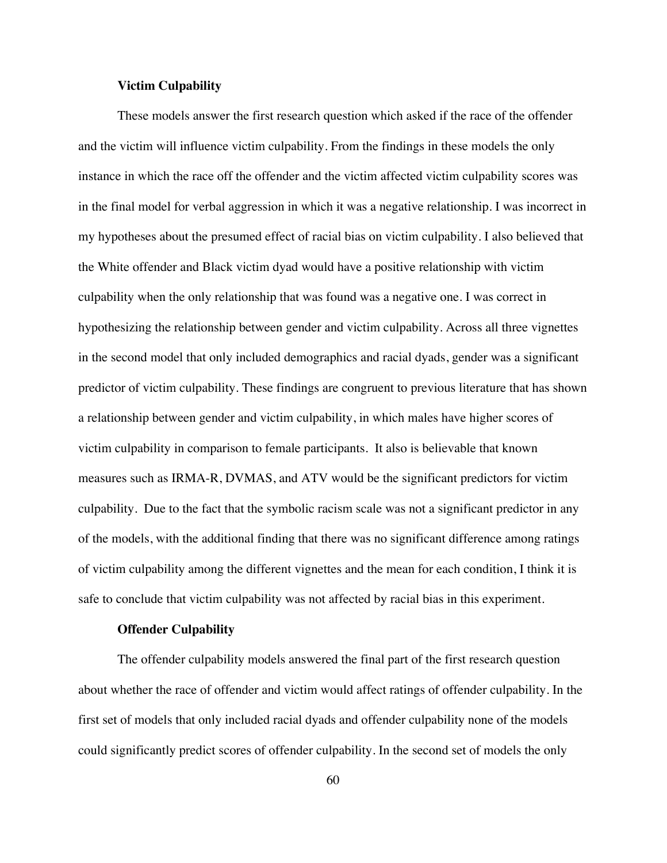#### **Victim Culpability**

These models answer the first research question which asked if the race of the offender and the victim will influence victim culpability. From the findings in these models the only instance in which the race off the offender and the victim affected victim culpability scores was in the final model for verbal aggression in which it was a negative relationship. I was incorrect in my hypotheses about the presumed effect of racial bias on victim culpability. I also believed that the White offender and Black victim dyad would have a positive relationship with victim culpability when the only relationship that was found was a negative one. I was correct in hypothesizing the relationship between gender and victim culpability. Across all three vignettes in the second model that only included demographics and racial dyads, gender was a significant predictor of victim culpability. These findings are congruent to previous literature that has shown a relationship between gender and victim culpability, in which males have higher scores of victim culpability in comparison to female participants. It also is believable that known measures such as IRMA-R, DVMAS, and ATV would be the significant predictors for victim culpability. Due to the fact that the symbolic racism scale was not a significant predictor in any of the models, with the additional finding that there was no significant difference among ratings of victim culpability among the different vignettes and the mean for each condition, I think it is safe to conclude that victim culpability was not affected by racial bias in this experiment.

#### **Offender Culpability**

The offender culpability models answered the final part of the first research question about whether the race of offender and victim would affect ratings of offender culpability. In the first set of models that only included racial dyads and offender culpability none of the models could significantly predict scores of offender culpability. In the second set of models the only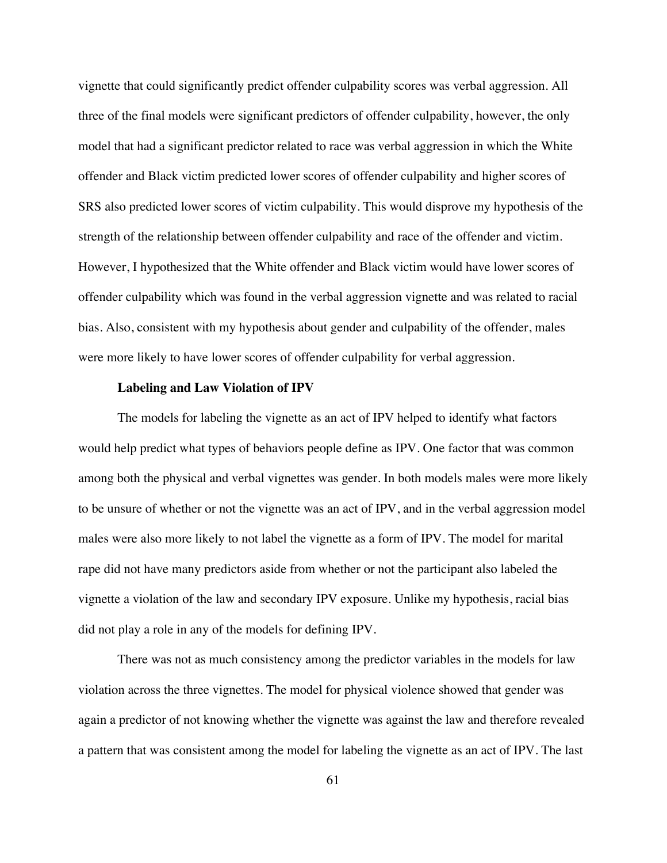vignette that could significantly predict offender culpability scores was verbal aggression. All three of the final models were significant predictors of offender culpability, however, the only model that had a significant predictor related to race was verbal aggression in which the White offender and Black victim predicted lower scores of offender culpability and higher scores of SRS also predicted lower scores of victim culpability. This would disprove my hypothesis of the strength of the relationship between offender culpability and race of the offender and victim. However, I hypothesized that the White offender and Black victim would have lower scores of offender culpability which was found in the verbal aggression vignette and was related to racial bias. Also, consistent with my hypothesis about gender and culpability of the offender, males were more likely to have lower scores of offender culpability for verbal aggression.

#### **Labeling and Law Violation of IPV**

The models for labeling the vignette as an act of IPV helped to identify what factors would help predict what types of behaviors people define as IPV. One factor that was common among both the physical and verbal vignettes was gender. In both models males were more likely to be unsure of whether or not the vignette was an act of IPV, and in the verbal aggression model males were also more likely to not label the vignette as a form of IPV. The model for marital rape did not have many predictors aside from whether or not the participant also labeled the vignette a violation of the law and secondary IPV exposure. Unlike my hypothesis, racial bias did not play a role in any of the models for defining IPV.

There was not as much consistency among the predictor variables in the models for law violation across the three vignettes. The model for physical violence showed that gender was again a predictor of not knowing whether the vignette was against the law and therefore revealed a pattern that was consistent among the model for labeling the vignette as an act of IPV. The last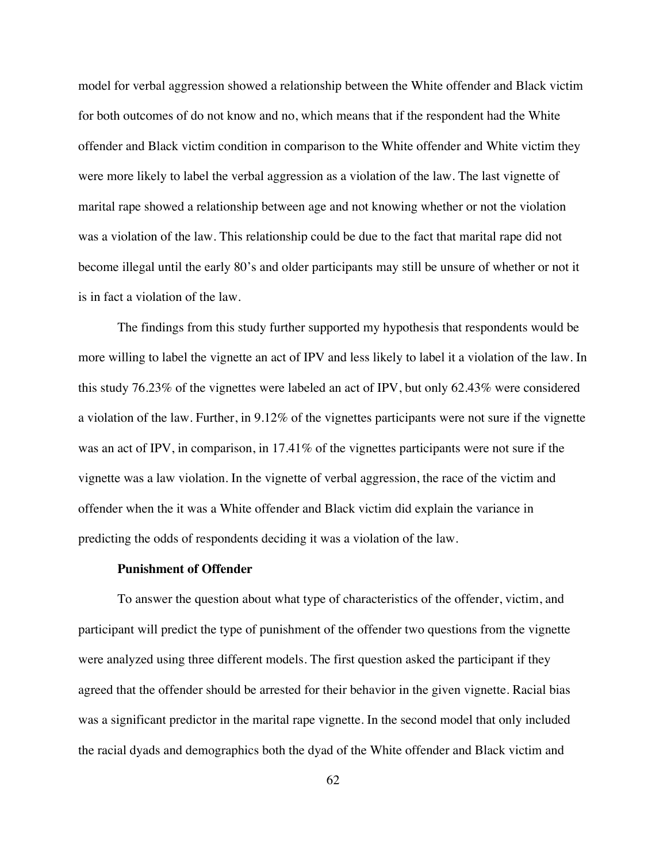model for verbal aggression showed a relationship between the White offender and Black victim for both outcomes of do not know and no, which means that if the respondent had the White offender and Black victim condition in comparison to the White offender and White victim they were more likely to label the verbal aggression as a violation of the law. The last vignette of marital rape showed a relationship between age and not knowing whether or not the violation was a violation of the law. This relationship could be due to the fact that marital rape did not become illegal until the early 80's and older participants may still be unsure of whether or not it is in fact a violation of the law.

The findings from this study further supported my hypothesis that respondents would be more willing to label the vignette an act of IPV and less likely to label it a violation of the law. In this study 76.23% of the vignettes were labeled an act of IPV, but only 62.43% were considered a violation of the law. Further, in 9.12% of the vignettes participants were not sure if the vignette was an act of IPV, in comparison, in 17.41% of the vignettes participants were not sure if the vignette was a law violation. In the vignette of verbal aggression, the race of the victim and offender when the it was a White offender and Black victim did explain the variance in predicting the odds of respondents deciding it was a violation of the law.

#### **Punishment of Offender**

To answer the question about what type of characteristics of the offender, victim, and participant will predict the type of punishment of the offender two questions from the vignette were analyzed using three different models. The first question asked the participant if they agreed that the offender should be arrested for their behavior in the given vignette. Racial bias was a significant predictor in the marital rape vignette. In the second model that only included the racial dyads and demographics both the dyad of the White offender and Black victim and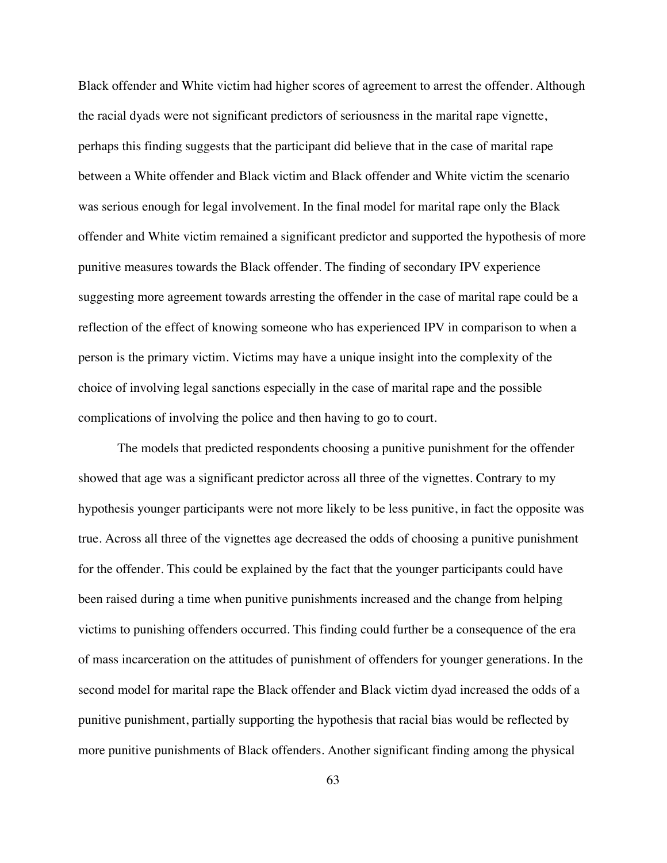Black offender and White victim had higher scores of agreement to arrest the offender. Although the racial dyads were not significant predictors of seriousness in the marital rape vignette, perhaps this finding suggests that the participant did believe that in the case of marital rape between a White offender and Black victim and Black offender and White victim the scenario was serious enough for legal involvement. In the final model for marital rape only the Black offender and White victim remained a significant predictor and supported the hypothesis of more punitive measures towards the Black offender. The finding of secondary IPV experience suggesting more agreement towards arresting the offender in the case of marital rape could be a reflection of the effect of knowing someone who has experienced IPV in comparison to when a person is the primary victim. Victims may have a unique insight into the complexity of the choice of involving legal sanctions especially in the case of marital rape and the possible complications of involving the police and then having to go to court.

The models that predicted respondents choosing a punitive punishment for the offender showed that age was a significant predictor across all three of the vignettes. Contrary to my hypothesis younger participants were not more likely to be less punitive, in fact the opposite was true. Across all three of the vignettes age decreased the odds of choosing a punitive punishment for the offender. This could be explained by the fact that the younger participants could have been raised during a time when punitive punishments increased and the change from helping victims to punishing offenders occurred. This finding could further be a consequence of the era of mass incarceration on the attitudes of punishment of offenders for younger generations. In the second model for marital rape the Black offender and Black victim dyad increased the odds of a punitive punishment, partially supporting the hypothesis that racial bias would be reflected by more punitive punishments of Black offenders. Another significant finding among the physical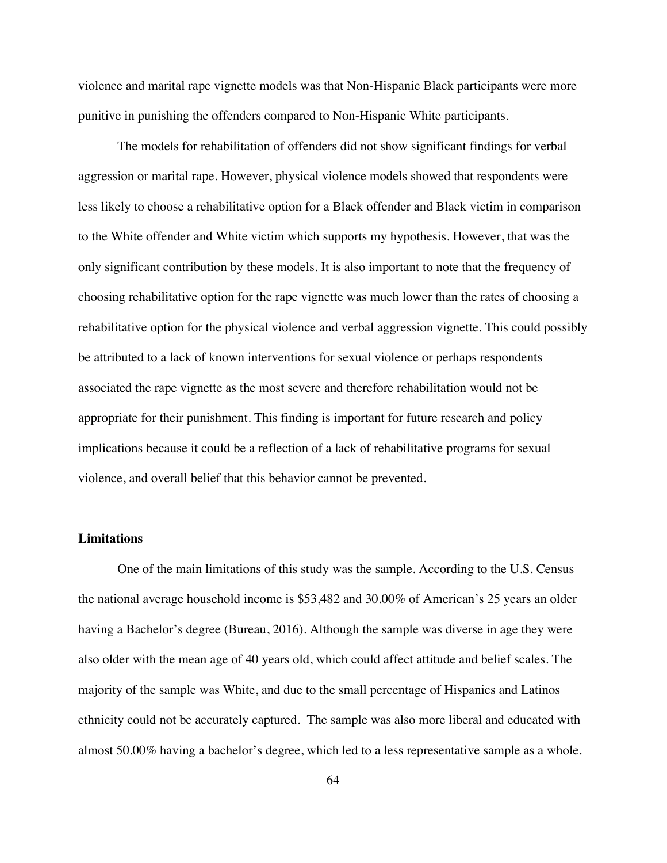violence and marital rape vignette models was that Non-Hispanic Black participants were more punitive in punishing the offenders compared to Non-Hispanic White participants.

The models for rehabilitation of offenders did not show significant findings for verbal aggression or marital rape. However, physical violence models showed that respondents were less likely to choose a rehabilitative option for a Black offender and Black victim in comparison to the White offender and White victim which supports my hypothesis. However, that was the only significant contribution by these models. It is also important to note that the frequency of choosing rehabilitative option for the rape vignette was much lower than the rates of choosing a rehabilitative option for the physical violence and verbal aggression vignette. This could possibly be attributed to a lack of known interventions for sexual violence or perhaps respondents associated the rape vignette as the most severe and therefore rehabilitation would not be appropriate for their punishment. This finding is important for future research and policy implications because it could be a reflection of a lack of rehabilitative programs for sexual violence, and overall belief that this behavior cannot be prevented.

## **Limitations**

One of the main limitations of this study was the sample. According to the U.S. Census the national average household income is \$53,482 and 30.00% of American's 25 years an older having a Bachelor's degree (Bureau, 2016). Although the sample was diverse in age they were also older with the mean age of 40 years old, which could affect attitude and belief scales. The majority of the sample was White, and due to the small percentage of Hispanics and Latinos ethnicity could not be accurately captured. The sample was also more liberal and educated with almost 50.00% having a bachelor's degree, which led to a less representative sample as a whole.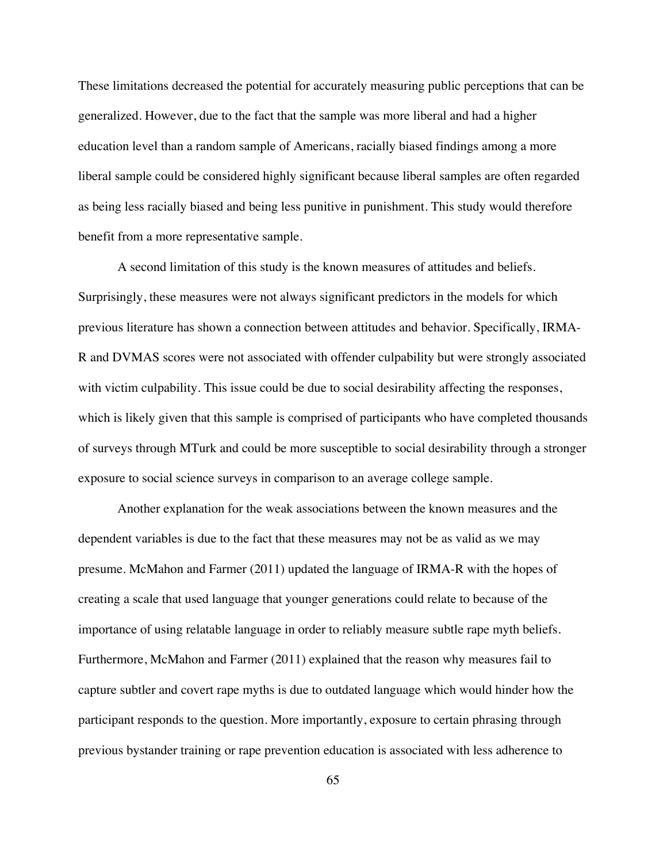These limitations decreased the potential for accurately measuring public perceptions that can be generalized. However, due to the fact that the sample was more liberal and had a higher education level than a random sample of Americans, racially biased findings among a more liberal sample could be considered highly significant because liberal samples are often regarded as being less racially biased and being less punitive in punishment. This study would therefore benefit from a more representative sample.

A second limitation of this study is the known measures of attitudes and beliefs. Surprisingly, these measures were not always significant predictors in the models for which previous literature has shown a connection between attitudes and behavior. Specifically, IRMA-R and DVMAS scores were not associated with offender culpability but were strongly associated with victim culpability. This issue could be due to social desirability affecting the responses, which is likely given that this sample is comprised of participants who have completed thousands of surveys through MTurk and could be more susceptible to social desirability through a stronger exposure to social science surveys in comparison to an average college sample.

Another explanation for the weak associations between the known measures and the dependent variables is due to the fact that these measures may not be as valid as we may presume. McMahon and Farmer (2011) updated the language of IRMA-R with the hopes of creating a scale that used language that younger generations could relate to because of the importance of using relatable language in order to reliably measure subtle rape myth beliefs. Furthermore, McMahon and Farmer (2011) explained that the reason why measures fail to capture subtler and covert rape myths is due to outdated language which would hinder how the participant responds to the question. More importantly, exposure to certain phrasing through previous bystander training or rape prevention education is associated with less adherence to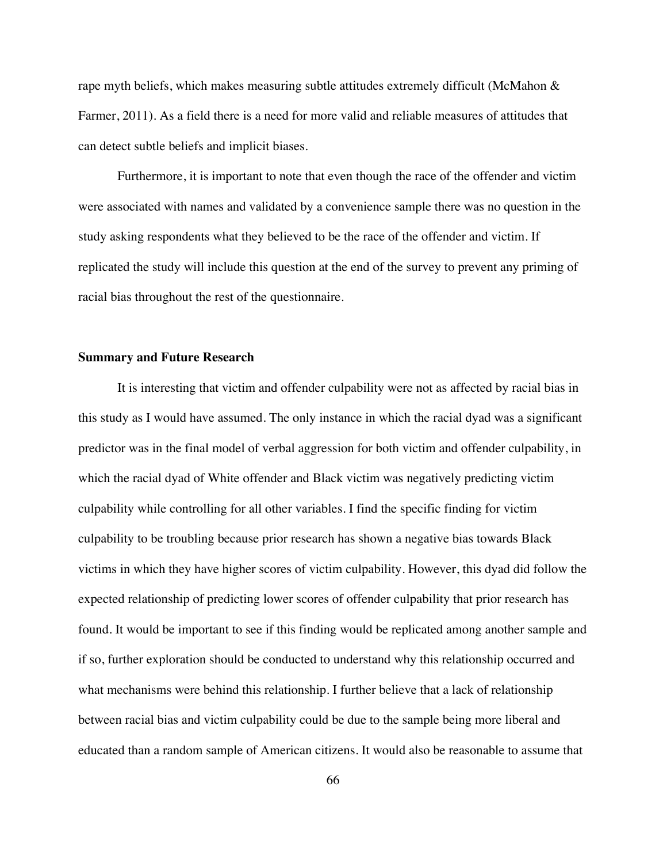rape myth beliefs, which makes measuring subtle attitudes extremely difficult (McMahon  $\&$ Farmer, 2011). As a field there is a need for more valid and reliable measures of attitudes that can detect subtle beliefs and implicit biases.

Furthermore, it is important to note that even though the race of the offender and victim were associated with names and validated by a convenience sample there was no question in the study asking respondents what they believed to be the race of the offender and victim. If replicated the study will include this question at the end of the survey to prevent any priming of racial bias throughout the rest of the questionnaire.

#### **Summary and Future Research**

It is interesting that victim and offender culpability were not as affected by racial bias in this study as I would have assumed. The only instance in which the racial dyad was a significant predictor was in the final model of verbal aggression for both victim and offender culpability, in which the racial dyad of White offender and Black victim was negatively predicting victim culpability while controlling for all other variables. I find the specific finding for victim culpability to be troubling because prior research has shown a negative bias towards Black victims in which they have higher scores of victim culpability. However, this dyad did follow the expected relationship of predicting lower scores of offender culpability that prior research has found. It would be important to see if this finding would be replicated among another sample and if so, further exploration should be conducted to understand why this relationship occurred and what mechanisms were behind this relationship. I further believe that a lack of relationship between racial bias and victim culpability could be due to the sample being more liberal and educated than a random sample of American citizens. It would also be reasonable to assume that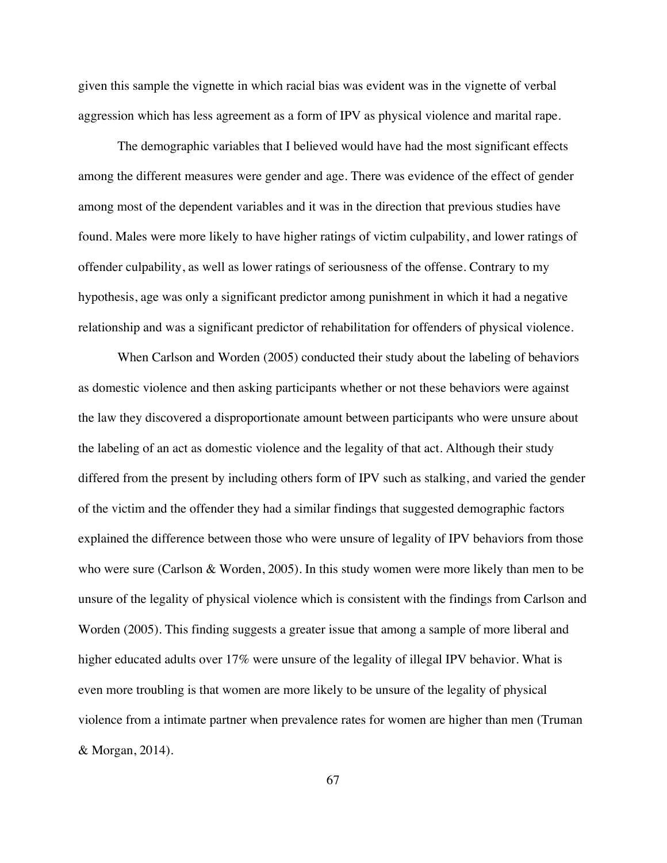given this sample the vignette in which racial bias was evident was in the vignette of verbal aggression which has less agreement as a form of IPV as physical violence and marital rape.

The demographic variables that I believed would have had the most significant effects among the different measures were gender and age. There was evidence of the effect of gender among most of the dependent variables and it was in the direction that previous studies have found. Males were more likely to have higher ratings of victim culpability, and lower ratings of offender culpability, as well as lower ratings of seriousness of the offense. Contrary to my hypothesis, age was only a significant predictor among punishment in which it had a negative relationship and was a significant predictor of rehabilitation for offenders of physical violence.

When Carlson and Worden (2005) conducted their study about the labeling of behaviors as domestic violence and then asking participants whether or not these behaviors were against the law they discovered a disproportionate amount between participants who were unsure about the labeling of an act as domestic violence and the legality of that act. Although their study differed from the present by including others form of IPV such as stalking, and varied the gender of the victim and the offender they had a similar findings that suggested demographic factors explained the difference between those who were unsure of legality of IPV behaviors from those who were sure (Carlson & Worden, 2005). In this study women were more likely than men to be unsure of the legality of physical violence which is consistent with the findings from Carlson and Worden (2005). This finding suggests a greater issue that among a sample of more liberal and higher educated adults over 17% were unsure of the legality of illegal IPV behavior. What is even more troubling is that women are more likely to be unsure of the legality of physical violence from a intimate partner when prevalence rates for women are higher than men (Truman & Morgan, 2014).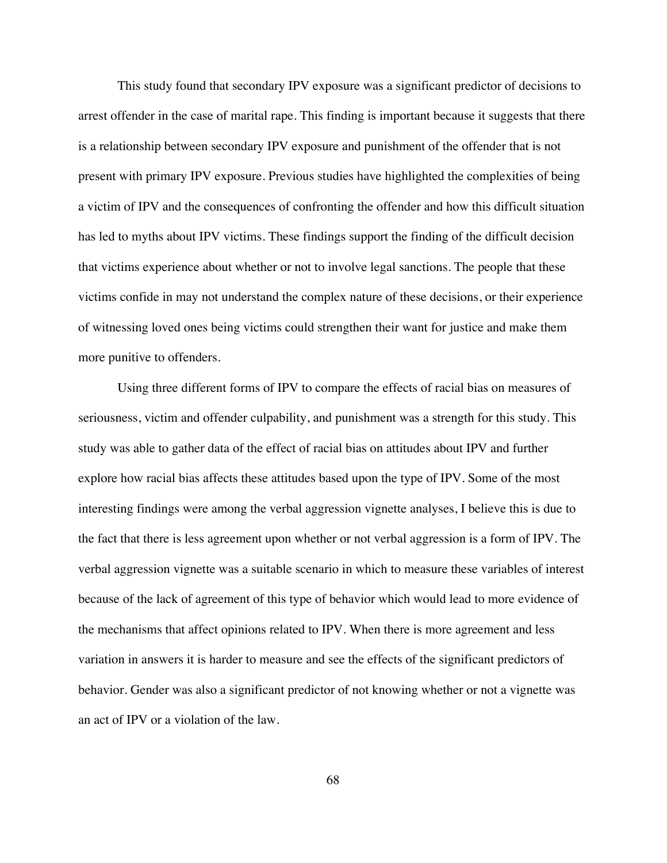This study found that secondary IPV exposure was a significant predictor of decisions to arrest offender in the case of marital rape. This finding is important because it suggests that there is a relationship between secondary IPV exposure and punishment of the offender that is not present with primary IPV exposure. Previous studies have highlighted the complexities of being a victim of IPV and the consequences of confronting the offender and how this difficult situation has led to myths about IPV victims. These findings support the finding of the difficult decision that victims experience about whether or not to involve legal sanctions. The people that these victims confide in may not understand the complex nature of these decisions, or their experience of witnessing loved ones being victims could strengthen their want for justice and make them more punitive to offenders.

Using three different forms of IPV to compare the effects of racial bias on measures of seriousness, victim and offender culpability, and punishment was a strength for this study. This study was able to gather data of the effect of racial bias on attitudes about IPV and further explore how racial bias affects these attitudes based upon the type of IPV. Some of the most interesting findings were among the verbal aggression vignette analyses, I believe this is due to the fact that there is less agreement upon whether or not verbal aggression is a form of IPV. The verbal aggression vignette was a suitable scenario in which to measure these variables of interest because of the lack of agreement of this type of behavior which would lead to more evidence of the mechanisms that affect opinions related to IPV. When there is more agreement and less variation in answers it is harder to measure and see the effects of the significant predictors of behavior. Gender was also a significant predictor of not knowing whether or not a vignette was an act of IPV or a violation of the law.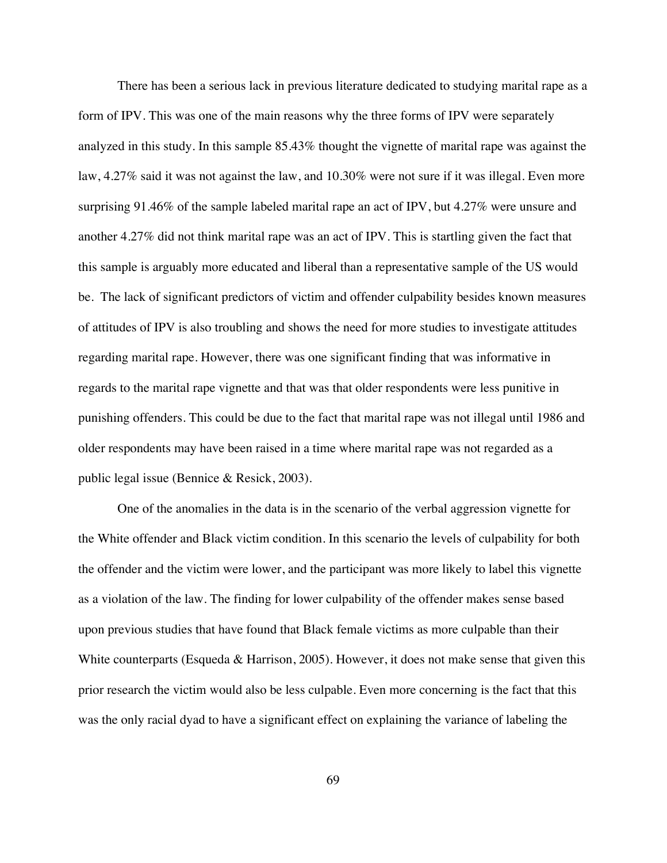There has been a serious lack in previous literature dedicated to studying marital rape as a form of IPV. This was one of the main reasons why the three forms of IPV were separately analyzed in this study. In this sample 85.43% thought the vignette of marital rape was against the law, 4.27% said it was not against the law, and 10.30% were not sure if it was illegal. Even more surprising 91.46% of the sample labeled marital rape an act of IPV, but 4.27% were unsure and another 4.27% did not think marital rape was an act of IPV. This is startling given the fact that this sample is arguably more educated and liberal than a representative sample of the US would be. The lack of significant predictors of victim and offender culpability besides known measures of attitudes of IPV is also troubling and shows the need for more studies to investigate attitudes regarding marital rape. However, there was one significant finding that was informative in regards to the marital rape vignette and that was that older respondents were less punitive in punishing offenders. This could be due to the fact that marital rape was not illegal until 1986 and older respondents may have been raised in a time where marital rape was not regarded as a public legal issue (Bennice & Resick, 2003).

One of the anomalies in the data is in the scenario of the verbal aggression vignette for the White offender and Black victim condition. In this scenario the levels of culpability for both the offender and the victim were lower, and the participant was more likely to label this vignette as a violation of the law. The finding for lower culpability of the offender makes sense based upon previous studies that have found that Black female victims as more culpable than their White counterparts (Esqueda & Harrison, 2005). However, it does not make sense that given this prior research the victim would also be less culpable. Even more concerning is the fact that this was the only racial dyad to have a significant effect on explaining the variance of labeling the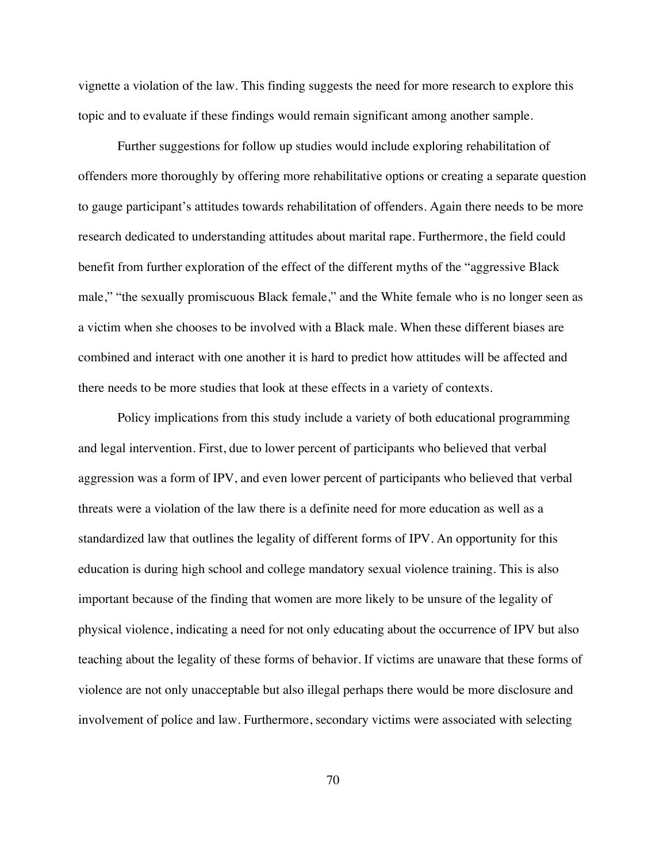vignette a violation of the law. This finding suggests the need for more research to explore this topic and to evaluate if these findings would remain significant among another sample.

Further suggestions for follow up studies would include exploring rehabilitation of offenders more thoroughly by offering more rehabilitative options or creating a separate question to gauge participant's attitudes towards rehabilitation of offenders. Again there needs to be more research dedicated to understanding attitudes about marital rape. Furthermore, the field could benefit from further exploration of the effect of the different myths of the "aggressive Black male," "the sexually promiscuous Black female," and the White female who is no longer seen as a victim when she chooses to be involved with a Black male. When these different biases are combined and interact with one another it is hard to predict how attitudes will be affected and there needs to be more studies that look at these effects in a variety of contexts.

Policy implications from this study include a variety of both educational programming and legal intervention. First, due to lower percent of participants who believed that verbal aggression was a form of IPV, and even lower percent of participants who believed that verbal threats were a violation of the law there is a definite need for more education as well as a standardized law that outlines the legality of different forms of IPV. An opportunity for this education is during high school and college mandatory sexual violence training. This is also important because of the finding that women are more likely to be unsure of the legality of physical violence, indicating a need for not only educating about the occurrence of IPV but also teaching about the legality of these forms of behavior. If victims are unaware that these forms of violence are not only unacceptable but also illegal perhaps there would be more disclosure and involvement of police and law. Furthermore, secondary victims were associated with selecting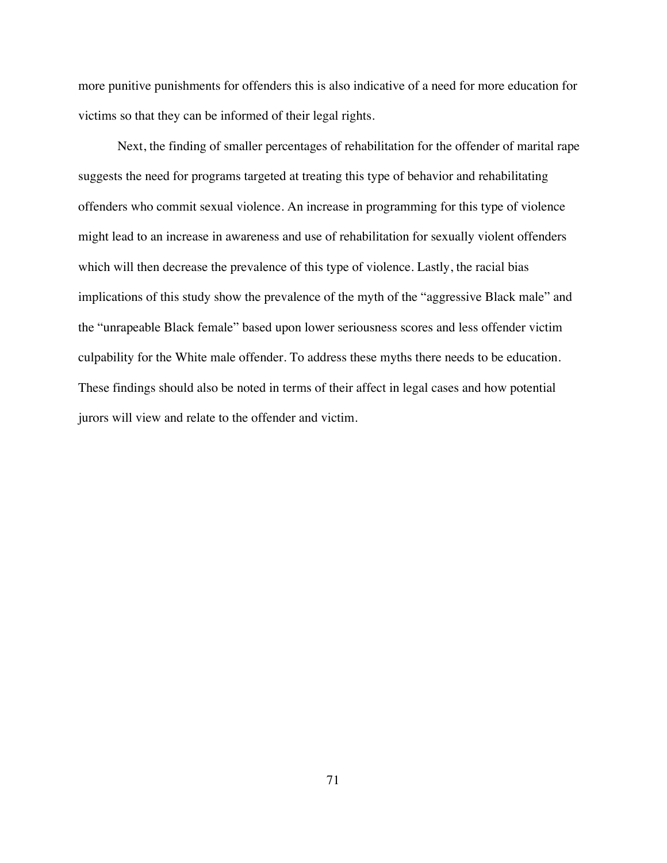more punitive punishments for offenders this is also indicative of a need for more education for victims so that they can be informed of their legal rights.

Next, the finding of smaller percentages of rehabilitation for the offender of marital rape suggests the need for programs targeted at treating this type of behavior and rehabilitating offenders who commit sexual violence. An increase in programming for this type of violence might lead to an increase in awareness and use of rehabilitation for sexually violent offenders which will then decrease the prevalence of this type of violence. Lastly, the racial bias implications of this study show the prevalence of the myth of the "aggressive Black male" and the "unrapeable Black female" based upon lower seriousness scores and less offender victim culpability for the White male offender. To address these myths there needs to be education. These findings should also be noted in terms of their affect in legal cases and how potential jurors will view and relate to the offender and victim.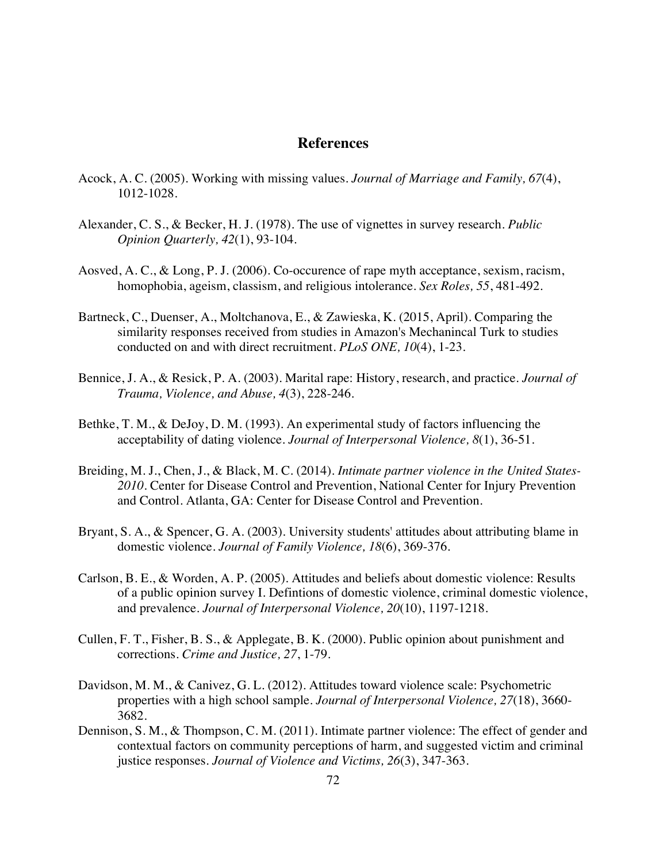## **References**

- Acock, A. C. (2005). Working with missing values. *Journal of Marriage and Family, 67*(4), 1012-1028.
- Alexander, C. S., & Becker, H. J. (1978). The use of vignettes in survey research. *Public Opinion Quarterly, 42*(1), 93-104.
- Aosved, A. C., & Long, P. J. (2006). Co-occurence of rape myth acceptance, sexism, racism, homophobia, ageism, classism, and religious intolerance. *Sex Roles, 55*, 481-492.
- Bartneck, C., Duenser, A., Moltchanova, E., & Zawieska, K. (2015, April). Comparing the similarity responses received from studies in Amazon's Mechanincal Turk to studies conducted on and with direct recruitment. *PLoS ONE, 10*(4), 1-23.
- Bennice, J. A., & Resick, P. A. (2003). Marital rape: History, research, and practice. *Journal of Trauma, Violence, and Abuse, 4*(3), 228-246.
- Bethke, T. M., & DeJoy, D. M. (1993). An experimental study of factors influencing the acceptability of dating violence. *Journal of Interpersonal Violence, 8*(1), 36-51.
- Breiding, M. J., Chen, J., & Black, M. C. (2014). *Intimate partner violence in the United States-2010.* Center for Disease Control and Prevention, National Center for Injury Prevention and Control. Atlanta, GA: Center for Disease Control and Prevention.
- Bryant, S. A., & Spencer, G. A. (2003). University students' attitudes about attributing blame in domestic violence. *Journal of Family Violence, 18*(6), 369-376.
- Carlson, B. E., & Worden, A. P. (2005). Attitudes and beliefs about domestic violence: Results of a public opinion survey I. Defintions of domestic violence, criminal domestic violence, and prevalence. *Journal of Interpersonal Violence, 20*(10), 1197-1218.
- Cullen, F. T., Fisher, B. S., & Applegate, B. K. (2000). Public opinion about punishment and corrections. *Crime and Justice, 27*, 1-79.
- Davidson, M. M., & Canivez, G. L. (2012). Attitudes toward violence scale: Psychometric properties with a high school sample. *Journal of Interpersonal Violence, 27*(18), 3660- 3682.
- Dennison, S. M., & Thompson, C. M. (2011). Intimate partner violence: The effect of gender and contextual factors on community perceptions of harm, and suggested victim and criminal justice responses. *Journal of Violence and Victims, 26*(3), 347-363.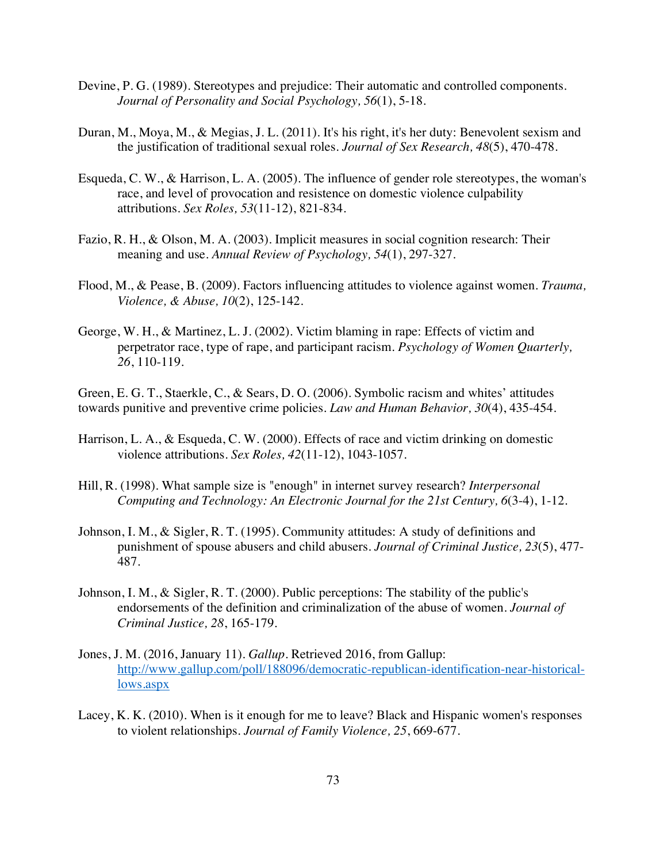- Devine, P. G. (1989). Stereotypes and prejudice: Their automatic and controlled components. *Journal of Personality and Social Psychology, 56*(1), 5-18.
- Duran, M., Moya, M., & Megias, J. L. (2011). It's his right, it's her duty: Benevolent sexism and the justification of traditional sexual roles. *Journal of Sex Research, 48*(5), 470-478.
- Esqueda, C. W., & Harrison, L. A. (2005). The influence of gender role stereotypes, the woman's race, and level of provocation and resistence on domestic violence culpability attributions. *Sex Roles, 53*(11-12), 821-834.
- Fazio, R. H., & Olson, M. A. (2003). Implicit measures in social cognition research: Their meaning and use. *Annual Review of Psychology, 54*(1), 297-327.
- Flood, M., & Pease, B. (2009). Factors influencing attitudes to violence against women. *Trauma, Violence, & Abuse, 10*(2), 125-142.
- George, W. H., & Martinez, L. J. (2002). Victim blaming in rape: Effects of victim and perpetrator race, type of rape, and participant racism. *Psychology of Women Quarterly, 26*, 110-119.

Green, E. G. T., Staerkle, C., & Sears, D. O. (2006). Symbolic racism and whites' attitudes towards punitive and preventive crime policies. *Law and Human Behavior, 30*(4), 435-454.

- Harrison, L. A., & Esqueda, C. W. (2000). Effects of race and victim drinking on domestic violence attributions. *Sex Roles, 42*(11-12), 1043-1057.
- Hill, R. (1998). What sample size is "enough" in internet survey research? *Interpersonal Computing and Technology: An Electronic Journal for the 21st Century, 6*(3-4), 1-12.
- Johnson, I. M., & Sigler, R. T. (1995). Community attitudes: A study of definitions and punishment of spouse abusers and child abusers. *Journal of Criminal Justice, 23*(5), 477- 487.
- Johnson, I. M., & Sigler, R. T. (2000). Public perceptions: The stability of the public's endorsements of the definition and criminalization of the abuse of women. *Journal of Criminal Justice, 28*, 165-179.
- Jones, J. M. (2016, January 11). *Gallup.* Retrieved 2016, from Gallup: http://www.gallup.com/poll/188096/democratic-republican-identification-near-historicallows.aspx
- Lacey, K. K. (2010). When is it enough for me to leave? Black and Hispanic women's responses to violent relationships. *Journal of Family Violence, 25*, 669-677.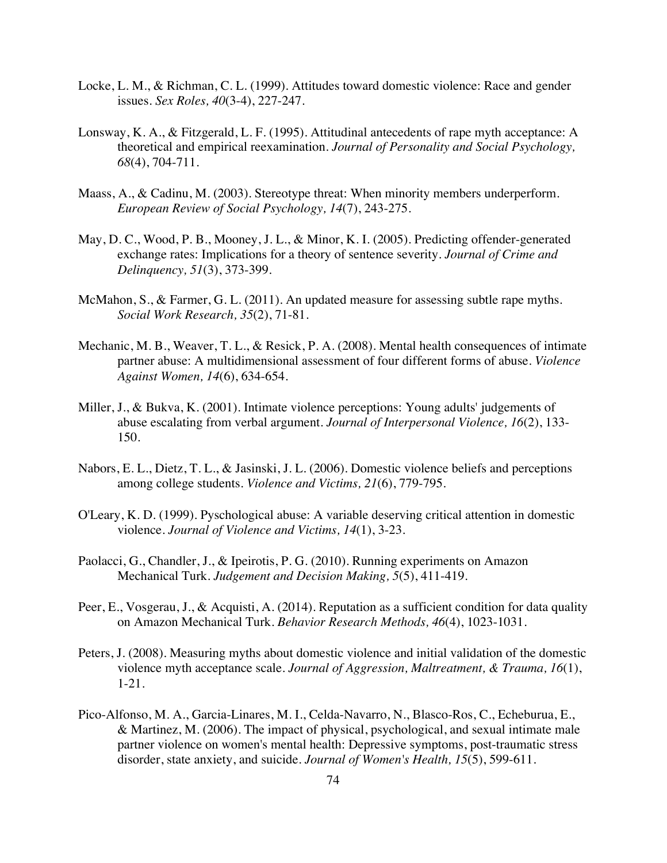- Locke, L. M., & Richman, C. L. (1999). Attitudes toward domestic violence: Race and gender issues. *Sex Roles, 40*(3-4), 227-247.
- Lonsway, K. A., & Fitzgerald, L. F. (1995). Attitudinal antecedents of rape myth acceptance: A theoretical and empirical reexamination. *Journal of Personality and Social Psychology, 68*(4), 704-711.
- Maass, A., & Cadinu, M. (2003). Stereotype threat: When minority members underperform. *European Review of Social Psychology, 14*(7), 243-275.
- May, D. C., Wood, P. B., Mooney, J. L., & Minor, K. I. (2005). Predicting offender-generated exchange rates: Implications for a theory of sentence severity. *Journal of Crime and Delinquency, 51*(3), 373-399.
- McMahon, S., & Farmer, G. L. (2011). An updated measure for assessing subtle rape myths. *Social Work Research, 35*(2), 71-81.
- Mechanic, M. B., Weaver, T. L., & Resick, P. A. (2008). Mental health consequences of intimate partner abuse: A multidimensional assessment of four different forms of abuse. *Violence Against Women, 14*(6), 634-654.
- Miller, J., & Bukva, K. (2001). Intimate violence perceptions: Young adults' judgements of abuse escalating from verbal argument. *Journal of Interpersonal Violence, 16*(2), 133- 150.
- Nabors, E. L., Dietz, T. L., & Jasinski, J. L. (2006). Domestic violence beliefs and perceptions among college students. *Violence and Victims, 21*(6), 779-795.
- O'Leary, K. D. (1999). Pyschological abuse: A variable deserving critical attention in domestic violence. *Journal of Violence and Victims, 14*(1), 3-23.
- Paolacci, G., Chandler, J., & Ipeirotis, P. G. (2010). Running experiments on Amazon Mechanical Turk. *Judgement and Decision Making, 5*(5), 411-419.
- Peer, E., Vosgerau, J., & Acquisti, A. (2014). Reputation as a sufficient condition for data quality on Amazon Mechanical Turk. *Behavior Research Methods, 46*(4), 1023-1031.
- Peters, J. (2008). Measuring myths about domestic violence and initial validation of the domestic violence myth acceptance scale. *Journal of Aggression, Maltreatment, & Trauma, 16*(1), 1-21.
- Pico-Alfonso, M. A., Garcia-Linares, M. I., Celda-Navarro, N., Blasco-Ros, C., Echeburua, E., & Martinez, M. (2006). The impact of physical, psychological, and sexual intimate male partner violence on women's mental health: Depressive symptoms, post-traumatic stress disorder, state anxiety, and suicide. *Journal of Women's Health, 15*(5), 599-611.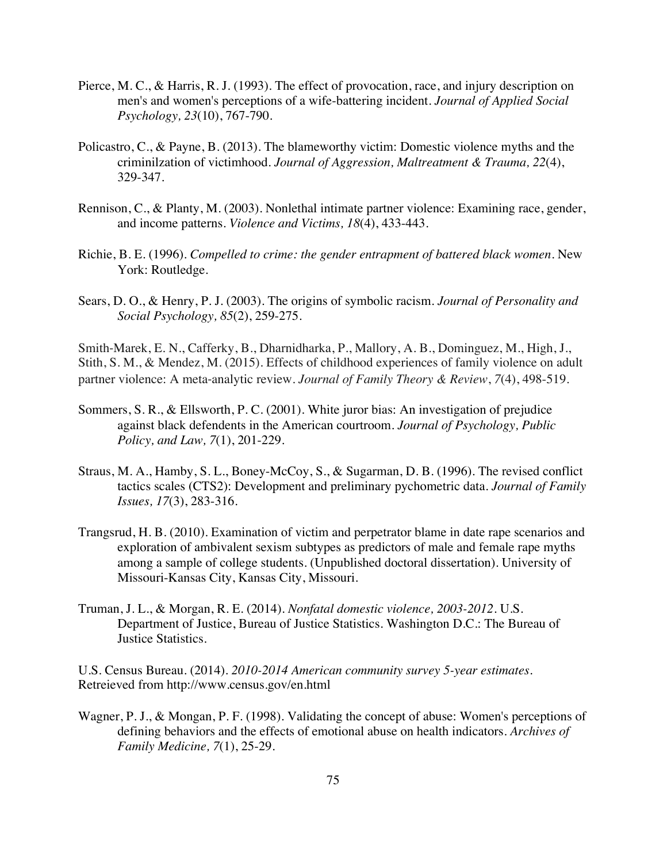- Pierce, M. C., & Harris, R. J. (1993). The effect of provocation, race, and injury description on men's and women's perceptions of a wife-battering incident. *Journal of Applied Social Psychology, 23*(10), 767-790.
- Policastro, C., & Payne, B. (2013). The blameworthy victim: Domestic violence myths and the criminilzation of victimhood. *Journal of Aggression, Maltreatment & Trauma, 22*(4), 329-347.
- Rennison, C., & Planty, M. (2003). Nonlethal intimate partner violence: Examining race, gender, and income patterns. *Violence and Victims, 18*(4), 433-443.
- Richie, B. E. (1996). *Compelled to crime: the gender entrapment of battered black women.* New York: Routledge.
- Sears, D. O., & Henry, P. J. (2003). The origins of symbolic racism. *Journal of Personality and Social Psychology, 85*(2), 259-275.

Smith-Marek, E. N., Cafferky, B., Dharnidharka, P., Mallory, A. B., Dominguez, M., High, J., Stith, S. M., & Mendez, M. (2015). Effects of childhood experiences of family violence on adult partner violence: A meta-analytic review. *Journal of Family Theory & Review*, *7*(4), 498-519.

- Sommers, S. R., & Ellsworth, P. C. (2001). White juror bias: An investigation of prejudice against black defendents in the American courtroom. *Journal of Psychology, Public Policy, and Law, 7*(1), 201-229.
- Straus, M. A., Hamby, S. L., Boney-McCoy, S., & Sugarman, D. B. (1996). The revised conflict tactics scales (CTS2): Development and preliminary pychometric data. *Journal of Family Issues, 17*(3), 283-316.
- Trangsrud, H. B. (2010). Examination of victim and perpetrator blame in date rape scenarios and exploration of ambivalent sexism subtypes as predictors of male and female rape myths among a sample of college students. (Unpublished doctoral dissertation). University of Missouri-Kansas City, Kansas City, Missouri.
- Truman, J. L., & Morgan, R. E. (2014). *Nonfatal domestic violence, 2003-2012.* U.S. Department of Justice, Bureau of Justice Statistics. Washington D.C.: The Bureau of Justice Statistics.

U.S. Census Bureau. (2014). *2010-2014 American community survey 5-year estimates.*  Retreieved from http://www.census.gov/en.html

Wagner, P. J., & Mongan, P. F. (1998). Validating the concept of abuse: Women's perceptions of defining behaviors and the effects of emotional abuse on health indicators. *Archives of Family Medicine, 7*(1), 25-29.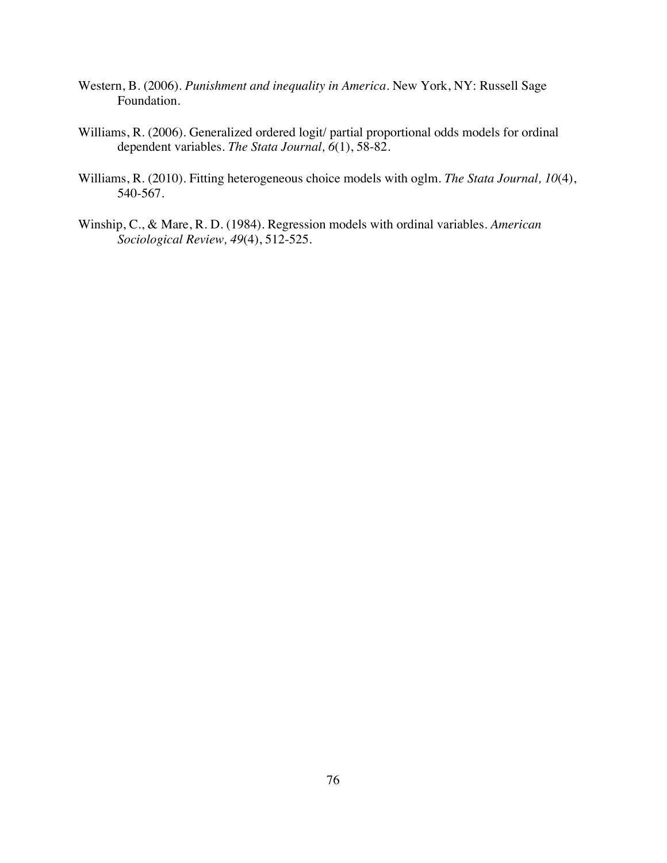- Western, B. (2006). *Punishment and inequality in America.* New York, NY: Russell Sage Foundation.
- Williams, R. (2006). Generalized ordered logit/ partial proportional odds models for ordinal dependent variables. *The Stata Journal, 6*(1), 58-82.
- Williams, R. (2010). Fitting heterogeneous choice models with oglm. *The Stata Journal, 10*(4), 540-567.
- Winship, C., & Mare, R. D. (1984). Regression models with ordinal variables. *American Sociological Review, 49*(4), 512-525.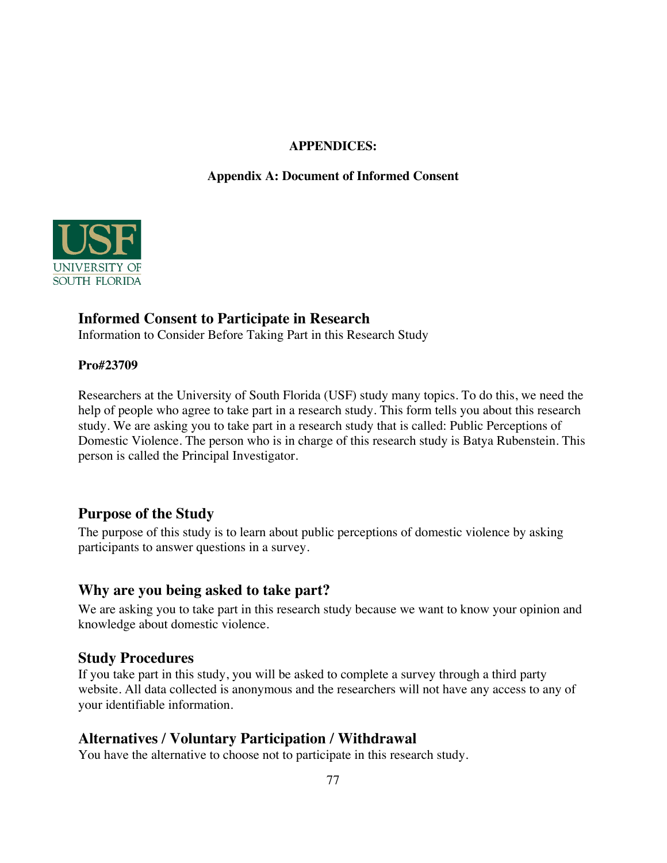#### **APPENDICES:**

## **Appendix A: Document of Informed Consent**



# **Informed Consent to Participate in Research**

Information to Consider Before Taking Part in this Research Study

#### **Pro#23709**

Researchers at the University of South Florida (USF) study many topics. To do this, we need the help of people who agree to take part in a research study. This form tells you about this research study. We are asking you to take part in a research study that is called: Public Perceptions of Domestic Violence. The person who is in charge of this research study is Batya Rubenstein. This person is called the Principal Investigator.

# **Purpose of the Study**

The purpose of this study is to learn about public perceptions of domestic violence by asking participants to answer questions in a survey.

## **Why are you being asked to take part?**

We are asking you to take part in this research study because we want to know your opinion and knowledge about domestic violence.

## **Study Procedures**

If you take part in this study, you will be asked to complete a survey through a third party website. All data collected is anonymous and the researchers will not have any access to any of your identifiable information.

# **Alternatives / Voluntary Participation / Withdrawal**

You have the alternative to choose not to participate in this research study.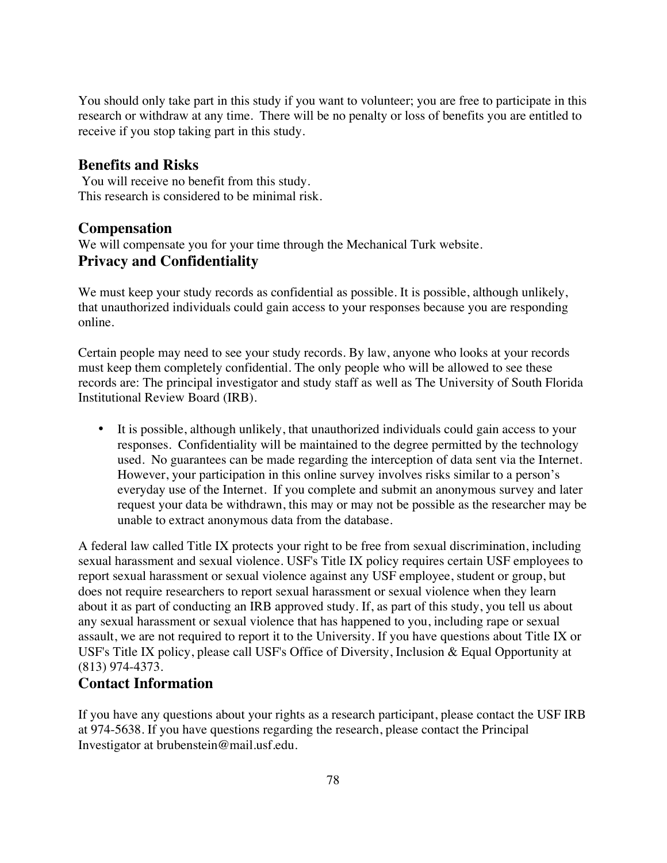You should only take part in this study if you want to volunteer; you are free to participate in this research or withdraw at any time. There will be no penalty or loss of benefits you are entitled to receive if you stop taking part in this study.

#### **Benefits and Risks**

You will receive no benefit from this study. This research is considered to be minimal risk.

#### **Compensation**

We will compensate you for your time through the Mechanical Turk website. **Privacy and Confidentiality**

We must keep your study records as confidential as possible. It is possible, although unlikely, that unauthorized individuals could gain access to your responses because you are responding online.

Certain people may need to see your study records. By law, anyone who looks at your records must keep them completely confidential. The only people who will be allowed to see these records are: The principal investigator and study staff as well as The University of South Florida Institutional Review Board (IRB).

• It is possible, although unlikely, that unauthorized individuals could gain access to your responses. Confidentiality will be maintained to the degree permitted by the technology used. No guarantees can be made regarding the interception of data sent via the Internet. However, your participation in this online survey involves risks similar to a person's everyday use of the Internet. If you complete and submit an anonymous survey and later request your data be withdrawn, this may or may not be possible as the researcher may be unable to extract anonymous data from the database.

A federal law called Title IX protects your right to be free from sexual discrimination, including sexual harassment and sexual violence. USF's Title IX policy requires certain USF employees to report sexual harassment or sexual violence against any USF employee, student or group, but does not require researchers to report sexual harassment or sexual violence when they learn about it as part of conducting an IRB approved study. If, as part of this study, you tell us about any sexual harassment or sexual violence that has happened to you, including rape or sexual assault, we are not required to report it to the University. If you have questions about Title IX or USF's Title IX policy, please call USF's Office of Diversity, Inclusion & Equal Opportunity at (813) 974-4373.

## **Contact Information**

If you have any questions about your rights as a research participant, please contact the USF IRB at 974-5638. If you have questions regarding the research, please contact the Principal Investigator at brubenstein@mail.usf.edu.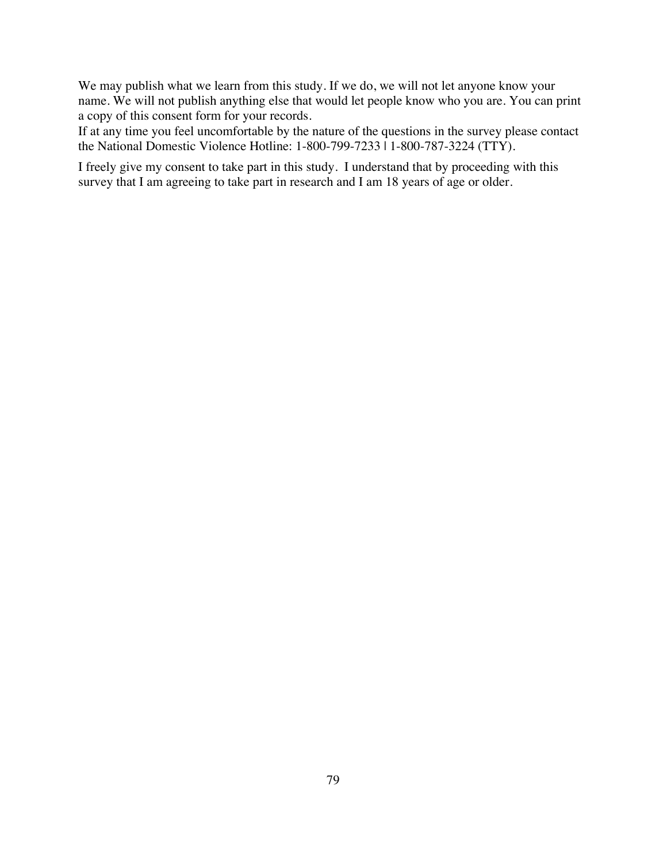We may publish what we learn from this study. If we do, we will not let anyone know your name. We will not publish anything else that would let people know who you are. You can print a copy of this consent form for your records.

If at any time you feel uncomfortable by the nature of the questions in the survey please contact the National Domestic Violence Hotline: 1-800-799-7233 | 1-800-787-3224 (TTY).

I freely give my consent to take part in this study. I understand that by proceeding with this survey that I am agreeing to take part in research and I am 18 years of age or older.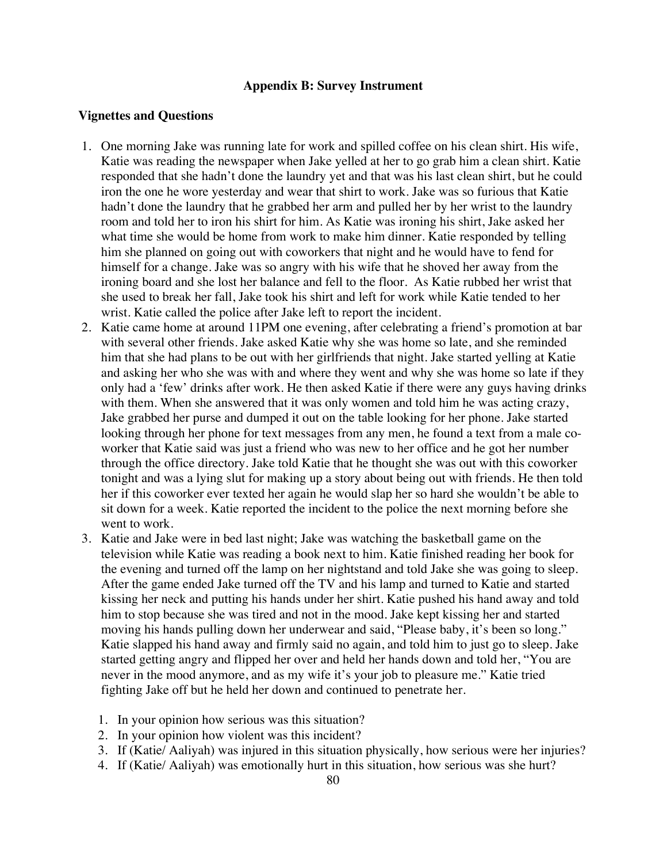#### **Appendix B: Survey Instrument**

#### **Vignettes and Questions**

- 1. One morning Jake was running late for work and spilled coffee on his clean shirt. His wife, Katie was reading the newspaper when Jake yelled at her to go grab him a clean shirt. Katie responded that she hadn't done the laundry yet and that was his last clean shirt, but he could iron the one he wore yesterday and wear that shirt to work. Jake was so furious that Katie hadn't done the laundry that he grabbed her arm and pulled her by her wrist to the laundry room and told her to iron his shirt for him. As Katie was ironing his shirt, Jake asked her what time she would be home from work to make him dinner. Katie responded by telling him she planned on going out with coworkers that night and he would have to fend for himself for a change. Jake was so angry with his wife that he shoved her away from the ironing board and she lost her balance and fell to the floor. As Katie rubbed her wrist that she used to break her fall, Jake took his shirt and left for work while Katie tended to her wrist. Katie called the police after Jake left to report the incident.
- 2. Katie came home at around 11PM one evening, after celebrating a friend's promotion at bar with several other friends. Jake asked Katie why she was home so late, and she reminded him that she had plans to be out with her girlfriends that night. Jake started yelling at Katie and asking her who she was with and where they went and why she was home so late if they only had a 'few' drinks after work. He then asked Katie if there were any guys having drinks with them. When she answered that it was only women and told him he was acting crazy, Jake grabbed her purse and dumped it out on the table looking for her phone. Jake started looking through her phone for text messages from any men, he found a text from a male coworker that Katie said was just a friend who was new to her office and he got her number through the office directory. Jake told Katie that he thought she was out with this coworker tonight and was a lying slut for making up a story about being out with friends. He then told her if this coworker ever texted her again he would slap her so hard she wouldn't be able to sit down for a week. Katie reported the incident to the police the next morning before she went to work.
- 3. Katie and Jake were in bed last night; Jake was watching the basketball game on the television while Katie was reading a book next to him. Katie finished reading her book for the evening and turned off the lamp on her nightstand and told Jake she was going to sleep. After the game ended Jake turned off the TV and his lamp and turned to Katie and started kissing her neck and putting his hands under her shirt. Katie pushed his hand away and told him to stop because she was tired and not in the mood. Jake kept kissing her and started moving his hands pulling down her underwear and said, "Please baby, it's been so long." Katie slapped his hand away and firmly said no again, and told him to just go to sleep. Jake started getting angry and flipped her over and held her hands down and told her, "You are never in the mood anymore, and as my wife it's your job to pleasure me." Katie tried fighting Jake off but he held her down and continued to penetrate her.
	- 1. In your opinion how serious was this situation?
	- 2. In your opinion how violent was this incident?
	- 3. If (Katie/ Aaliyah) was injured in this situation physically, how serious were her injuries?
	- 4. If (Katie/ Aaliyah) was emotionally hurt in this situation, how serious was she hurt?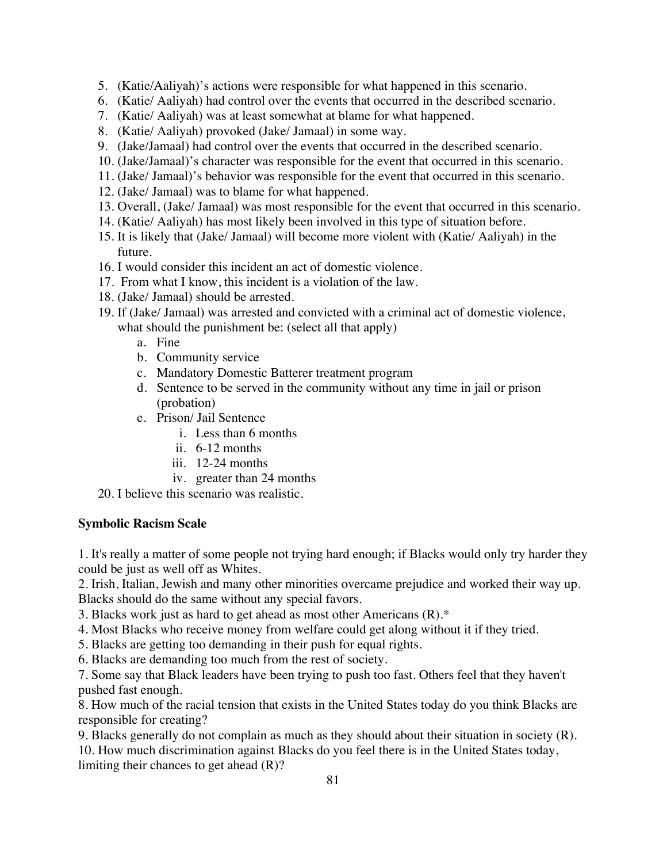- 5. (Katie/Aaliyah)'s actions were responsible for what happened in this scenario.
- 6. (Katie/ Aaliyah) had control over the events that occurred in the described scenario.
- 7. (Katie/ Aaliyah) was at least somewhat at blame for what happened.
- 8. (Katie/ Aaliyah) provoked (Jake/ Jamaal) in some way.
- 9. (Jake/Jamaal) had control over the events that occurred in the described scenario.
- 10. (Jake/Jamaal)'s character was responsible for the event that occurred in this scenario.
- 11. (Jake/ Jamaal)'s behavior was responsible for the event that occurred in this scenario.
- 12. (Jake/ Jamaal) was to blame for what happened.
- 13. Overall, (Jake/ Jamaal) was most responsible for the event that occurred in this scenario.
- 14. (Katie/ Aaliyah) has most likely been involved in this type of situation before.
- 15. It is likely that (Jake/ Jamaal) will become more violent with (Katie/ Aaliyah) in the future.
- 16. I would consider this incident an act of domestic violence.
- 17. From what I know, this incident is a violation of the law.
- 18. (Jake/ Jamaal) should be arrested.
- 19. If (Jake/ Jamaal) was arrested and convicted with a criminal act of domestic violence, what should the punishment be: (select all that apply)
	- a. Fine
	- b. Community service
	- c. Mandatory Domestic Batterer treatment program
	- d. Sentence to be served in the community without any time in jail or prison (probation)
	- e. Prison/ Jail Sentence
		- i. Less than 6 months
		- ii. 6-12 months
		- iii. 12-24 months
		- iv. greater than 24 months
- 20. I believe this scenario was realistic.

#### **Symbolic Racism Scale**

1. It's really a matter of some people not trying hard enough; if Blacks would only try harder they could be just as well off as Whites.

2. Irish, Italian, Jewish and many other minorities overcame prejudice and worked their way up. Blacks should do the same without any special favors.

3. Blacks work just as hard to get ahead as most other Americans (R).\*

- 4. Most Blacks who receive money from welfare could get along without it if they tried.
- 5. Blacks are getting too demanding in their push for equal rights.
- 6. Blacks are demanding too much from the rest of society.

7. Some say that Black leaders have been trying to push too fast. Others feel that they haven't pushed fast enough.

8. How much of the racial tension that exists in the United States today do you think Blacks are responsible for creating?

9. Blacks generally do not complain as much as they should about their situation in society (R). 10. How much discrimination against Blacks do you feel there is in the United States today, limiting their chances to get ahead (R)?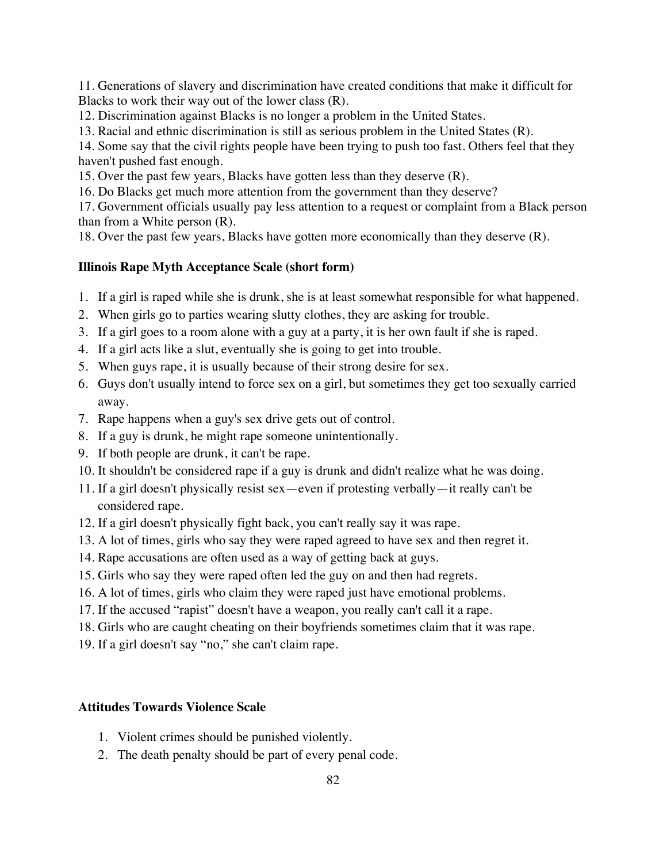11. Generations of slavery and discrimination have created conditions that make it difficult for Blacks to work their way out of the lower class (R).

12. Discrimination against Blacks is no longer a problem in the United States.

13. Racial and ethnic discrimination is still as serious problem in the United States (R).

14. Some say that the civil rights people have been trying to push too fast. Others feel that they haven't pushed fast enough.

15. Over the past few years, Blacks have gotten less than they deserve (R).

16. Do Blacks get much more attention from the government than they deserve?

17. Government officials usually pay less attention to a request or complaint from a Black person than from a White person (R).

18. Over the past few years, Blacks have gotten more economically than they deserve (R).

## **Illinois Rape Myth Acceptance Scale (short form)**

- 1. If a girl is raped while she is drunk, she is at least somewhat responsible for what happened.
- 2. When girls go to parties wearing slutty clothes, they are asking for trouble.
- 3. If a girl goes to a room alone with a guy at a party, it is her own fault if she is raped.
- 4. If a girl acts like a slut, eventually she is going to get into trouble.
- 5. When guys rape, it is usually because of their strong desire for sex.
- 6. Guys don't usually intend to force sex on a girl, but sometimes they get too sexually carried away.
- 7. Rape happens when a guy's sex drive gets out of control.
- 8. If a guy is drunk, he might rape someone unintentionally.
- 9. If both people are drunk, it can't be rape.
- 10. It shouldn't be considered rape if a guy is drunk and didn't realize what he was doing.
- 11. If a girl doesn't physically resist sex—even if protesting verbally—it really can't be considered rape.
- 12. If a girl doesn't physically fight back, you can't really say it was rape.
- 13. A lot of times, girls who say they were raped agreed to have sex and then regret it.
- 14. Rape accusations are often used as a way of getting back at guys.
- 15. Girls who say they were raped often led the guy on and then had regrets.
- 16. A lot of times, girls who claim they were raped just have emotional problems.
- 17. If the accused "rapist" doesn't have a weapon, you really can't call it a rape.
- 18. Girls who are caught cheating on their boyfriends sometimes claim that it was rape.
- 19. If a girl doesn't say "no," she can't claim rape.

#### **Attitudes Towards Violence Scale**

- 1. Violent crimes should be punished violently.
- 2. The death penalty should be part of every penal code.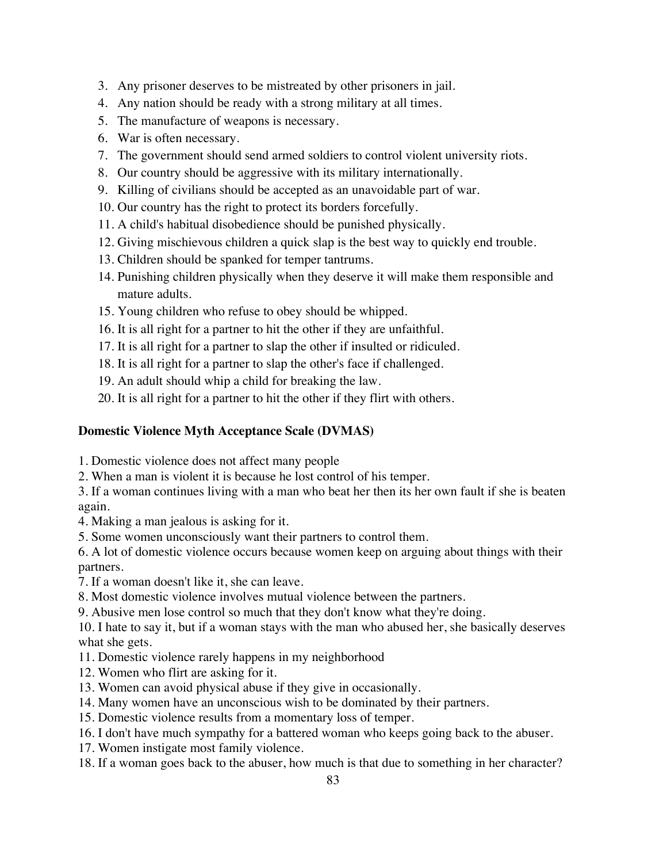- 3. Any prisoner deserves to be mistreated by other prisoners in jail.
- 4. Any nation should be ready with a strong military at all times.
- 5. The manufacture of weapons is necessary.
- 6. War is often necessary.
- 7. The government should send armed soldiers to control violent university riots.
- 8. Our country should be aggressive with its military internationally.
- 9. Killing of civilians should be accepted as an unavoidable part of war.
- 10. Our country has the right to protect its borders forcefully.
- 11. A child's habitual disobedience should be punished physically.
- 12. Giving mischievous children a quick slap is the best way to quickly end trouble.
- 13. Children should be spanked for temper tantrums.
- 14. Punishing children physically when they deserve it will make them responsible and mature adults.
- 15. Young children who refuse to obey should be whipped.
- 16. It is all right for a partner to hit the other if they are unfaithful.
- 17. It is all right for a partner to slap the other if insulted or ridiculed.
- 18. It is all right for a partner to slap the other's face if challenged.
- 19. An adult should whip a child for breaking the law.
- 20. It is all right for a partner to hit the other if they flirt with others.

## **Domestic Violence Myth Acceptance Scale (DVMAS)**

- 1. Domestic violence does not affect many people
- 2. When a man is violent it is because he lost control of his temper.
- 3. If a woman continues living with a man who beat her then its her own fault if she is beaten again.
- 4. Making a man jealous is asking for it.
- 5. Some women unconsciously want their partners to control them.
- 6. A lot of domestic violence occurs because women keep on arguing about things with their partners.
- 7. If a woman doesn't like it, she can leave.
- 8. Most domestic violence involves mutual violence between the partners.
- 9. Abusive men lose control so much that they don't know what they're doing.

10. I hate to say it, but if a woman stays with the man who abused her, she basically deserves what she gets.

- 11. Domestic violence rarely happens in my neighborhood
- 12. Women who flirt are asking for it.
- 13. Women can avoid physical abuse if they give in occasionally.
- 14. Many women have an unconscious wish to be dominated by their partners.
- 15. Domestic violence results from a momentary loss of temper.
- 16. I don't have much sympathy for a battered woman who keeps going back to the abuser.
- 17. Women instigate most family violence.
- 18. If a woman goes back to the abuser, how much is that due to something in her character?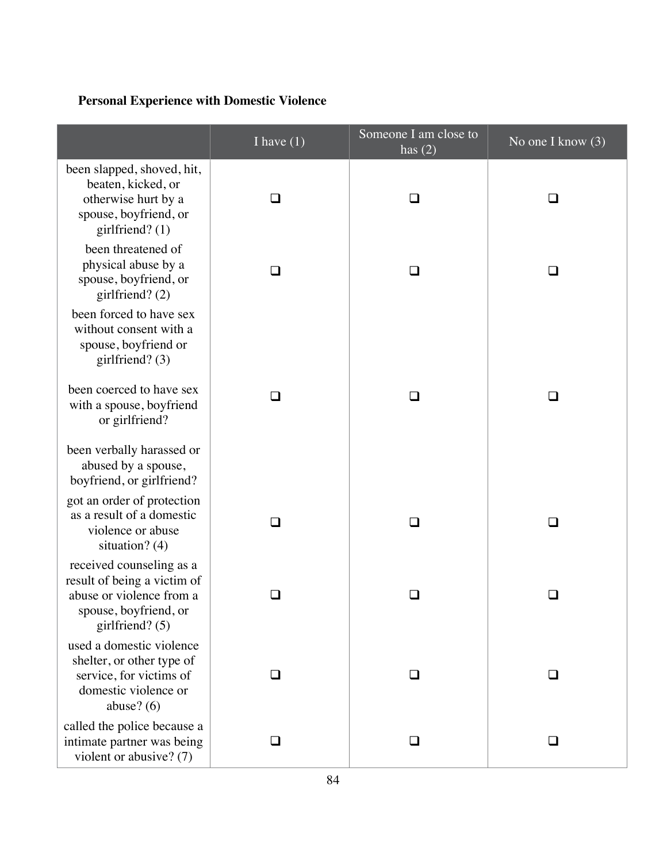# **Personal Experience with Domestic Violence**

|                                                                                                                                 | I have $(1)$ | Someone $\overline{I}$ am close to<br>has $(2)$ | No one I know $(3)$ |
|---------------------------------------------------------------------------------------------------------------------------------|--------------|-------------------------------------------------|---------------------|
| been slapped, shoved, hit,<br>beaten, kicked, or<br>otherwise hurt by a<br>spouse, boyfriend, or<br>girlfriend? $(1)$           | $\Box$       | ◻                                               | ◻                   |
| been threatened of<br>physical abuse by a<br>spouse, boyfriend, or<br>girlfriend? (2)                                           | ❏            | $\Box$                                          | ❏                   |
| been forced to have sex<br>without consent with a<br>spouse, boyfriend or<br>girlfriend? $(3)$                                  |              |                                                 |                     |
| been coerced to have sex<br>with a spouse, boyfriend<br>or girlfriend?                                                          | $\sim$       | $\mathbf{L}$                                    | $\sim$              |
| been verbally harassed or<br>abused by a spouse,<br>boyfriend, or girlfriend?                                                   |              |                                                 |                     |
| got an order of protection<br>as a result of a domestic<br>violence or abuse<br>situation? (4)                                  | ப            | ◻                                               | ◻                   |
| received counseling as a<br>result of being a victim of<br>abuse or violence from a<br>spouse, boyfriend, or<br>girlfriend? (5) |              |                                                 | $\sim$              |
| used a domestic violence<br>shelter, or other type of<br>service, for victims of<br>domestic violence or<br>abuse? $(6)$        | ◻            | ❏                                               | ❏                   |
| called the police because a<br>intimate partner was being<br>violent or abusive? (7)                                            | ⊔            | □                                               | l 1                 |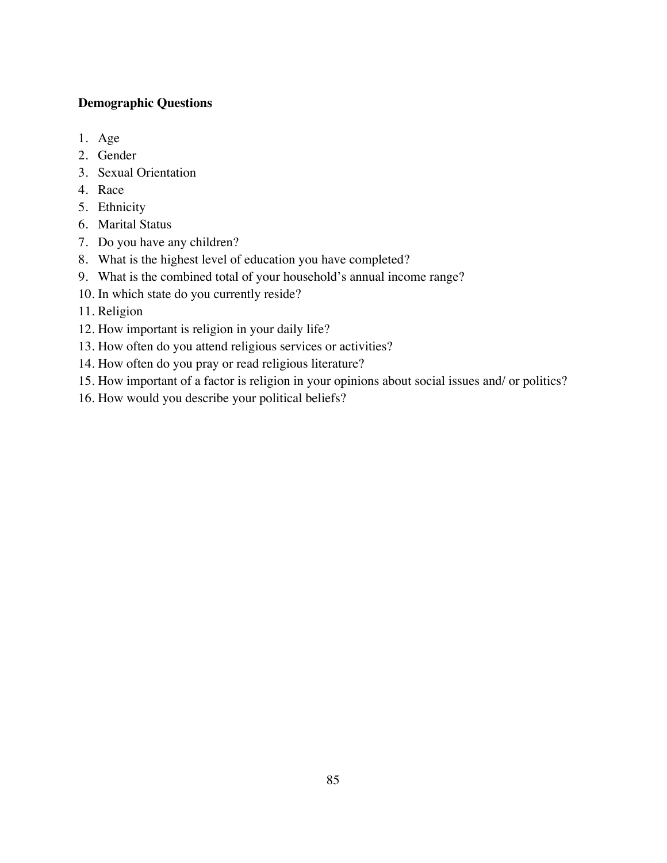## **Demographic Questions**

- 1. Age
- 2. Gender
- 3. Sexual Orientation
- 4. Race
- 5. Ethnicity
- 6. Marital Status
- 7. Do you have any children?
- 8. What is the highest level of education you have completed?
- 9. What is the combined total of your household's annual income range?
- 10. In which state do you currently reside?
- 11. Religion
- 12. How important is religion in your daily life?
- 13. How often do you attend religious services or activities?
- 14. How often do you pray or read religious literature?
- 15. How important of a factor is religion in your opinions about social issues and/ or politics?
- 16. How would you describe your political beliefs?